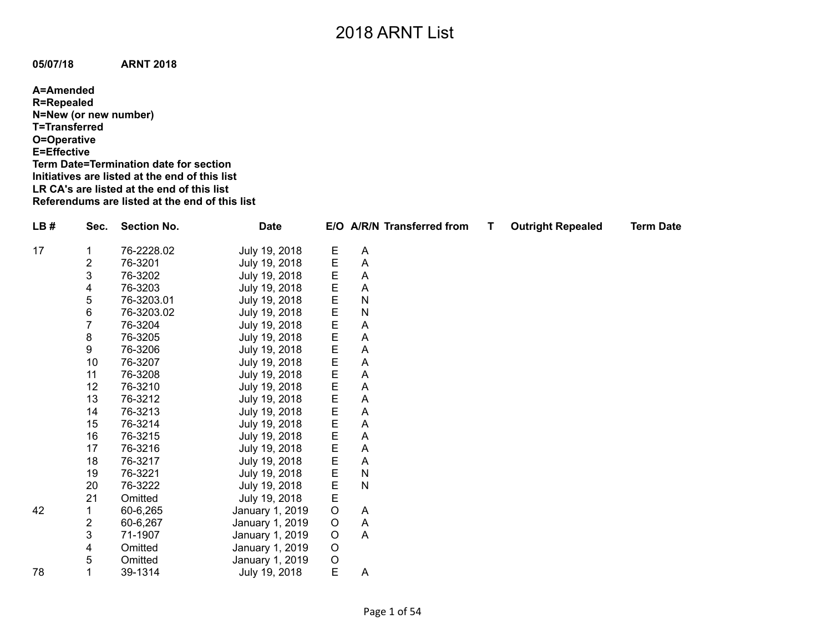**05/07/18 ARNT 2018**

**A=Amended R=Repealed N=New (or new number) T=Transferred O=Operative E=Effective Term Date=Termination date for section Initiatives are listed at the end of this list LR CA's are listed at the end of this list Referendums are listed at the end of this list**

| LB# | Sec.                    | <b>Section No.</b> | <b>Date</b>     |         |              | E/O A/R/N Transferred from | Τ | <b>Outright Repealed</b> | <b>Term Date</b> |
|-----|-------------------------|--------------------|-----------------|---------|--------------|----------------------------|---|--------------------------|------------------|
| 17  |                         | 76-2228.02         | July 19, 2018   | E       | A            |                            |   |                          |                  |
|     | $\overline{\mathbf{c}}$ | 76-3201            | July 19, 2018   | E       | A            |                            |   |                          |                  |
|     | 3                       | 76-3202            | July 19, 2018   | E       | A            |                            |   |                          |                  |
|     | 4                       | 76-3203            | July 19, 2018   | E       | A            |                            |   |                          |                  |
|     | 5                       | 76-3203.01         | July 19, 2018   |         | N            |                            |   |                          |                  |
|     | 6                       | 76-3203.02         | July 19, 2018   | E<br>E  | $\mathsf{N}$ |                            |   |                          |                  |
|     |                         | 76-3204            | July 19, 2018   |         | A            |                            |   |                          |                  |
|     | 8                       | 76-3205            | July 19, 2018   | E<br>E  | A            |                            |   |                          |                  |
|     | 9                       | 76-3206            | July 19, 2018   | E<br>E  | A            |                            |   |                          |                  |
|     | 10                      | 76-3207            | July 19, 2018   |         | A            |                            |   |                          |                  |
|     | 11                      | 76-3208            | July 19, 2018   | E       | A            |                            |   |                          |                  |
|     | 12                      | 76-3210            | July 19, 2018   | E       | A            |                            |   |                          |                  |
|     | 13                      | 76-3212            | July 19, 2018   | E       | A            |                            |   |                          |                  |
|     | 14                      | 76-3213            | July 19, 2018   | E       | A            |                            |   |                          |                  |
|     | 15                      | 76-3214            | July 19, 2018   | E       | A            |                            |   |                          |                  |
|     | 16                      | 76-3215            | July 19, 2018   | E       | A            |                            |   |                          |                  |
|     | 17                      | 76-3216            | July 19, 2018   | E       | A            |                            |   |                          |                  |
|     | 18                      | 76-3217            | July 19, 2018   | E       | A            |                            |   |                          |                  |
|     | 19                      | 76-3221            | July 19, 2018   | E       | $\mathsf{N}$ |                            |   |                          |                  |
|     | 20                      | 76-3222            | July 19, 2018   | E       | $\mathsf{N}$ |                            |   |                          |                  |
|     | 21                      | Omitted            | July 19, 2018   | E       |              |                            |   |                          |                  |
| 42  |                         | 60-6,265           | January 1, 2019 | $\circ$ | A            |                            |   |                          |                  |
|     | 2                       | 60-6,267           | January 1, 2019 | O       | A            |                            |   |                          |                  |
|     | 3                       | 71-1907            | January 1, 2019 | $\circ$ | A            |                            |   |                          |                  |
|     | 4                       | Omitted            | January 1, 2019 | $\circ$ |              |                            |   |                          |                  |
|     | 5                       | Omitted            | January 1, 2019 | $\circ$ |              |                            |   |                          |                  |
| 78  |                         | 39-1314            | July 19, 2018   | E       | A            |                            |   |                          |                  |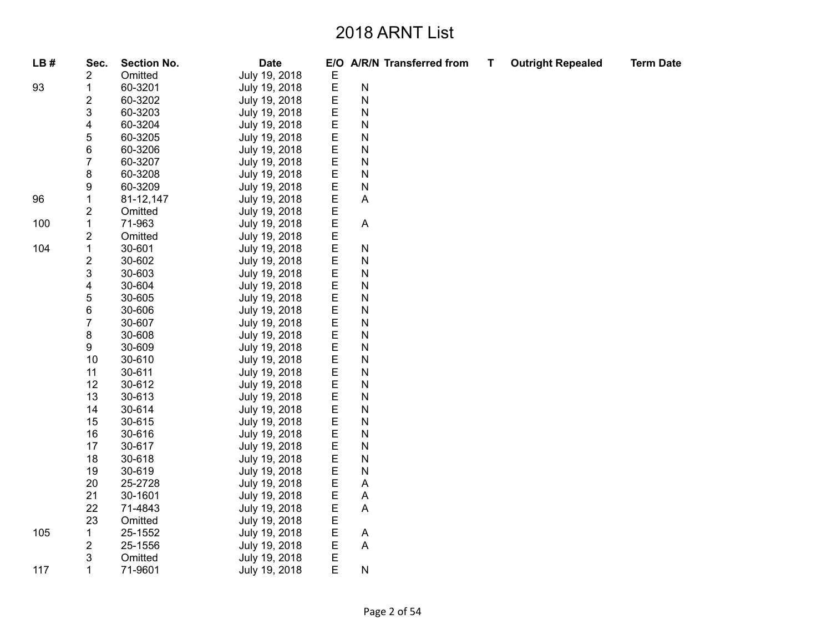| LB# | Sec.                    | <b>Section No.</b> | <b>Date</b>   | E/O                |                           | <b>A/R/N Transferred from</b> | Т | <b>Outright Repealed</b> | <b>Term Date</b> |
|-----|-------------------------|--------------------|---------------|--------------------|---------------------------|-------------------------------|---|--------------------------|------------------|
|     | 2                       | Omitted            | July 19, 2018 | E                  |                           |                               |   |                          |                  |
| 93  | $\mathbf{1}$            | 60-3201            | July 19, 2018 | $\mathsf E$        | ${\sf N}$                 |                               |   |                          |                  |
|     | 2                       | 60-3202            | July 19, 2018 | $\mathsf E$        | ${\sf N}$                 |                               |   |                          |                  |
|     | 3                       | 60-3203            | July 19, 2018 | E                  | ${\sf N}$                 |                               |   |                          |                  |
|     | 4                       | 60-3204            | July 19, 2018 | $\mathsf E$        | ${\sf N}$                 |                               |   |                          |                  |
|     | 5                       | 60-3205            | July 19, 2018 | $\mathsf E$        | N                         |                               |   |                          |                  |
|     | $\,6$                   | 60-3206            | July 19, 2018 | $\mathsf E$        | ${\sf N}$                 |                               |   |                          |                  |
|     | 7                       | 60-3207            | July 19, 2018 | $\mathsf E$        | $\mathsf{N}$              |                               |   |                          |                  |
|     | $\bf 8$                 | 60-3208            | July 19, 2018 | E                  | ${\sf N}$                 |                               |   |                          |                  |
|     | 9                       | 60-3209            | July 19, 2018 | $\mathsf E$        | ${\sf N}$                 |                               |   |                          |                  |
| 96  | $\mathbf{1}$            | 81-12,147          | July 19, 2018 |                    | Α                         |                               |   |                          |                  |
|     | 2                       | Omitted            | July 19, 2018 | EEE                |                           |                               |   |                          |                  |
| 100 | $\mathbf{1}$            | 71-963             | July 19, 2018 |                    | $\mathsf{A}$              |                               |   |                          |                  |
|     | $\overline{\mathbf{c}}$ | Omitted            | July 19, 2018 | $\mathsf E$        |                           |                               |   |                          |                  |
| 104 | $\mathbf{1}$            | 30-601             | July 19, 2018 | $\mathsf E$        | ${\sf N}$                 |                               |   |                          |                  |
|     | $\overline{\mathbf{c}}$ | 30-602             | July 19, 2018 | $\mathsf E$        | ${\sf N}$                 |                               |   |                          |                  |
|     | 3                       | 30-603             | July 19, 2018 |                    | ${\sf N}$                 |                               |   |                          |                  |
|     | 4                       | 30-604             | July 19, 2018 | E<br>E             | ${\sf N}$                 |                               |   |                          |                  |
|     | 5                       | 30-605             | July 19, 2018 | $\mathsf E$        | ${\sf N}$                 |                               |   |                          |                  |
|     | 6                       | 30-606             | July 19, 2018 | E                  | ${\sf N}$                 |                               |   |                          |                  |
|     | $\overline{7}$          | 30-607             | July 19, 2018 | $\mathsf E$        | ${\sf N}$                 |                               |   |                          |                  |
|     | 8                       | 30-608             | July 19, 2018 | $\mathsf{E}% _{T}$ | ${\sf N}$                 |                               |   |                          |                  |
|     | 9                       | 30-609             | July 19, 2018 | $\mathsf E$        | N                         |                               |   |                          |                  |
|     | 10                      | 30-610             | July 19, 2018 | $\mathsf E$        | ${\sf N}$                 |                               |   |                          |                  |
|     | 11                      | 30-611             | July 19, 2018 | $\mathsf E$        | ${\sf N}$                 |                               |   |                          |                  |
|     | 12                      | 30-612             | July 19, 2018 | $\mathsf E$        | $\mathsf{N}$              |                               |   |                          |                  |
|     | 13                      | 30-613             | July 19, 2018 | $\mathsf E$        | ${\sf N}$                 |                               |   |                          |                  |
|     | 14                      | 30-614             | July 19, 2018 | $\mathsf E$        | ${\sf N}$                 |                               |   |                          |                  |
|     | 15                      | 30-615             | July 19, 2018 | $\mathsf E$        | ${\sf N}$                 |                               |   |                          |                  |
|     | 16                      | 30-616             | July 19, 2018 | $\mathsf E$        | $\mathsf{N}$              |                               |   |                          |                  |
|     | 17                      | 30-617             | July 19, 2018 | $\mathsf E$        | ${\sf N}$                 |                               |   |                          |                  |
|     | 18                      | 30-618             | July 19, 2018 | $\mathsf E$        | ${\sf N}$                 |                               |   |                          |                  |
|     | 19                      | 30-619             | July 19, 2018 | $\mathsf E$        | $\mathsf{N}$              |                               |   |                          |                  |
|     | 20                      | 25-2728            | July 19, 2018 | E                  | A                         |                               |   |                          |                  |
|     | 21                      | 30-1601            | July 19, 2018 | $\mathsf E$        | Α                         |                               |   |                          |                  |
|     | 22                      | 71-4843            | July 19, 2018 | $\mathsf E$        | $\boldsymbol{\mathsf{A}}$ |                               |   |                          |                  |
|     | 23                      | Omitted            | July 19, 2018 | $\mathsf E$        |                           |                               |   |                          |                  |
| 105 | 1                       | 25-1552            | July 19, 2018 | $\mathsf E$        | A                         |                               |   |                          |                  |
|     | $\overline{c}$          | 25-1556            | July 19, 2018 | $\mathsf E$        | Α                         |                               |   |                          |                  |
|     | 3                       | Omitted            | July 19, 2018 | $\mathsf E$        |                           |                               |   |                          |                  |
| 117 | 1                       | 71-9601            | July 19, 2018 | E                  | ${\sf N}$                 |                               |   |                          |                  |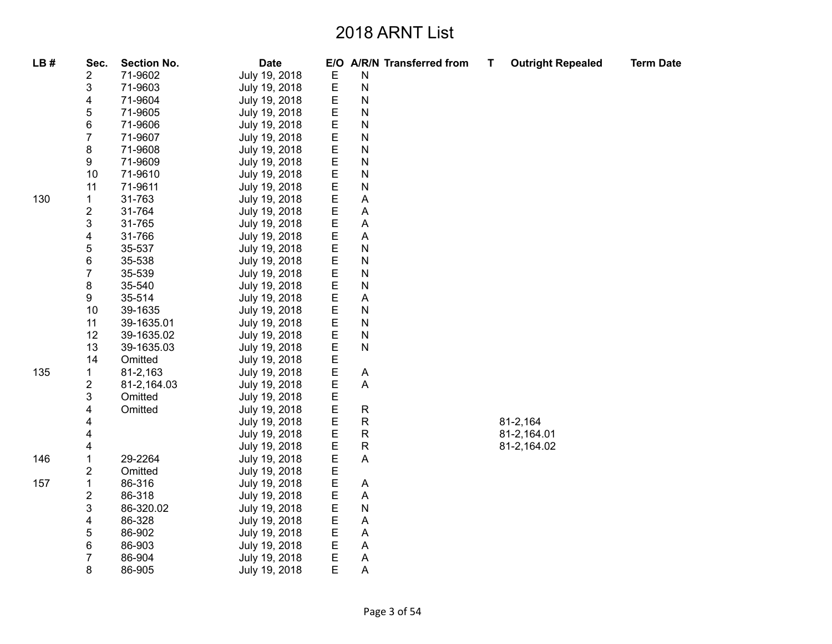| LB# | Sec.             | <b>Section No.</b> | <b>Date</b>                    |        | E/O A/R/N Transferred from | Т | <b>Outright Repealed</b> | <b>Term Date</b> |
|-----|------------------|--------------------|--------------------------------|--------|----------------------------|---|--------------------------|------------------|
|     | 2                | 71-9602            | July 19, 2018                  | E      | Ν                          |   |                          |                  |
|     | 3                | 71-9603            | July 19, 2018                  | E      | ${\sf N}$                  |   |                          |                  |
|     | 4                | 71-9604            | July 19, 2018                  | E      | N                          |   |                          |                  |
|     | 5                | 71-9605            | July 19, 2018                  | E      | N                          |   |                          |                  |
|     | 6                | 71-9606            | July 19, 2018                  | E      | ${\sf N}$                  |   |                          |                  |
|     | $\overline{7}$   | 71-9607            | July 19, 2018                  | E      | ${\sf N}$                  |   |                          |                  |
|     | 8                | 71-9608            | July 19, 2018                  | E      | ${\sf N}$                  |   |                          |                  |
|     | 9                | 71-9609            | July 19, 2018                  | E      | ${\sf N}$                  |   |                          |                  |
|     | 10               | 71-9610            | July 19, 2018                  | E      | ${\sf N}$                  |   |                          |                  |
|     | 11               | 71-9611            | July 19, 2018                  | E      | ${\sf N}$                  |   |                          |                  |
| 130 | 1                | 31-763             | July 19, 2018                  | E      | Α                          |   |                          |                  |
|     | 2                | 31-764             | July 19, 2018                  | E      | Α                          |   |                          |                  |
|     | 3                | 31-765             | July 19, 2018                  | E      | Α                          |   |                          |                  |
|     | 4                | 31-766             | July 19, 2018                  | E      | A                          |   |                          |                  |
|     | 5                | 35-537             | July 19, 2018                  | E      | N                          |   |                          |                  |
|     | 6                | 35-538             | July 19, 2018                  | E      | N                          |   |                          |                  |
|     | $\overline{7}$   | 35-539             | July 19, 2018                  | E      | N                          |   |                          |                  |
|     | 8                | 35-540             | July 19, 2018                  | E      | ${\sf N}$                  |   |                          |                  |
|     | 9                | 35-514             | July 19, 2018                  | E      | A                          |   |                          |                  |
|     | 10               | 39-1635            | July 19, 2018                  | E      | N                          |   |                          |                  |
|     | 11               | 39-1635.01         | July 19, 2018                  | E      | N                          |   |                          |                  |
|     | 12               | 39-1635.02         | July 19, 2018                  | E      | ${\sf N}$                  |   |                          |                  |
|     | 13               | 39-1635.03         | July 19, 2018                  | E      | ${\sf N}$                  |   |                          |                  |
|     | 14               | Omitted            | July 19, 2018                  | E      |                            |   |                          |                  |
| 135 | 1                | 81-2,163           | July 19, 2018                  | E      | A                          |   |                          |                  |
|     | 2                | 81-2,164.03        | July 19, 2018                  | E      | Α                          |   |                          |                  |
|     | 3                | Omitted            | July 19, 2018                  | E      |                            |   |                          |                  |
|     | 4                | Omitted            | July 19, 2018                  | E      | ${\sf R}$                  |   |                          |                  |
|     | 4                |                    | July 19, 2018                  | E      | ${\sf R}$                  |   | 81-2,164                 |                  |
|     | 4                |                    | July 19, 2018                  | E      | ${\sf R}$                  |   | 81-2,164.01              |                  |
|     | 4                |                    | July 19, 2018                  | E      | ${\sf R}$                  |   | 81-2,164.02              |                  |
| 146 | 1                | 29-2264            | July 19, 2018                  | E      | A                          |   |                          |                  |
|     | 2                | Omitted            | July 19, 2018                  | Е<br>E |                            |   |                          |                  |
| 157 | 1                | 86-316<br>86-318   | July 19, 2018                  | E      | A                          |   |                          |                  |
|     | 2                | 86-320.02          | July 19, 2018                  | E      | Α                          |   |                          |                  |
|     | 3                | 86-328             | July 19, 2018                  |        | ${\sf N}$                  |   |                          |                  |
|     | 4<br>5           | 86-902             | July 19, 2018<br>July 19, 2018 | E<br>E | Α<br>Α                     |   |                          |                  |
|     | 6                | 86-903             |                                | E      | A                          |   |                          |                  |
|     | $\boldsymbol{7}$ | 86-904             | July 19, 2018<br>July 19, 2018 | E      | Α                          |   |                          |                  |
|     | 8                | 86-905             | July 19, 2018                  | E      | Α                          |   |                          |                  |
|     |                  |                    |                                |        |                            |   |                          |                  |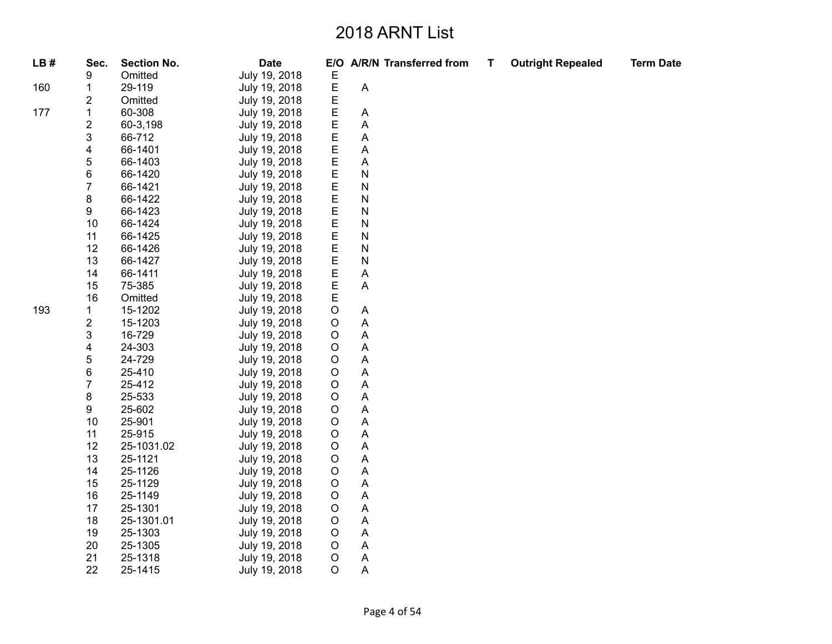| LB# | Sec.           | <b>Section No.</b> | <b>Date</b>   | E/O         |                           | A/R/N Transferred from | Τ | <b>Outright Repealed</b> | <b>Term Date</b> |
|-----|----------------|--------------------|---------------|-------------|---------------------------|------------------------|---|--------------------------|------------------|
|     | 9              | Omitted            | July 19, 2018 | Е           |                           |                        |   |                          |                  |
| 160 | 1              | 29-119             | July 19, 2018 | $\mathsf E$ | $\boldsymbol{\mathsf{A}}$ |                        |   |                          |                  |
|     | 2              | Omitted            | July 19, 2018 | E           |                           |                        |   |                          |                  |
| 177 | $\mathbf{1}$   | 60-308             | July 19, 2018 | E           | $\boldsymbol{\mathsf{A}}$ |                        |   |                          |                  |
|     | 2              | 60-3,198           | July 19, 2018 | E           | A                         |                        |   |                          |                  |
|     | 3              | 66-712             | July 19, 2018 | E           | Α                         |                        |   |                          |                  |
|     | 4              | 66-1401            | July 19, 2018 | E           | $\boldsymbol{\mathsf{A}}$ |                        |   |                          |                  |
|     | 5              | 66-1403            | July 19, 2018 | E           | $\boldsymbol{\mathsf{A}}$ |                        |   |                          |                  |
|     | 6              | 66-1420            | July 19, 2018 | E           | $\mathsf{N}$              |                        |   |                          |                  |
|     | $\overline{7}$ | 66-1421            | July 19, 2018 | E           | ${\sf N}$                 |                        |   |                          |                  |
|     | 8              | 66-1422            | July 19, 2018 | E           | ${\sf N}$                 |                        |   |                          |                  |
|     | 9              | 66-1423            | July 19, 2018 | E           | ${\sf N}$                 |                        |   |                          |                  |
|     | 10             | 66-1424            | July 19, 2018 | E           | ${\sf N}$                 |                        |   |                          |                  |
|     | 11             | 66-1425            | July 19, 2018 | E           | ${\sf N}$                 |                        |   |                          |                  |
|     | 12             | 66-1426            | July 19, 2018 | E           | ${\sf N}$                 |                        |   |                          |                  |
|     | 13             | 66-1427            | July 19, 2018 | E           | $\mathsf{N}$              |                        |   |                          |                  |
|     | 14             | 66-1411            | July 19, 2018 | E           | $\boldsymbol{\mathsf{A}}$ |                        |   |                          |                  |
|     | 15             | 75-385             | July 19, 2018 | E           | $\boldsymbol{\mathsf{A}}$ |                        |   |                          |                  |
|     | 16             | Omitted            | July 19, 2018 | E           |                           |                        |   |                          |                  |
| 193 | $\mathbf 1$    | 15-1202            | July 19, 2018 | $\mathsf O$ | $\boldsymbol{\mathsf{A}}$ |                        |   |                          |                  |
|     | 2              | 15-1203            | July 19, 2018 | $\mathsf O$ | Α                         |                        |   |                          |                  |
|     | 3              | 16-729             | July 19, 2018 | $\circ$     | $\boldsymbol{\mathsf{A}}$ |                        |   |                          |                  |
|     | 4              | 24-303             | July 19, 2018 | $\mathsf O$ | $\overline{A}$            |                        |   |                          |                  |
|     | 5              | 24-729             | July 19, 2018 | $\mathsf O$ | A                         |                        |   |                          |                  |
|     | 6              | 25-410             | July 19, 2018 | $\circ$     | A                         |                        |   |                          |                  |
|     | $\overline{7}$ | 25-412             | July 19, 2018 | $\circ$     | Α                         |                        |   |                          |                  |
|     | 8              | 25-533             | July 19, 2018 | $\mathsf O$ | $\boldsymbol{\mathsf{A}}$ |                        |   |                          |                  |
|     | 9              | 25-602             | July 19, 2018 | $\mathsf O$ | Α                         |                        |   |                          |                  |
|     | 10             | 25-901             | July 19, 2018 | $\circ$     | $\boldsymbol{\mathsf{A}}$ |                        |   |                          |                  |
|     | 11             | 25-915             | July 19, 2018 | $\mathsf O$ | $\overline{\mathsf{A}}$   |                        |   |                          |                  |
|     | 12             | 25-1031.02         | July 19, 2018 | $\mathsf O$ | $\boldsymbol{\mathsf{A}}$ |                        |   |                          |                  |
|     | 13             | 25-1121            | July 19, 2018 | $\circ$     | $\boldsymbol{\mathsf{A}}$ |                        |   |                          |                  |
|     | 14             | 25-1126            | July 19, 2018 | $\circ$     | A                         |                        |   |                          |                  |
|     | 15             | 25-1129            | July 19, 2018 | $\mathsf O$ | $\boldsymbol{\mathsf{A}}$ |                        |   |                          |                  |
|     | 16             | 25-1149            | July 19, 2018 | $\mathsf O$ | Α                         |                        |   |                          |                  |
|     | 17             | 25-1301            | July 19, 2018 | $\circ$     | $\boldsymbol{\mathsf{A}}$ |                        |   |                          |                  |
|     | 18             | 25-1301.01         | July 19, 2018 | $\circ$     | A                         |                        |   |                          |                  |
|     | 19             | 25-1303            | July 19, 2018 | $\mathsf O$ | $\boldsymbol{\mathsf{A}}$ |                        |   |                          |                  |
|     | 20             | 25-1305            | July 19, 2018 | $\mathsf O$ | Α                         |                        |   |                          |                  |
|     | 21             | 25-1318            | July 19, 2018 | $\circ$     | $\mathsf{A}$              |                        |   |                          |                  |
|     | 22             | 25-1415            | July 19, 2018 | $\circ$     | $\overline{A}$            |                        |   |                          |                  |
|     |                |                    |               |             |                           |                        |   |                          |                  |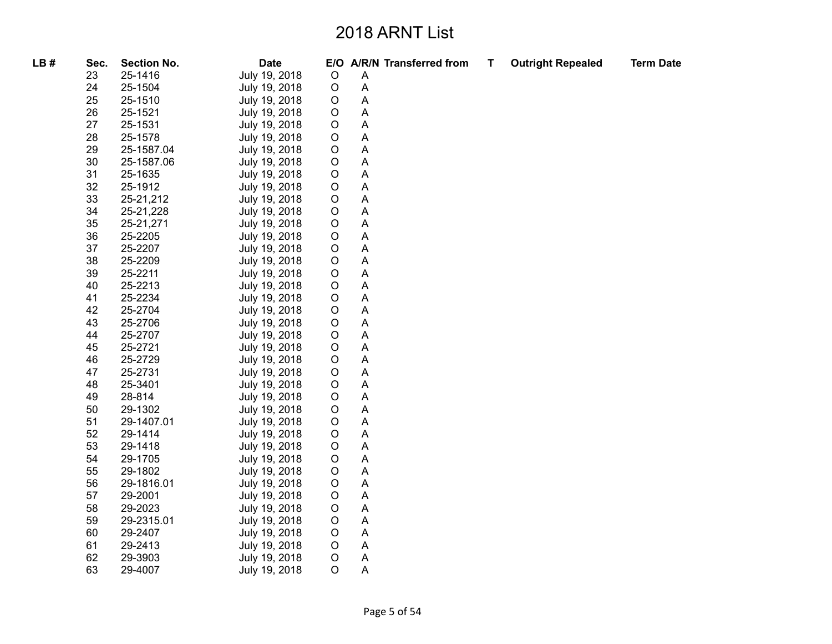| LB# | Sec. | <b>Section No.</b> | <b>Date</b>   |             |                           | E/O A/R/N Transferred from | Т | <b>Outright Repealed</b> | <b>Term Date</b> |
|-----|------|--------------------|---------------|-------------|---------------------------|----------------------------|---|--------------------------|------------------|
|     | 23   | 25-1416            | July 19, 2018 | $\circ$     | Α                         |                            |   |                          |                  |
|     | 24   | 25-1504            | July 19, 2018 | $\circ$     | Α                         |                            |   |                          |                  |
|     | 25   | 25-1510            | July 19, 2018 | O           | Α                         |                            |   |                          |                  |
|     | 26   | 25-1521            | July 19, 2018 | O           | A                         |                            |   |                          |                  |
|     | 27   | 25-1531            | July 19, 2018 | O           | Α                         |                            |   |                          |                  |
|     | 28   | 25-1578            | July 19, 2018 | $\circ$     | Α                         |                            |   |                          |                  |
|     | 29   | 25-1587.04         | July 19, 2018 | O           | Α                         |                            |   |                          |                  |
|     | 30   | 25-1587.06         | July 19, 2018 | $\circ$     | A                         |                            |   |                          |                  |
|     | 31   | 25-1635            | July 19, 2018 | $\mathsf O$ | Α                         |                            |   |                          |                  |
|     | 32   | 25-1912            | July 19, 2018 | $\circ$     | Α                         |                            |   |                          |                  |
|     | 33   | 25-21,212          | July 19, 2018 | $\circ$     | Α                         |                            |   |                          |                  |
|     | 34   | 25-21,228          | July 19, 2018 | O           | Α                         |                            |   |                          |                  |
|     | 35   | 25-21,271          | July 19, 2018 | $\mathsf O$ | Α                         |                            |   |                          |                  |
|     | 36   | 25-2205            | July 19, 2018 | $\circ$     | Α                         |                            |   |                          |                  |
|     | 37   | 25-2207            | July 19, 2018 | O           | Α                         |                            |   |                          |                  |
|     | 38   | 25-2209            | July 19, 2018 | O           | A                         |                            |   |                          |                  |
|     | 39   | 25-2211            | July 19, 2018 | $\mathsf O$ | A                         |                            |   |                          |                  |
|     | 40   | 25-2213            | July 19, 2018 | $\circ$     | Α                         |                            |   |                          |                  |
|     | 41   | 25-2234            | July 19, 2018 | O           | Α                         |                            |   |                          |                  |
|     | 42   | 25-2704            | July 19, 2018 | $\mathsf O$ | A                         |                            |   |                          |                  |
|     | 43   | 25-2706            | July 19, 2018 | O           | Α                         |                            |   |                          |                  |
|     | 44   | 25-2707            | July 19, 2018 | $\mathsf O$ | Α                         |                            |   |                          |                  |
|     | 45   | 25-2721            | July 19, 2018 | $\circ$     | Α                         |                            |   |                          |                  |
|     | 46   | 25-2729            | July 19, 2018 | O           | A                         |                            |   |                          |                  |
|     | 47   | 25-2731            | July 19, 2018 | $\mathsf O$ | Α                         |                            |   |                          |                  |
|     | 48   | 25-3401            | July 19, 2018 | $\mathsf O$ | Α                         |                            |   |                          |                  |
|     | 49   | 28-814             | July 19, 2018 | $\circ$     | Α                         |                            |   |                          |                  |
|     | 50   | 29-1302            | July 19, 2018 | O           | A                         |                            |   |                          |                  |
|     | 51   | 29-1407.01         | July 19, 2018 | $\mathsf O$ | Α                         |                            |   |                          |                  |
|     | 52   | 29-1414            | July 19, 2018 | $\mathsf O$ | Α                         |                            |   |                          |                  |
|     | 53   | 29-1418            | July 19, 2018 | $\circ$     | A                         |                            |   |                          |                  |
|     | 54   | 29-1705            | July 19, 2018 | O           | A                         |                            |   |                          |                  |
|     | 55   | 29-1802            | July 19, 2018 | $\mathsf O$ | Α                         |                            |   |                          |                  |
|     | 56   | 29-1816.01         | July 19, 2018 | $\circ$     | Α                         |                            |   |                          |                  |
|     | 57   | 29-2001            | July 19, 2018 | $\circ$     | Α                         |                            |   |                          |                  |
|     | 58   | 29-2023            | July 19, 2018 | O           | $\mathsf A$               |                            |   |                          |                  |
|     | 59   | 29-2315.01         | July 19, 2018 | $\mathsf O$ | $\boldsymbol{\mathsf{A}}$ |                            |   |                          |                  |
|     | 60   | 29-2407            | July 19, 2018 | $\circ$     | Α                         |                            |   |                          |                  |
|     | 61   | 29-2413            | July 19, 2018 | $\circ$     | A                         |                            |   |                          |                  |
|     | 62   | 29-3903            | July 19, 2018 | $\circ$     | A                         |                            |   |                          |                  |
|     | 63   | 29-4007            | July 19, 2018 | O           | A                         |                            |   |                          |                  |
|     |      |                    |               |             |                           |                            |   |                          |                  |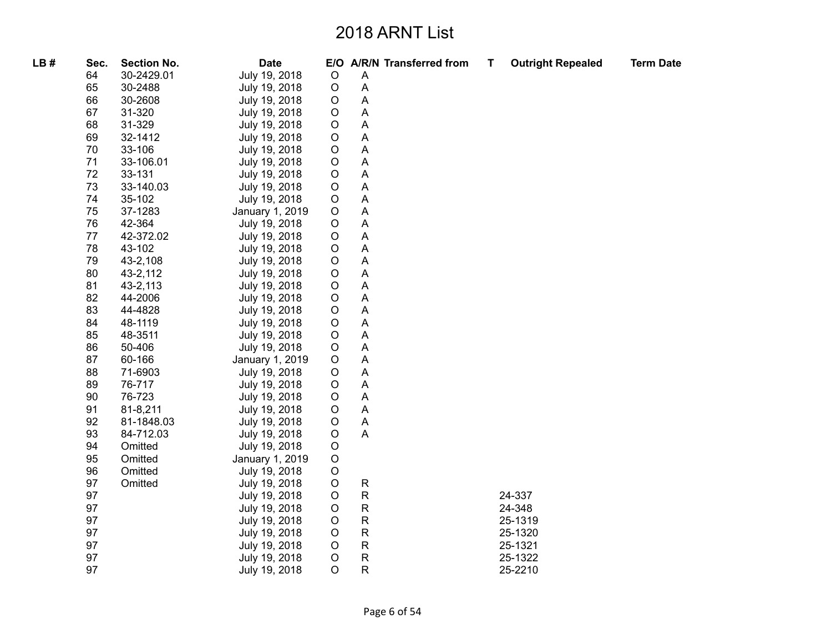| LB# | Sec. | <b>Section No.</b> | <b>Date</b>     |             |                           | E/O A/R/N Transferred from | Т | <b>Outright Repealed</b> | <b>Term Date</b> |
|-----|------|--------------------|-----------------|-------------|---------------------------|----------------------------|---|--------------------------|------------------|
|     | 64   | 30-2429.01         | July 19, 2018   | $\circ$     | A                         |                            |   |                          |                  |
|     | 65   | 30-2488            | July 19, 2018   | $\circ$     | $\boldsymbol{\mathsf{A}}$ |                            |   |                          |                  |
|     | 66   | 30-2608            | July 19, 2018   | $\circ$     | $\mathsf{A}$              |                            |   |                          |                  |
|     | 67   | 31-320             | July 19, 2018   | $\circ$     | $\mathsf{A}$              |                            |   |                          |                  |
|     | 68   | 31-329             | July 19, 2018   | $\circ$     | Α                         |                            |   |                          |                  |
|     | 69   | 32-1412            | July 19, 2018   | O           | A                         |                            |   |                          |                  |
|     | 70   | 33-106             | July 19, 2018   | $\mathsf O$ | Α                         |                            |   |                          |                  |
|     | 71   | 33-106.01          | July 19, 2018   | O           | A                         |                            |   |                          |                  |
|     | 72   | 33-131             | July 19, 2018   | $\circ$     | Α                         |                            |   |                          |                  |
|     | 73   | 33-140.03          | July 19, 2018   | O           | $\boldsymbol{\mathsf{A}}$ |                            |   |                          |                  |
|     | 74   | 35-102             | July 19, 2018   | $\circ$     | A                         |                            |   |                          |                  |
|     | 75   | 37-1283            | January 1, 2019 | $\mathsf O$ | $\boldsymbol{\mathsf{A}}$ |                            |   |                          |                  |
|     | 76   | 42-364             | July 19, 2018   | $\mathsf O$ | A                         |                            |   |                          |                  |
|     | 77   | 42-372.02          | July 19, 2018   | $\mathsf O$ | Α                         |                            |   |                          |                  |
|     | 78   | 43-102             | July 19, 2018   | $\circ$     | Α                         |                            |   |                          |                  |
|     | 79   | 43-2,108           | July 19, 2018   | $\circ$     | A                         |                            |   |                          |                  |
|     | 80   | 43-2,112           | July 19, 2018   | $\circ$     | $\boldsymbol{\mathsf{A}}$ |                            |   |                          |                  |
|     | 81   | 43-2,113           | July 19, 2018   | $\mathsf O$ | A                         |                            |   |                          |                  |
|     | 82   | 44-2006            | July 19, 2018   | $\mathsf O$ | $\boldsymbol{\mathsf{A}}$ |                            |   |                          |                  |
|     | 83   | 44-4828            | July 19, 2018   | $\circ$     | Α                         |                            |   |                          |                  |
|     | 84   | 48-1119            | July 19, 2018   | $\mathsf O$ | $\overline{A}$            |                            |   |                          |                  |
|     | 85   | 48-3511            | July 19, 2018   | $\mathsf O$ | $\mathsf{A}$              |                            |   |                          |                  |
|     | 86   | 50-406             | July 19, 2018   | $\mathsf O$ | $\boldsymbol{\mathsf{A}}$ |                            |   |                          |                  |
|     | 87   | 60-166             | January 1, 2019 | O           | A                         |                            |   |                          |                  |
|     | 88   | 71-6903            | July 19, 2018   | $\mathsf O$ | Α                         |                            |   |                          |                  |
|     | 89   | 76-717             | July 19, 2018   | $\mathsf O$ | A                         |                            |   |                          |                  |
|     | 90   | 76-723             | July 19, 2018   | $\mathsf O$ | Α                         |                            |   |                          |                  |
|     | 91   | 81-8,211           | July 19, 2018   | $\mathsf O$ | $\boldsymbol{\mathsf{A}}$ |                            |   |                          |                  |
|     | 92   | 81-1848.03         | July 19, 2018   | $\circ$     | A<br>A                    |                            |   |                          |                  |
|     | 93   | 84-712.03          | July 19, 2018   | $\mathsf O$ |                           |                            |   |                          |                  |
|     | 94   | Omitted            | July 19, 2018   | $\mathsf O$ |                           |                            |   |                          |                  |
|     | 95   | Omitted            | January 1, 2019 | $\circ$     |                           |                            |   |                          |                  |
|     | 96   | Omitted            | July 19, 2018   | $\circ$     |                           |                            |   |                          |                  |
|     | 97   | Omitted            | July 19, 2018   | $\circ$     | $\mathsf{R}$              |                            |   |                          |                  |
|     | 97   |                    | July 19, 2018   | $\mathsf O$ | $\mathsf R$               |                            |   | 24-337                   |                  |
|     | 97   |                    | July 19, 2018   | $\mathsf O$ | $\mathsf R$               |                            |   | 24-348                   |                  |
|     | 97   |                    | July 19, 2018   | O           | $\mathsf R$               |                            |   | 25-1319                  |                  |
|     | 97   |                    | July 19, 2018   | $\mathsf O$ | $\mathsf{R}$              |                            |   | 25-1320                  |                  |
|     | 97   |                    | July 19, 2018   | $\mathsf O$ | $\mathsf R$               |                            |   | 25-1321                  |                  |
|     | 97   |                    | July 19, 2018   | $\circ$     | $\mathsf R$               |                            |   | 25-1322                  |                  |
|     | 97   |                    | July 19, 2018   | $\circ$     | R                         |                            |   | 25-2210                  |                  |
|     |      |                    |                 |             |                           |                            |   |                          |                  |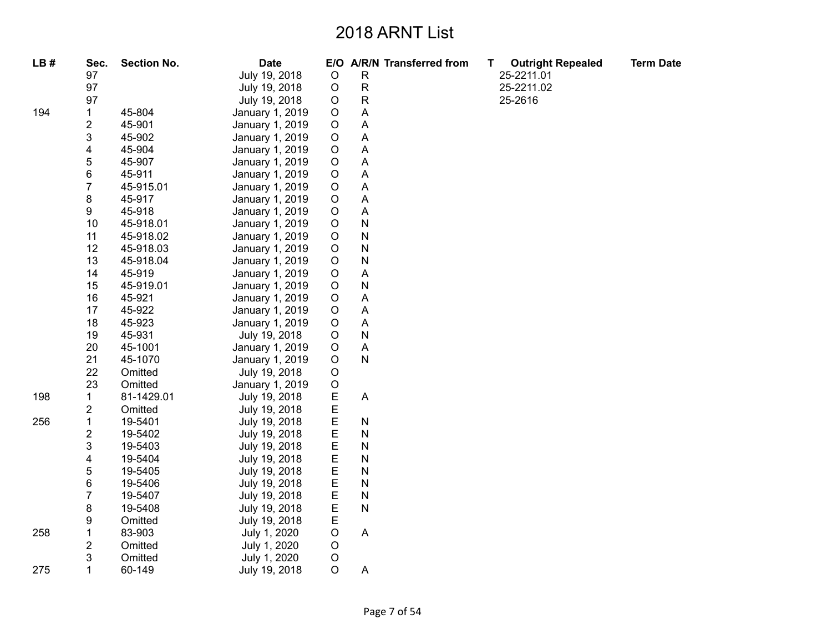| LB# | Sec.                    | <b>Section No.</b> | <b>Date</b>     |             | E/O A/R/N Transferred from | Τ | <b>Outright Repealed</b> | <b>Term Date</b> |
|-----|-------------------------|--------------------|-----------------|-------------|----------------------------|---|--------------------------|------------------|
|     | 97                      |                    | July 19, 2018   | $\circ$     | $\mathsf{R}$               |   | 25-2211.01               |                  |
|     | 97                      |                    | July 19, 2018   | $\circ$     | $\mathsf{R}$               |   | 25-2211.02               |                  |
|     | 97                      |                    | July 19, 2018   | $\mathsf O$ | ${\sf R}$                  |   | 25-2616                  |                  |
| 194 | $\mathbf{1}$            | 45-804             | January 1, 2019 | $\mathsf O$ | A                          |   |                          |                  |
|     | 2                       | 45-901             | January 1, 2019 | $\mathsf O$ | $\boldsymbol{\mathsf{A}}$  |   |                          |                  |
|     | 3                       | 45-902             | January 1, 2019 | $\mathsf O$ | $\boldsymbol{\mathsf{A}}$  |   |                          |                  |
|     | 4                       | 45-904             | January 1, 2019 | $\mathsf O$ | $\boldsymbol{\mathsf{A}}$  |   |                          |                  |
|     | 5                       | 45-907             | January 1, 2019 | $\circ$     | $\mathsf{A}$               |   |                          |                  |
|     | 6                       | 45-911             | January 1, 2019 | $\circ$     | $\boldsymbol{\mathsf{A}}$  |   |                          |                  |
|     | $\overline{7}$          | 45-915.01          | January 1, 2019 | $\mathsf O$ | $\overline{\mathsf{A}}$    |   |                          |                  |
|     | 8                       | 45-917             | January 1, 2019 | $\mathsf O$ | $\boldsymbol{\mathsf{A}}$  |   |                          |                  |
|     | 9                       | 45-918             | January 1, 2019 | $\mathsf O$ | $\overline{A}$             |   |                          |                  |
|     | 10                      | 45-918.01          | January 1, 2019 | $\circ$     | $\mathsf{N}$               |   |                          |                  |
|     | 11                      | 45-918.02          | January 1, 2019 | $\mathsf O$ | $\mathsf{N}$               |   |                          |                  |
|     | 12                      | 45-918.03          | January 1, 2019 | $\mathsf O$ | $\mathsf{N}$               |   |                          |                  |
|     | 13                      | 45-918.04          | January 1, 2019 | $\mathsf O$ | $\mathsf{N}$               |   |                          |                  |
|     | 14                      | 45-919             | January 1, 2019 | $\circ$     | $\overline{A}$             |   |                          |                  |
|     | 15                      | 45-919.01          | January 1, 2019 | $\mathsf O$ | $\mathsf{N}$               |   |                          |                  |
|     | 16                      | 45-921             | January 1, 2019 | $\circ$     | $\boldsymbol{\mathsf{A}}$  |   |                          |                  |
|     | 17                      | 45-922             | January 1, 2019 | $\mathsf O$ | $\boldsymbol{\mathsf{A}}$  |   |                          |                  |
|     | 18                      | 45-923             | January 1, 2019 | $\mathsf O$ | $\mathsf{A}$               |   |                          |                  |
|     | 19                      | 45-931             | July 19, 2018   | $\mathsf O$ | $\mathsf{N}$               |   |                          |                  |
|     | 20                      | 45-1001            | January 1, 2019 | $\mathsf O$ | $\overline{A}$             |   |                          |                  |
|     | 21                      | 45-1070            | January 1, 2019 | $\mathsf O$ | $\mathsf{N}$               |   |                          |                  |
|     | 22                      | Omitted            | July 19, 2018   | $\mathsf O$ |                            |   |                          |                  |
|     | 23                      | Omitted            | January 1, 2019 | $\mathsf O$ |                            |   |                          |                  |
| 198 | 1                       | 81-1429.01         | July 19, 2018   | E           | $\overline{A}$             |   |                          |                  |
|     | 2                       | Omitted            | July 19, 2018   | E           |                            |   |                          |                  |
| 256 | $\mathbf{1}$            | 19-5401            | July 19, 2018   | E<br>E      | $\mathsf{N}$               |   |                          |                  |
|     | $\overline{\mathbf{c}}$ | 19-5402            | July 19, 2018   |             | $\mathsf{N}$               |   |                          |                  |
|     | 3                       | 19-5403            | July 19, 2018   | E           | $\mathsf{N}$               |   |                          |                  |
|     | 4                       | 19-5404            | July 19, 2018   | E           | $\mathsf{N}$               |   |                          |                  |
|     | 5                       | 19-5405            | July 19, 2018   | E           | $\mathsf{N}$               |   |                          |                  |
|     | 6                       | 19-5406            | July 19, 2018   | E           | $\mathsf{N}$               |   |                          |                  |
|     | 7                       | 19-5407            | July 19, 2018   | E           | $\mathsf{N}$               |   |                          |                  |
|     | 8                       | 19-5408            | July 19, 2018   | E           | $\mathsf{N}$               |   |                          |                  |
|     | 9                       | Omitted            | July 19, 2018   | E           |                            |   |                          |                  |
| 258 | 1                       | 83-903             | July 1, 2020    | $\mathsf O$ | $\overline{A}$             |   |                          |                  |
|     | 2                       | Omitted            | July 1, 2020    | $\mathsf O$ |                            |   |                          |                  |
|     | 3                       | Omitted            | July 1, 2020    | $\circ$     |                            |   |                          |                  |
| 275 | $\mathbf{1}$            | 60-149             | July 19, 2018   | $\circ$     | A                          |   |                          |                  |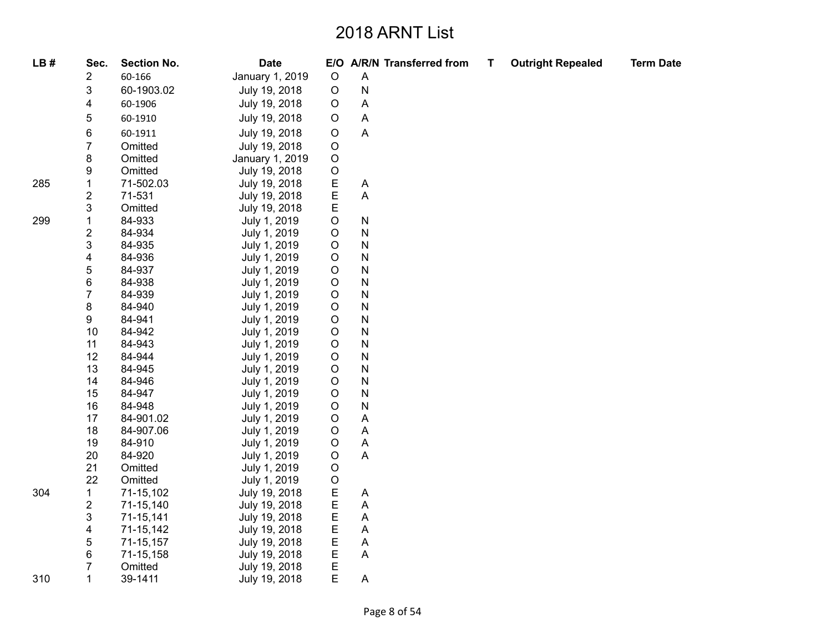| LB# | Sec.           | <b>Section No.</b> | <b>Date</b>     |             |                           | E/O A/R/N Transferred from | $\mathbf T$ | <b>Outright Repealed</b> | <b>Term Date</b> |
|-----|----------------|--------------------|-----------------|-------------|---------------------------|----------------------------|-------------|--------------------------|------------------|
|     | 2              | 60-166             | January 1, 2019 | $\circ$     | $\mathsf A$               |                            |             |                          |                  |
|     | 3              | 60-1903.02         | July 19, 2018   | $\mathsf O$ | ${\sf N}$                 |                            |             |                          |                  |
|     | 4              | 60-1906            | July 19, 2018   | $\mathsf O$ | A                         |                            |             |                          |                  |
|     | 5              | 60-1910            | July 19, 2018   | $\mathsf O$ | Α                         |                            |             |                          |                  |
|     | 6              | 60-1911            | July 19, 2018   | $\mathsf O$ | $\boldsymbol{\mathsf{A}}$ |                            |             |                          |                  |
|     | 7              | Omitted            | July 19, 2018   | $\mathsf O$ |                           |                            |             |                          |                  |
|     | 8              | Omitted            | January 1, 2019 | $\mathsf O$ |                           |                            |             |                          |                  |
|     | 9              | Omitted            | July 19, 2018   | $\mathsf O$ |                           |                            |             |                          |                  |
| 285 | 1              | 71-502.03          | July 19, 2018   | E           | A                         |                            |             |                          |                  |
|     | $\overline{c}$ | 71-531             | July 19, 2018   | $\mathsf E$ | A                         |                            |             |                          |                  |
|     | 3              | Omitted            | July 19, 2018   | E           |                           |                            |             |                          |                  |
| 299 | 1              | 84-933             | July 1, 2019    | $\mathsf O$ | N                         |                            |             |                          |                  |
|     | 2              | 84-934             | July 1, 2019    | $\mathsf O$ | N                         |                            |             |                          |                  |
|     | 3              | 84-935             | July 1, 2019    | $\mathsf O$ | N                         |                            |             |                          |                  |
|     | 4              | 84-936             | July 1, 2019    | $\mathsf O$ | N                         |                            |             |                          |                  |
|     | 5              | 84-937             | July 1, 2019    | $\mathsf O$ | N                         |                            |             |                          |                  |
|     | 6              | 84-938             | July 1, 2019    | $\mathsf O$ | N                         |                            |             |                          |                  |
|     | $\overline{7}$ | 84-939             | July 1, 2019    | $\mathsf O$ | N                         |                            |             |                          |                  |
|     | 8              | 84-940             | July 1, 2019    | $\mathsf O$ | N                         |                            |             |                          |                  |
|     | 9              | 84-941             | July 1, 2019    | $\hbox{O}$  | N                         |                            |             |                          |                  |
|     | 10             | 84-942             | July 1, 2019    | $\mathsf O$ | N                         |                            |             |                          |                  |
|     | 11             | 84-943             | July 1, 2019    | $\mathsf O$ | N                         |                            |             |                          |                  |
|     | 12             | 84-944             | July 1, 2019    | $\mathsf O$ | N                         |                            |             |                          |                  |
|     | 13             | 84-945             | July 1, 2019    | $\mathsf O$ | N                         |                            |             |                          |                  |
|     | 14             | 84-946             | July 1, 2019    | $\circ$     | N                         |                            |             |                          |                  |
|     | 15             | 84-947             | July 1, 2019    | $\mathsf O$ | N                         |                            |             |                          |                  |
|     | 16             | 84-948             | July 1, 2019    | $\mathsf O$ | N                         |                            |             |                          |                  |
|     | 17             | 84-901.02          | July 1, 2019    | $\mathsf O$ | A                         |                            |             |                          |                  |
|     | 18             | 84-907.06          | July 1, 2019    | $\mathsf O$ | Α                         |                            |             |                          |                  |
|     | 19             | 84-910             | July 1, 2019    | $\mathsf O$ | $\boldsymbol{\mathsf{A}}$ |                            |             |                          |                  |
|     | 20             | 84-920             | July 1, 2019    | $\mathsf O$ | $\mathsf A$               |                            |             |                          |                  |
|     | 21             | Omitted            | July 1, 2019    | $\mathsf O$ |                           |                            |             |                          |                  |
|     | 22             | Omitted            | July 1, 2019    | $\mathsf O$ |                           |                            |             |                          |                  |
| 304 | 1              | 71-15,102          | July 19, 2018   | E<br>E      | Α                         |                            |             |                          |                  |
|     | 2              | 71-15,140          | July 19, 2018   |             | A                         |                            |             |                          |                  |
|     | 3              | 71-15,141          | July 19, 2018   | E           | A                         |                            |             |                          |                  |
|     | 4              | 71-15,142          | July 19, 2018   | E           | A                         |                            |             |                          |                  |
|     | 5              | 71-15,157          | July 19, 2018   | E           | Α                         |                            |             |                          |                  |
|     | 6              | 71-15,158          | July 19, 2018   | $\mathsf E$ | A                         |                            |             |                          |                  |
|     | 7              | Omitted            | July 19, 2018   | E           |                           |                            |             |                          |                  |
| 310 | 1              | 39-1411            | July 19, 2018   | Е           | A                         |                            |             |                          |                  |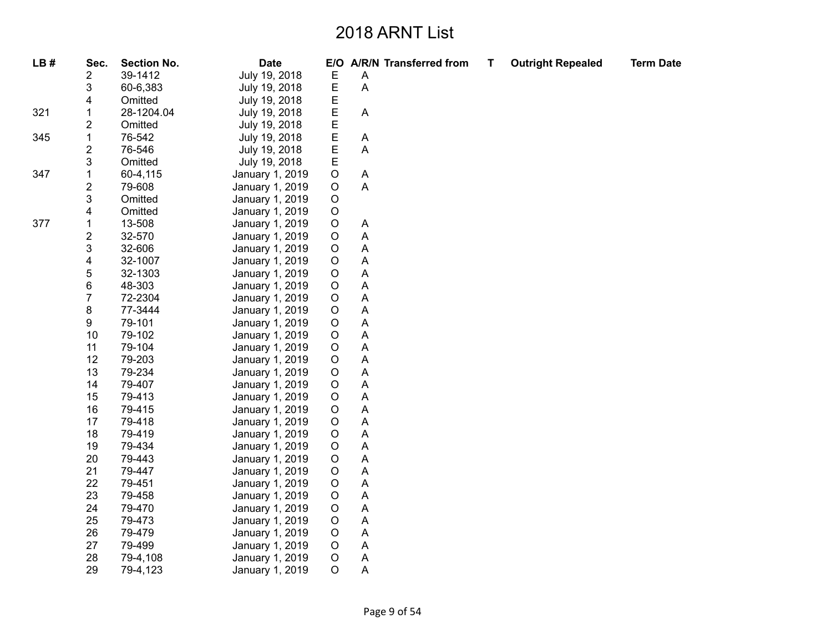| LB# | Sec.                    | <b>Section No.</b> | <b>Date</b>     |             |                           | E/O A/R/N Transferred from | Τ | <b>Outright Repealed</b> | <b>Term Date</b> |
|-----|-------------------------|--------------------|-----------------|-------------|---------------------------|----------------------------|---|--------------------------|------------------|
|     | 2                       | 39-1412            | July 19, 2018   | Е           | Α                         |                            |   |                          |                  |
|     | 3                       | 60-6,383           | July 19, 2018   | E           | A                         |                            |   |                          |                  |
|     | 4                       | Omitted            | July 19, 2018   | Е           |                           |                            |   |                          |                  |
| 321 | 1                       | 28-1204.04         | July 19, 2018   | E           | $\boldsymbol{\mathsf{A}}$ |                            |   |                          |                  |
|     | 2                       | Omitted            | July 19, 2018   | E           |                           |                            |   |                          |                  |
| 345 | 1                       | 76-542             | July 19, 2018   | E           | A                         |                            |   |                          |                  |
|     | 2                       | 76-546             | July 19, 2018   | E           | Α                         |                            |   |                          |                  |
|     | 3                       | Omitted            | July 19, 2018   | E           |                           |                            |   |                          |                  |
| 347 | 1                       | 60-4,115           | January 1, 2019 | $\hbox{O}$  | A                         |                            |   |                          |                  |
|     | $\overline{\mathbf{c}}$ | 79-608             | January 1, 2019 | $\mathsf O$ | A                         |                            |   |                          |                  |
|     | 3                       | Omitted            | January 1, 2019 | O           |                           |                            |   |                          |                  |
|     | 4                       | Omitted            | January 1, 2019 | $\mathsf O$ |                           |                            |   |                          |                  |
| 377 | $\mathbf{1}$            | 13-508             | January 1, 2019 | O           | A                         |                            |   |                          |                  |
|     | $\overline{\mathbf{c}}$ | 32-570             | January 1, 2019 | $\mathsf O$ | A                         |                            |   |                          |                  |
|     | 3                       | 32-606             | January 1, 2019 | $\mathsf O$ | A                         |                            |   |                          |                  |
|     | 4                       | 32-1007            | January 1, 2019 | O           | Α                         |                            |   |                          |                  |
|     | 5                       | 32-1303            | January 1, 2019 | $\mathsf O$ | A                         |                            |   |                          |                  |
|     | 6                       | 48-303             | January 1, 2019 | $\mathsf O$ | A                         |                            |   |                          |                  |
|     | 7                       | 72-2304            | January 1, 2019 | $\mathsf O$ | A                         |                            |   |                          |                  |
|     | 8                       | 77-3444            | January 1, 2019 | O           | A                         |                            |   |                          |                  |
|     | 9                       | 79-101             | January 1, 2019 | O           | Α                         |                            |   |                          |                  |
|     | 10                      | 79-102             | January 1, 2019 | $\mathsf O$ | A                         |                            |   |                          |                  |
|     | 11                      | 79-104             | January 1, 2019 | $\mathsf O$ | Α                         |                            |   |                          |                  |
|     | 12                      | 79-203             | January 1, 2019 | $\mathsf O$ | A                         |                            |   |                          |                  |
|     | 13                      | 79-234             | January 1, 2019 | O           | Α                         |                            |   |                          |                  |
|     | 14                      | 79-407             | January 1, 2019 | O           | A                         |                            |   |                          |                  |
|     | 15                      | 79-413             | January 1, 2019 | $\mathsf O$ | A                         |                            |   |                          |                  |
|     | 16                      | 79-415             | January 1, 2019 | $\mathsf O$ | A                         |                            |   |                          |                  |
|     | 17                      | 79-418             | January 1, 2019 | O           | Α                         |                            |   |                          |                  |
|     | 18                      | 79-419             | January 1, 2019 | $\mathsf O$ | A                         |                            |   |                          |                  |
|     | 19                      | 79-434             | January 1, 2019 | $\mathsf O$ | A                         |                            |   |                          |                  |
|     | 20                      | 79-443             | January 1, 2019 | $\mathsf O$ | A                         |                            |   |                          |                  |
|     | 21                      | 79-447             | January 1, 2019 | O           | Α                         |                            |   |                          |                  |
|     | 22                      | 79-451             | January 1, 2019 | $\mathsf O$ | A                         |                            |   |                          |                  |
|     | 23                      | 79-458             | January 1, 2019 | $\mathsf O$ | A                         |                            |   |                          |                  |
|     | 24                      | 79-470             | January 1, 2019 | $\mathsf O$ | A                         |                            |   |                          |                  |
|     | 25                      | 79-473             | January 1, 2019 | O           | A                         |                            |   |                          |                  |
|     | 26                      | 79-479             | January 1, 2019 | O           | A                         |                            |   |                          |                  |
|     | 27                      | 79-499             | January 1, 2019 | $\circ$     | A                         |                            |   |                          |                  |
|     | 28                      | 79-4,108           | January 1, 2019 | $\mathsf O$ | Α                         |                            |   |                          |                  |
|     | 29                      | 79-4,123           | January 1, 2019 | $\circ$     | Α                         |                            |   |                          |                  |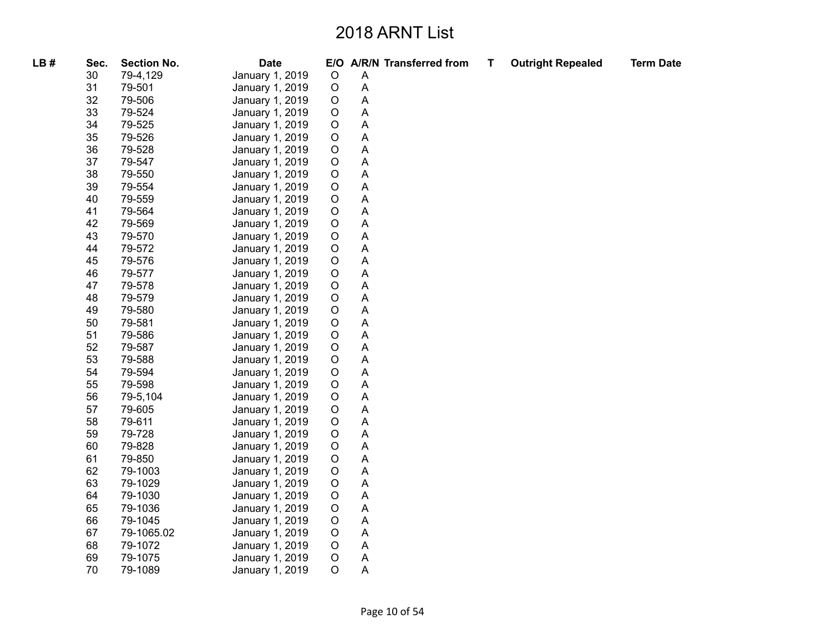| LB# | Sec. | <b>Section No.</b> | <b>Date</b>     |             |             | E/O A/R/N Transferred from | T | <b>Outright Repealed</b> | <b>Term Date</b> |
|-----|------|--------------------|-----------------|-------------|-------------|----------------------------|---|--------------------------|------------------|
|     | 30   | 79-4,129           | January 1, 2019 | $\mathsf O$ | Α           |                            |   |                          |                  |
|     | 31   | 79-501             | January 1, 2019 | $\circ$     | A           |                            |   |                          |                  |
|     | 32   | 79-506             | January 1, 2019 | $\circ$     | A           |                            |   |                          |                  |
|     | 33   | 79-524             | January 1, 2019 | $\circ$     | A           |                            |   |                          |                  |
|     | 34   | 79-525             | January 1, 2019 | $\circ$     | A           |                            |   |                          |                  |
|     | 35   | 79-526             | January 1, 2019 | $\circ$     | A           |                            |   |                          |                  |
|     | 36   | 79-528             | January 1, 2019 | $\circ$     | A           |                            |   |                          |                  |
|     | 37   | 79-547             | January 1, 2019 | $\circ$     | A           |                            |   |                          |                  |
|     | 38   | 79-550             | January 1, 2019 | $\mathsf O$ | A           |                            |   |                          |                  |
|     | 39   | 79-554             | January 1, 2019 | $\circ$     | Α           |                            |   |                          |                  |
|     | 40   | 79-559             | January 1, 2019 | $\circ$     | A           |                            |   |                          |                  |
|     | 41   | 79-564             | January 1, 2019 | $\circ$     | A           |                            |   |                          |                  |
|     | 42   | 79-569             | January 1, 2019 | $\mathsf O$ | A           |                            |   |                          |                  |
|     | 43   | 79-570             | January 1, 2019 | $\circ$     | Α           |                            |   |                          |                  |
|     | 44   | 79-572             | January 1, 2019 | $\circ$     | Α           |                            |   |                          |                  |
|     | 45   | 79-576             | January 1, 2019 | $\circ$     | A           |                            |   |                          |                  |
|     | 46   | 79-577             | January 1, 2019 | $\mathsf O$ | A           |                            |   |                          |                  |
|     | 47   | 79-578             | January 1, 2019 | $\mathsf O$ | A           |                            |   |                          |                  |
|     | 48   | 79-579             | January 1, 2019 | $\circ$     | Α           |                            |   |                          |                  |
|     | 49   | 79-580             | January 1, 2019 | $\circ$     | A           |                            |   |                          |                  |
|     | 50   | 79-581             | January 1, 2019 | $\mathsf O$ | A           |                            |   |                          |                  |
|     | 51   | 79-586             | January 1, 2019 | $\circ$     | A           |                            |   |                          |                  |
|     | 52   | 79-587             | January 1, 2019 | $\circ$     | Α           |                            |   |                          |                  |
|     | 53   | 79-588             | January 1, 2019 | $\circ$     | A           |                            |   |                          |                  |
|     | 54   | 79-594             | January 1, 2019 | $\mathsf O$ | A           |                            |   |                          |                  |
|     | 55   | 79-598             | January 1, 2019 | $\mathsf O$ | A           |                            |   |                          |                  |
|     | 56   | 79-5,104           | January 1, 2019 | $\circ$     | Α           |                            |   |                          |                  |
|     | 57   | 79-605             | January 1, 2019 | $\circ$     | A           |                            |   |                          |                  |
|     | 58   | 79-611             | January 1, 2019 | $\circ$     | A           |                            |   |                          |                  |
|     | 59   | 79-728             | January 1, 2019 | $\mathsf O$ | A           |                            |   |                          |                  |
|     | 60   | 79-828             | January 1, 2019 | $\circ$     | Α           |                            |   |                          |                  |
|     | 61   | 79-850             | January 1, 2019 | $\circ$     | A           |                            |   |                          |                  |
|     | 62   | 79-1003            | January 1, 2019 | $\mathsf O$ | A           |                            |   |                          |                  |
|     | 63   | 79-1029            | January 1, 2019 | $\mathsf O$ | A           |                            |   |                          |                  |
|     | 64   | 79-1030            | January 1, 2019 | $\circ$     | A           |                            |   |                          |                  |
|     | 65   | 79-1036            | January 1, 2019 | $\circ$     | Α           |                            |   |                          |                  |
|     | 66   | 79-1045            | January 1, 2019 | $\circ$     | A           |                            |   |                          |                  |
|     | 67   | 79-1065.02         | January 1, 2019 | $\circ$     | Α           |                            |   |                          |                  |
|     | 68   | 79-1072            | January 1, 2019 | $\circ$     | $\mathsf A$ |                            |   |                          |                  |
|     | 69   | 79-1075            | January 1, 2019 | $\circ$     | A<br>A      |                            |   |                          |                  |
|     | 70   | 79-1089            | January 1, 2019 | $\circ$     |             |                            |   |                          |                  |
|     |      |                    |                 |             |             |                            |   |                          |                  |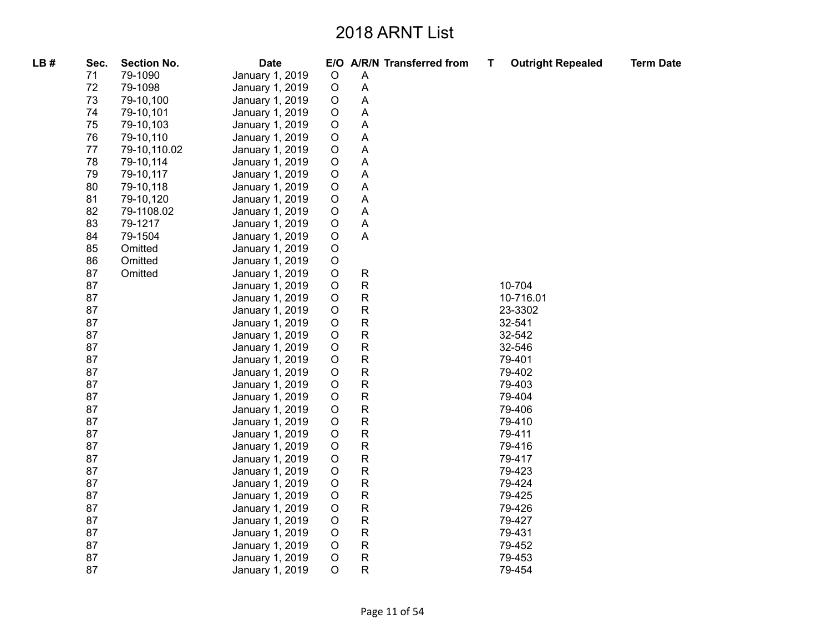| LB# | Sec. | <b>Section No.</b> | <b>Date</b>     |             | E/O A/R/N Transferred from | T | <b>Outright Repealed</b> | <b>Term Date</b> |
|-----|------|--------------------|-----------------|-------------|----------------------------|---|--------------------------|------------------|
|     | 71   | 79-1090            | January 1, 2019 | $\circ$     | $\overline{A}$             |   |                          |                  |
|     | 72   | 79-1098            | January 1, 2019 | $\circ$     | $\overline{A}$             |   |                          |                  |
|     | 73   | 79-10,100          | January 1, 2019 | $\circ$     | A                          |   |                          |                  |
|     | 74   | 79-10,101          | January 1, 2019 | $\circ$     | A                          |   |                          |                  |
|     | 75   | 79-10,103          | January 1, 2019 | $\mathsf O$ | A                          |   |                          |                  |
|     | 76   | 79-10,110          | January 1, 2019 | $\circ$     | A                          |   |                          |                  |
|     | 77   | 79-10,110.02       | January 1, 2019 | $\circ$     | A                          |   |                          |                  |
|     | 78   | 79-10,114          | January 1, 2019 | $\circ$     | $\boldsymbol{\mathsf{A}}$  |   |                          |                  |
|     | 79   | 79-10,117          | January 1, 2019 | $\circ$     | A                          |   |                          |                  |
|     | 80   | 79-10,118          | January 1, 2019 | $\circ$     | $\boldsymbol{\mathsf{A}}$  |   |                          |                  |
|     | 81   | 79-10,120          | January 1, 2019 | $\circ$     | $\boldsymbol{\mathsf{A}}$  |   |                          |                  |
|     | 82   | 79-1108.02         | January 1, 2019 | $\circ$     | $\boldsymbol{\mathsf{A}}$  |   |                          |                  |
|     | 83   | 79-1217            | January 1, 2019 | $\mathsf O$ | $\boldsymbol{\mathsf{A}}$  |   |                          |                  |
|     | 84   | 79-1504            | January 1, 2019 | $\mathsf O$ | A                          |   |                          |                  |
|     | 85   | Omitted            | January 1, 2019 | $\mathsf O$ |                            |   |                          |                  |
|     | 86   | Omitted            | January 1, 2019 | $\mathsf O$ |                            |   |                          |                  |
|     | 87   | Omitted            | January 1, 2019 | $\bigcirc$  | ${\sf R}$                  |   |                          |                  |
|     | 87   |                    | January 1, 2019 | $\mathsf O$ | $\mathsf{R}$               |   | 10-704                   |                  |
|     | 87   |                    | January 1, 2019 | $\circ$     | $\mathsf{R}$               |   | 10-716.01                |                  |
|     | 87   |                    | January 1, 2019 | $\circ$     | $\mathsf{R}$               |   | 23-3302                  |                  |
|     | 87   |                    | January 1, 2019 | $\circ$     | $\mathsf{R}$               |   | 32-541                   |                  |
|     | 87   |                    | January 1, 2019 | $\circ$     | $\mathsf{R}$               |   | 32-542                   |                  |
|     | 87   |                    | January 1, 2019 | $\circ$     | $\mathsf{R}$               |   | 32-546                   |                  |
|     | 87   |                    | January 1, 2019 | $\circ$     | $\mathsf{R}$               |   | 79-401                   |                  |
|     | 87   |                    | January 1, 2019 | $\circ$     | ${\sf R}$                  |   | 79-402                   |                  |
|     | 87   |                    | January 1, 2019 | $\circ$     | $\mathsf{R}$               |   | 79-403                   |                  |
|     | 87   |                    | January 1, 2019 | $\circ$     | $\mathsf{R}$               |   | 79-404                   |                  |
|     | 87   |                    | January 1, 2019 | $\mathsf O$ | $\mathsf{R}$               |   | 79-406                   |                  |
|     | 87   |                    | January 1, 2019 | $\mathsf O$ | $\mathsf{R}$               |   | 79-410                   |                  |
|     | 87   |                    | January 1, 2019 | $\mathsf O$ | $\mathsf{R}$               |   | 79-411                   |                  |
|     | 87   |                    | January 1, 2019 | $\mathsf O$ | $\mathsf{R}$               |   | 79-416                   |                  |
|     | 87   |                    | January 1, 2019 | $\bigcirc$  | $\mathsf{R}$               |   | 79-417                   |                  |
|     | 87   |                    | January 1, 2019 | $\circ$     | $\mathsf{R}$               |   | 79-423                   |                  |
|     | 87   |                    | January 1, 2019 | $\circ$     | $\mathsf{R}$               |   | 79-424                   |                  |
|     | 87   |                    | January 1, 2019 | $\circ$     | $\mathsf{R}$               |   | 79-425                   |                  |
|     | 87   |                    | January 1, 2019 | $\circ$     | ${\sf R}$                  |   | 79-426                   |                  |
|     | 87   |                    | January 1, 2019 | $\circ$     | $\mathsf{R}$               |   | 79-427                   |                  |
|     | 87   |                    | January 1, 2019 | $\circ$     | ${\sf R}$                  |   | 79-431                   |                  |
|     | 87   |                    | January 1, 2019 | $\circ$     | ${\sf R}$                  |   | 79-452                   |                  |
|     | 87   |                    | January 1, 2019 | $\circ$     | $\mathsf{R}$               |   | 79-453                   |                  |
|     | 87   |                    | January 1, 2019 | $\circ$     | $\mathsf{R}$               |   | 79-454                   |                  |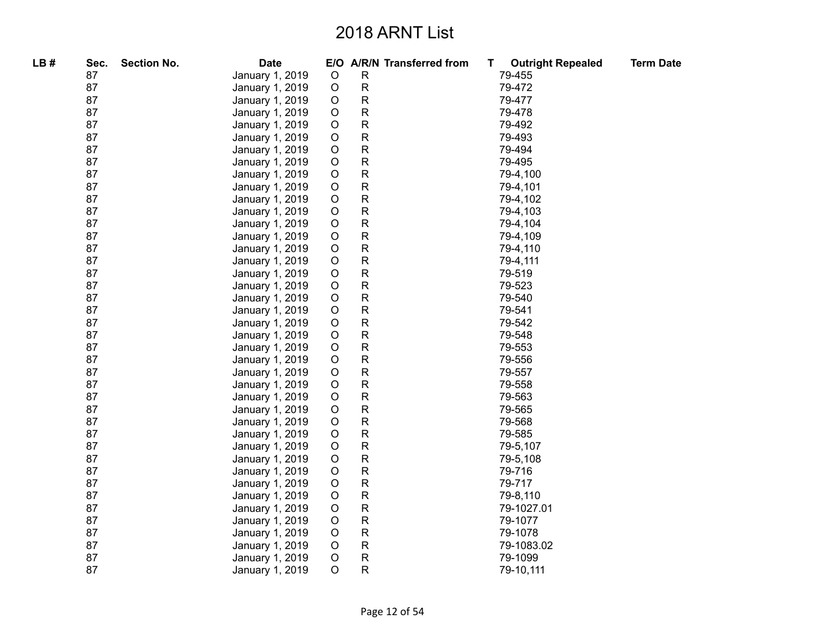| LB# | Sec. | <b>Section No.</b> | <b>Date</b>     |             | E/O A/R/N Transferred from | <b>Outright Repealed</b><br>T. | <b>Term Date</b> |
|-----|------|--------------------|-----------------|-------------|----------------------------|--------------------------------|------------------|
|     | 87   |                    | January 1, 2019 | O           | R                          | 79-455                         |                  |
|     | 87   |                    | January 1, 2019 | $\mathsf O$ | ${\sf R}$                  | 79-472                         |                  |
|     | 87   |                    | January 1, 2019 | O           | ${\sf R}$                  | 79-477                         |                  |
|     | 87   |                    | January 1, 2019 | O           | ${\sf R}$                  | 79-478                         |                  |
|     | 87   |                    | January 1, 2019 | O           | $\mathsf{R}$               | 79-492                         |                  |
|     | 87   |                    | January 1, 2019 | $\circ$     | ${\sf R}$                  | 79-493                         |                  |
|     | 87   |                    | January 1, 2019 | $\circ$     | ${\sf R}$                  | 79-494                         |                  |
|     | 87   |                    | January 1, 2019 | $\circ$     | ${\sf R}$                  | 79-495                         |                  |
|     | 87   |                    | January 1, 2019 | $\mathsf O$ | ${\sf R}$                  | 79-4,100                       |                  |
|     | 87   |                    | January 1, 2019 | $\mathsf O$ | ${\sf R}$                  | 79-4,101                       |                  |
|     | 87   |                    | January 1, 2019 | $\circ$     | $\mathsf{R}$               | 79-4,102                       |                  |
|     | 87   |                    | January 1, 2019 | $\circ$     | ${\sf R}$                  | 79-4,103                       |                  |
|     | 87   |                    | January 1, 2019 | $\circ$     | R                          | 79-4,104                       |                  |
|     | 87   |                    | January 1, 2019 | $\mathsf O$ | $\mathsf{R}$               | 79-4,109                       |                  |
|     | 87   |                    | January 1, 2019 | $\circ$     | ${\sf R}$                  | 79-4,110                       |                  |
|     | 87   |                    | January 1, 2019 | $\circ$     | ${\sf R}$                  | 79-4,111                       |                  |
|     | 87   |                    | January 1, 2019 | $\circ$     | $\mathsf{R}$               | 79-519                         |                  |
|     | 87   |                    | January 1, 2019 | $\circ$     | $\mathsf{R}$               | 79-523                         |                  |
|     | 87   |                    | January 1, 2019 | $\circ$     | ${\sf R}$                  | 79-540                         |                  |
|     | 87   |                    | January 1, 2019 | $\mathsf O$ | ${\sf R}$                  | 79-541                         |                  |
|     | 87   |                    | January 1, 2019 | $\mathsf O$ | ${\sf R}$                  | 79-542                         |                  |
|     | 87   |                    | January 1, 2019 | $\mathsf O$ | ${\sf R}$                  | 79-548                         |                  |
|     | 87   |                    | January 1, 2019 | $\mathsf O$ | ${\sf R}$                  | 79-553                         |                  |
|     | 87   |                    | January 1, 2019 | $\mathsf O$ | ${\sf R}$                  | 79-556                         |                  |
|     | 87   |                    | January 1, 2019 | O           | ${\sf R}$                  | 79-557                         |                  |
|     | 87   |                    | January 1, 2019 | O           | ${\sf R}$                  | 79-558                         |                  |
|     | 87   |                    | January 1, 2019 | $\mathsf O$ | ${\sf R}$                  | 79-563                         |                  |
|     | 87   |                    | January 1, 2019 | O           | ${\sf R}$                  | 79-565                         |                  |
|     | 87   |                    | January 1, 2019 | O           | ${\sf R}$                  | 79-568                         |                  |
|     | 87   |                    | January 1, 2019 | O           | ${\sf R}$                  | 79-585                         |                  |
|     | 87   |                    | January 1, 2019 | $\mathsf O$ | ${\sf R}$                  | 79-5,107                       |                  |
|     | 87   |                    | January 1, 2019 | $\circ$     | $\mathsf R$                | 79-5,108                       |                  |
|     | 87   |                    | January 1, 2019 | $\circ$     | ${\sf R}$                  | 79-716                         |                  |
|     | 87   |                    | January 1, 2019 | $\circ$     | ${\sf R}$                  | 79-717                         |                  |
|     | 87   |                    | January 1, 2019 | $\mathsf O$ | ${\sf R}$                  | 79-8,110                       |                  |
|     | 87   |                    | January 1, 2019 | $\mathsf O$ | $\mathsf R$                | 79-1027.01                     |                  |
|     | 87   |                    | January 1, 2019 | $\circ$     | ${\sf R}$                  | 79-1077                        |                  |
|     | 87   |                    | January 1, 2019 | $\circ$     | ${\sf R}$                  | 79-1078                        |                  |
|     | 87   |                    | January 1, 2019 | $\circ$     | $\mathsf{R}$               | 79-1083.02                     |                  |
|     | 87   |                    | January 1, 2019 | $\mathsf O$ | $\mathsf R$                | 79-1099                        |                  |
|     | 87   |                    | January 1, 2019 | $\circ$     | $\mathsf R$                | 79-10,111                      |                  |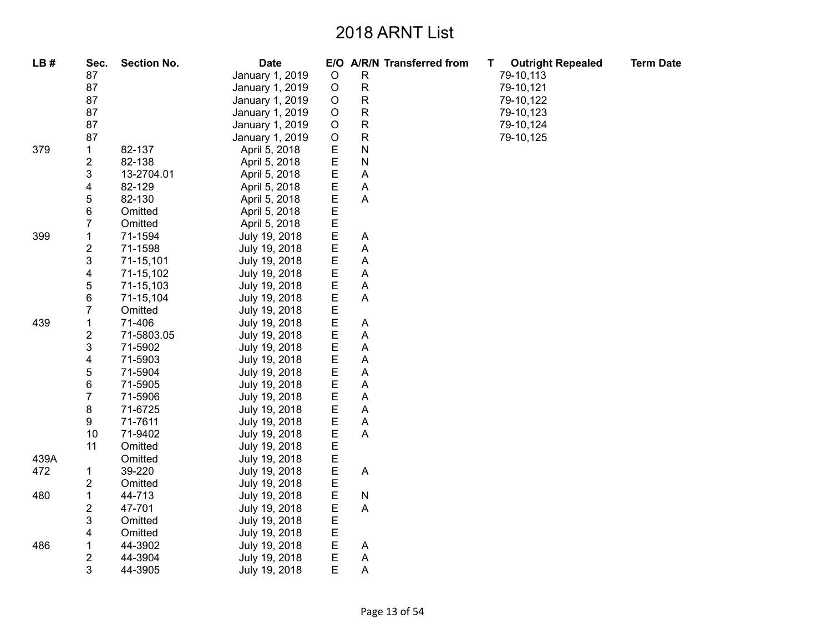| LB#  | Sec.                | <b>Section No.</b> | <b>Date</b>     |                  | E/O A/R/N Transferred from | <b>Outright Repealed</b><br>T. | <b>Term Date</b> |
|------|---------------------|--------------------|-----------------|------------------|----------------------------|--------------------------------|------------------|
|      | 87                  |                    | January 1, 2019 | $\circ$          | $\mathsf{R}$               | 79-10,113                      |                  |
|      | 87                  |                    | January 1, 2019 | $\circ$          | ${\sf R}$                  | 79-10,121                      |                  |
|      | 87                  |                    | January 1, 2019 | $\mathsf O$      | ${\sf R}$                  | 79-10,122                      |                  |
|      | 87                  |                    | January 1, 2019 | $\circ$          | ${\sf R}$                  | 79-10,123                      |                  |
|      | 87                  |                    | January 1, 2019 | $\mathsf O$      | ${\sf R}$                  | 79-10,124                      |                  |
|      | 87                  |                    | January 1, 2019 | $\mathsf O$      | ${\sf R}$                  | 79-10,125                      |                  |
| 379  | $\mathbf 1$         | 82-137             | April 5, 2018   | E                | $\mathsf{N}$               |                                |                  |
|      | $\overline{c}$      | 82-138             | April 5, 2018   | E                | $\mathsf{N}$               |                                |                  |
|      | 3                   | 13-2704.01         | April 5, 2018   | E                | Α                          |                                |                  |
|      | 4                   | 82-129             | April 5, 2018   | $\mathsf E$      | Α                          |                                |                  |
|      | 5                   | 82-130             | April 5, 2018   | E                | A                          |                                |                  |
|      | 6                   | Omitted            | April 5, 2018   | E                |                            |                                |                  |
|      | 7                   | Omitted            | April 5, 2018   | E                |                            |                                |                  |
| 399  | 1                   | 71-1594            | July 19, 2018   | E                | A                          |                                |                  |
|      | $\overline{2}$      | 71-1598            | July 19, 2018   | E                | Α                          |                                |                  |
|      | 3                   | 71-15,101          | July 19, 2018   | E                | A                          |                                |                  |
|      | 4                   | 71-15,102          | July 19, 2018   | E                | A                          |                                |                  |
|      | 5                   | 71-15,103          | July 19, 2018   | E                | A                          |                                |                  |
|      | 6                   | 71-15,104          | July 19, 2018   | E                | A                          |                                |                  |
|      | 7                   | Omitted            | July 19, 2018   | Е                |                            |                                |                  |
| 439  | 1                   | 71-406             | July 19, 2018   | E                | Α                          |                                |                  |
|      | $\overline{c}$      | 71-5803.05         | July 19, 2018   | E                | A                          |                                |                  |
|      | 3                   | 71-5902            | July 19, 2018   | E                | Α                          |                                |                  |
|      | 4                   | 71-5903            | July 19, 2018   | E                | A                          |                                |                  |
|      | 5                   | 71-5904            | July 19, 2018   | E                | Α                          |                                |                  |
|      | 6                   | 71-5905            | July 19, 2018   | E                | A                          |                                |                  |
|      | 7                   | 71-5906            | July 19, 2018   | E                | Α                          |                                |                  |
|      | 8                   | 71-6725            | July 19, 2018   | E                | Α                          |                                |                  |
|      | 9                   | 71-7611            | July 19, 2018   | E                | A                          |                                |                  |
|      | 10                  | 71-9402            | July 19, 2018   | E                | A                          |                                |                  |
|      | 11                  | Omitted            | July 19, 2018   | E                |                            |                                |                  |
| 439A |                     | Omitted            | July 19, 2018   | E                |                            |                                |                  |
| 472  | 1                   | 39-220             | July 19, 2018   | E                | A                          |                                |                  |
|      | 2                   | Omitted            | July 19, 2018   | E                |                            |                                |                  |
| 480  | 1                   | 44-713             | July 19, 2018   | E                | ${\sf N}$                  |                                |                  |
|      | $\overline{c}$      | 47-701             | July 19, 2018   | E                | A                          |                                |                  |
|      | 3                   | Omitted            | July 19, 2018   | E                |                            |                                |                  |
|      | 4                   | Omitted            | July 19, 2018   | E                |                            |                                |                  |
| 486  | 1                   | 44-3902            | July 19, 2018   | E                | Α                          |                                |                  |
|      | $\overline{c}$<br>3 | 44-3904            | July 19, 2018   | $\mathsf E$<br>E | A                          |                                |                  |
|      |                     | 44-3905            | July 19, 2018   |                  | Α                          |                                |                  |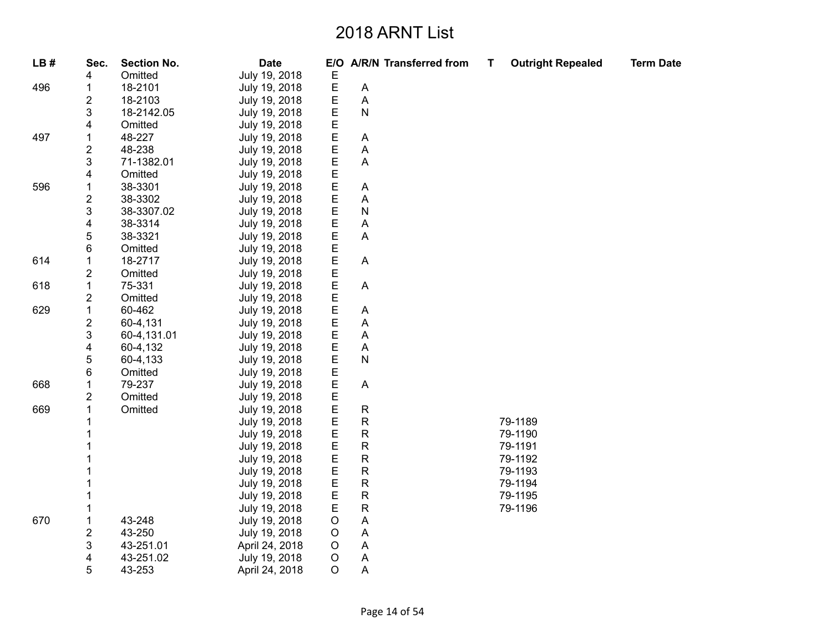| LB# | Sec.                    | <b>Section No.</b> | <b>Date</b>    |             |                           | E/O A/R/N Transferred from | T. | <b>Outright Repealed</b> | <b>Term Date</b> |
|-----|-------------------------|--------------------|----------------|-------------|---------------------------|----------------------------|----|--------------------------|------------------|
|     | 4                       | Omitted            | July 19, 2018  | E           |                           |                            |    |                          |                  |
| 496 | 1                       | 18-2101            | July 19, 2018  | Е           | A                         |                            |    |                          |                  |
|     | 2                       | 18-2103            | July 19, 2018  | Ε           | Α                         |                            |    |                          |                  |
|     | 3                       | 18-2142.05         | July 19, 2018  | E           | ${\sf N}$                 |                            |    |                          |                  |
|     | 4                       | Omitted            | July 19, 2018  | E           |                           |                            |    |                          |                  |
| 497 | 1                       | 48-227             | July 19, 2018  | E           | A                         |                            |    |                          |                  |
|     | $\overline{\mathbf{c}}$ | 48-238             | July 19, 2018  | Е           | A                         |                            |    |                          |                  |
|     | 3                       | 71-1382.01         | July 19, 2018  | E           | A                         |                            |    |                          |                  |
|     | 4                       | Omitted            | July 19, 2018  | E           |                           |                            |    |                          |                  |
| 596 | 1                       | 38-3301            | July 19, 2018  | E           | $\boldsymbol{\mathsf{A}}$ |                            |    |                          |                  |
|     | $\boldsymbol{2}$        | 38-3302            | July 19, 2018  | E           | Α                         |                            |    |                          |                  |
|     | 3                       | 38-3307.02         | July 19, 2018  | E           | N                         |                            |    |                          |                  |
|     | 4                       | 38-3314            | July 19, 2018  | E           | Α                         |                            |    |                          |                  |
|     | 5                       | 38-3321            | July 19, 2018  | E           | A                         |                            |    |                          |                  |
|     | 6                       | Omitted            | July 19, 2018  | E           |                           |                            |    |                          |                  |
| 614 |                         | 18-2717            | July 19, 2018  | E           | A                         |                            |    |                          |                  |
|     | 2                       | Omitted            | July 19, 2018  | E           |                           |                            |    |                          |                  |
| 618 | 1                       | 75-331             | July 19, 2018  | E           | A                         |                            |    |                          |                  |
|     | 2                       | Omitted            | July 19, 2018  | E           |                           |                            |    |                          |                  |
| 629 | 1                       | 60-462             | July 19, 2018  | E           | A                         |                            |    |                          |                  |
|     | $\overline{\mathbf{c}}$ | 60-4,131           | July 19, 2018  | Ε           | A                         |                            |    |                          |                  |
|     | 3                       | 60-4,131.01        | July 19, 2018  | E           | $\boldsymbol{\mathsf{A}}$ |                            |    |                          |                  |
|     | 4                       | 60-4,132           | July 19, 2018  | E           | A                         |                            |    |                          |                  |
|     | 5                       | 60-4,133           | July 19, 2018  | E           | ${\sf N}$                 |                            |    |                          |                  |
|     | 6                       | Omitted            | July 19, 2018  | E           |                           |                            |    |                          |                  |
| 668 | 1                       | 79-237             | July 19, 2018  | E           | A                         |                            |    |                          |                  |
|     | 2                       | Omitted            | July 19, 2018  | E           |                           |                            |    |                          |                  |
| 669 | 1                       | Omitted            | July 19, 2018  | E           | ${\sf R}$                 |                            |    |                          |                  |
|     |                         |                    | July 19, 2018  | Ε           | $\mathsf{R}$              |                            |    | 79-1189                  |                  |
|     |                         |                    | July 19, 2018  | E           | $\mathsf{R}$              |                            |    | 79-1190                  |                  |
|     |                         |                    | July 19, 2018  | E           | ${\sf R}$                 |                            |    | 79-1191                  |                  |
|     |                         |                    | July 19, 2018  | E           | ${\sf R}$                 |                            |    | 79-1192                  |                  |
|     |                         |                    | July 19, 2018  | E           | ${\sf R}$                 |                            |    | 79-1193                  |                  |
|     |                         |                    | July 19, 2018  | E           | ${\sf R}$                 |                            |    | 79-1194                  |                  |
|     |                         |                    | July 19, 2018  | E           | ${\sf R}$                 |                            |    | 79-1195                  |                  |
|     |                         |                    | July 19, 2018  | E           | ${\sf R}$                 |                            |    | 79-1196                  |                  |
| 670 | 1                       | 43-248             | July 19, 2018  | $\mathsf O$ | $\boldsymbol{\mathsf{A}}$ |                            |    |                          |                  |
|     | $\boldsymbol{2}$        | 43-250             | July 19, 2018  | $\circ$     | A                         |                            |    |                          |                  |
|     | 3                       | 43-251.01          | April 24, 2018 | O           | A                         |                            |    |                          |                  |
|     | 4                       | 43-251.02          | July 19, 2018  | $\circ$     | Α                         |                            |    |                          |                  |
|     | 5                       | 43-253             | April 24, 2018 | O           | A                         |                            |    |                          |                  |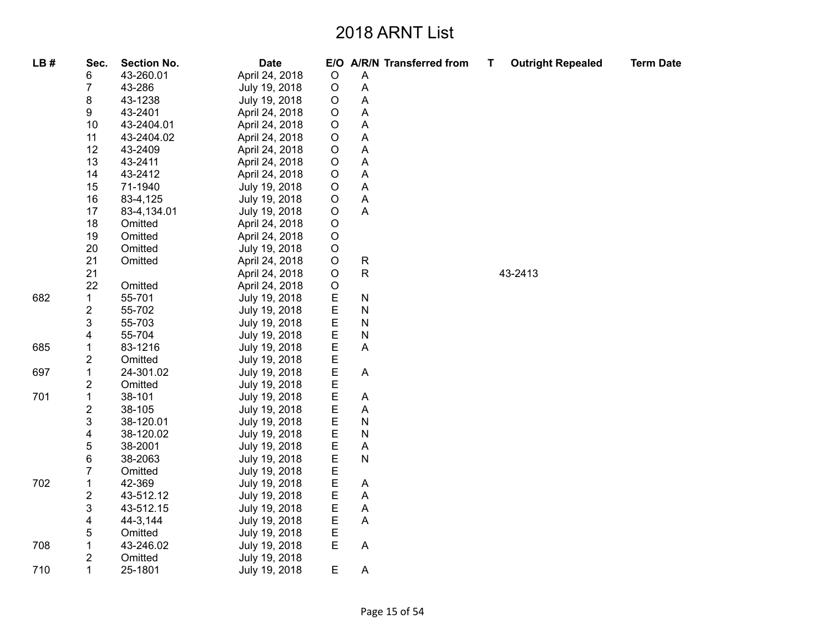| LB# | Sec.                    | <b>Section No.</b> | <b>Date</b>    |             | E/O A/R/N Transferred from | T | <b>Outright Repealed</b> | <b>Term Date</b> |
|-----|-------------------------|--------------------|----------------|-------------|----------------------------|---|--------------------------|------------------|
|     | 6                       | 43-260.01          | April 24, 2018 | $\circ$     | A                          |   |                          |                  |
|     | $\overline{7}$          | 43-286             | July 19, 2018  | $\mathsf O$ | A                          |   |                          |                  |
|     | 8                       | 43-1238            | July 19, 2018  | O           | A                          |   |                          |                  |
|     | 9                       | 43-2401            | April 24, 2018 | O           | Α                          |   |                          |                  |
|     | 10                      | 43-2404.01         | April 24, 2018 | O           | $\mathsf A$                |   |                          |                  |
|     | 11                      | 43-2404.02         | April 24, 2018 | $\mathsf O$ | A                          |   |                          |                  |
|     | 12                      | 43-2409            | April 24, 2018 | O           | A                          |   |                          |                  |
|     | 13                      | 43-2411            | April 24, 2018 | O           | $\boldsymbol{\mathsf{A}}$  |   |                          |                  |
|     | 14                      | 43-2412            | April 24, 2018 | $\mathsf O$ | $\overline{A}$             |   |                          |                  |
|     | 15                      | 71-1940            | July 19, 2018  | O           | Α                          |   |                          |                  |
|     | 16                      | 83-4,125           | July 19, 2018  | O           | A                          |   |                          |                  |
|     | 17                      | 83-4,134.01        | July 19, 2018  | $\circ$     | A                          |   |                          |                  |
|     | 18                      | Omitted            | April 24, 2018 | $\mathsf O$ |                            |   |                          |                  |
|     | 19                      | Omitted            | April 24, 2018 | $\mathsf O$ |                            |   |                          |                  |
|     | 20                      | Omitted            | July 19, 2018  | $\circ$     |                            |   |                          |                  |
|     | 21                      | Omitted            | April 24, 2018 | O           | $\mathsf{R}$               |   |                          |                  |
|     | 21                      |                    | April 24, 2018 | $\circ$     | $\mathsf{R}$               |   | 43-2413                  |                  |
|     | 22                      | Omitted            | April 24, 2018 | $\mathsf O$ |                            |   |                          |                  |
| 682 | 1                       | 55-701             | July 19, 2018  | E           | ${\sf N}$                  |   |                          |                  |
|     | 2                       | 55-702             | July 19, 2018  | E           | ${\sf N}$                  |   |                          |                  |
|     | 3                       | 55-703             | July 19, 2018  | Е           | ${\sf N}$                  |   |                          |                  |
|     | 4                       | 55-704             | July 19, 2018  | E           | ${\sf N}$                  |   |                          |                  |
| 685 | $\mathbf{1}$            | 83-1216            | July 19, 2018  | E           | A                          |   |                          |                  |
|     | $\overline{\mathbf{c}}$ | Omitted            | July 19, 2018  | Е           |                            |   |                          |                  |
| 697 | 1                       | 24-301.02          | July 19, 2018  | E           | A                          |   |                          |                  |
|     | 2                       | Omitted            | July 19, 2018  | E           |                            |   |                          |                  |
| 701 | 1                       | 38-101             | July 19, 2018  | Е           | A                          |   |                          |                  |
|     | $\overline{\mathbf{c}}$ | 38-105             | July 19, 2018  | E           | A                          |   |                          |                  |
|     | 3                       | 38-120.01          | July 19, 2018  | E           | ${\sf N}$                  |   |                          |                  |
|     | 4                       | 38-120.02          | July 19, 2018  | E           | ${\sf N}$                  |   |                          |                  |
|     | 5                       | 38-2001            | July 19, 2018  | $\mathsf E$ | A                          |   |                          |                  |
|     | 6                       | 38-2063            | July 19, 2018  | E           | $\mathsf{N}$               |   |                          |                  |
|     | $\overline{7}$          | Omitted            | July 19, 2018  | E           |                            |   |                          |                  |
| 702 | 1                       | 42-369             | July 19, 2018  | E           | A                          |   |                          |                  |
|     | $\overline{\mathbf{c}}$ | 43-512.12          | July 19, 2018  | E           | A                          |   |                          |                  |
|     | 3                       | 43-512.15          | July 19, 2018  | E           | A                          |   |                          |                  |
|     | 4                       | 44-3,144           | July 19, 2018  | E           | A                          |   |                          |                  |
|     | 5                       | Omitted            | July 19, 2018  | E           |                            |   |                          |                  |
| 708 | $\mathbf{1}$            | 43-246.02          | July 19, 2018  | $\mathsf E$ | Α                          |   |                          |                  |
|     | 2                       | Omitted            | July 19, 2018  |             |                            |   |                          |                  |
| 710 | 1                       | 25-1801            | July 19, 2018  | Е           | Α                          |   |                          |                  |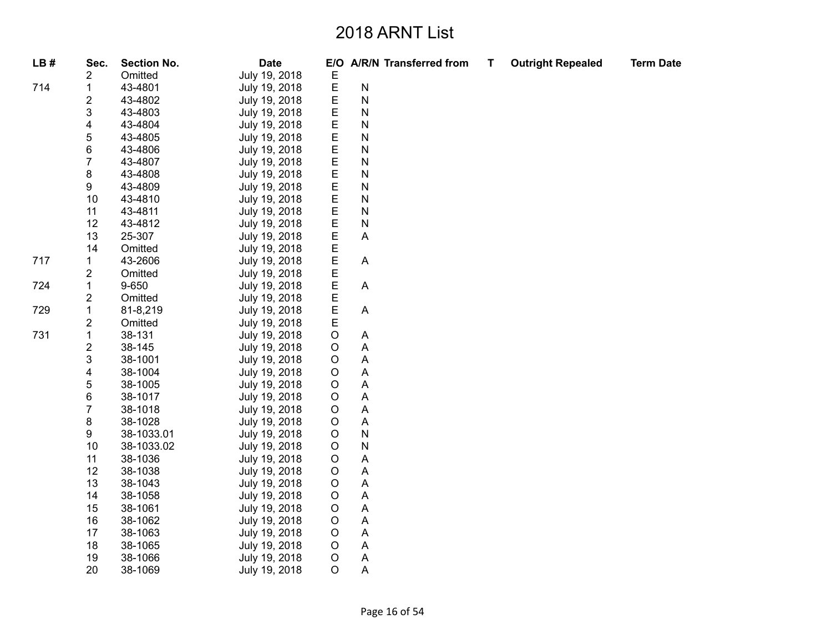| LB# | Sec.                    | <b>Section No.</b> | <b>Date</b>   |             | E/O A/R/N Transferred from | Т | <b>Outright Repealed</b> | <b>Term Date</b> |
|-----|-------------------------|--------------------|---------------|-------------|----------------------------|---|--------------------------|------------------|
|     | 2                       | Omitted            | July 19, 2018 | E           |                            |   |                          |                  |
| 714 | $\mathbf{1}$            | 43-4801            | July 19, 2018 | $\mathsf E$ | ${\sf N}$                  |   |                          |                  |
|     | 2                       | 43-4802            | July 19, 2018 | E           | $\mathsf{N}$               |   |                          |                  |
|     | 3                       | 43-4803            | July 19, 2018 | E           | ${\sf N}$                  |   |                          |                  |
|     | 4                       | 43-4804            | July 19, 2018 | E           | $\mathsf{N}$               |   |                          |                  |
|     | 5                       | 43-4805            | July 19, 2018 | E           | ${\sf N}$                  |   |                          |                  |
|     | 6                       | 43-4806            | July 19, 2018 | E           | ${\sf N}$                  |   |                          |                  |
|     | 7                       | 43-4807            | July 19, 2018 | $\mathsf E$ | $\mathsf{N}$               |   |                          |                  |
|     | 8                       | 43-4808            | July 19, 2018 | E           | $\mathsf{N}$               |   |                          |                  |
|     | 9                       | 43-4809            | July 19, 2018 | E           | ${\sf N}$                  |   |                          |                  |
|     | 10                      | 43-4810            | July 19, 2018 | E           | $\mathsf{N}$               |   |                          |                  |
|     | 11                      | 43-4811            | July 19, 2018 | E           | $\mathsf{N}$               |   |                          |                  |
|     | 12                      | 43-4812            | July 19, 2018 | E           | $\mathsf{N}$               |   |                          |                  |
|     | 13                      | 25-307             | July 19, 2018 | E           | $\boldsymbol{\mathsf{A}}$  |   |                          |                  |
|     | 14                      | Omitted            | July 19, 2018 | Е           |                            |   |                          |                  |
| 717 | 1                       | 43-2606            | July 19, 2018 | E           | $\boldsymbol{\mathsf{A}}$  |   |                          |                  |
|     | 2                       | Omitted            | July 19, 2018 | E           |                            |   |                          |                  |
| 724 | $\mathbf{1}$            | 9-650              | July 19, 2018 | E           | $\boldsymbol{\mathsf{A}}$  |   |                          |                  |
|     | 2                       | Omitted            | July 19, 2018 | E           |                            |   |                          |                  |
| 729 | $\mathbf{1}$            | 81-8,219           | July 19, 2018 | E           | $\mathsf A$                |   |                          |                  |
|     | 2                       | Omitted            | July 19, 2018 | E           |                            |   |                          |                  |
| 731 | $\mathbf 1$             | 38-131             | July 19, 2018 | $\mathsf O$ | $\mathsf{A}$               |   |                          |                  |
|     | $\overline{\mathbf{c}}$ | 38-145             | July 19, 2018 | $\mathsf O$ | A                          |   |                          |                  |
|     | 3                       | 38-1001            | July 19, 2018 | $\mathsf O$ | A                          |   |                          |                  |
|     | 4                       | 38-1004            | July 19, 2018 | $\mathsf O$ | $\boldsymbol{\mathsf{A}}$  |   |                          |                  |
|     | 5                       | 38-1005            | July 19, 2018 | $\mathsf O$ | $\boldsymbol{\mathsf{A}}$  |   |                          |                  |
|     | 6                       | 38-1017            | July 19, 2018 | $\mathsf O$ | $\boldsymbol{\mathsf{A}}$  |   |                          |                  |
|     | $\overline{7}$          | 38-1018            | July 19, 2018 | $\mathsf O$ | A                          |   |                          |                  |
|     | 8                       | 38-1028            | July 19, 2018 | $\mathsf O$ | $\boldsymbol{\mathsf{A}}$  |   |                          |                  |
|     | 9                       | 38-1033.01         | July 19, 2018 | $\mathsf O$ | ${\sf N}$                  |   |                          |                  |
|     | 10                      | 38-1033.02         | July 19, 2018 | $\mathsf O$ | $\mathsf{N}$               |   |                          |                  |
|     | 11                      | 38-1036            | July 19, 2018 | $\mathsf O$ | A                          |   |                          |                  |
|     | 12                      | 38-1038            | July 19, 2018 | O           | $\boldsymbol{\mathsf{A}}$  |   |                          |                  |
|     | 13                      | 38-1043            | July 19, 2018 | $\mathsf O$ | A                          |   |                          |                  |
|     | 14                      | 38-1058            | July 19, 2018 | $\mathsf O$ | A                          |   |                          |                  |
|     | 15                      | 38-1061            | July 19, 2018 | $\mathsf O$ | A                          |   |                          |                  |
|     | 16                      | 38-1062            | July 19, 2018 | $\mathsf O$ | A                          |   |                          |                  |
|     | 17                      | 38-1063            | July 19, 2018 | $\mathsf O$ | $\boldsymbol{\mathsf{A}}$  |   |                          |                  |
|     | 18                      | 38-1065            | July 19, 2018 | $\mathsf O$ | A                          |   |                          |                  |
|     | 19                      | 38-1066            | July 19, 2018 | $\mathsf O$ | $\mathsf{A}$               |   |                          |                  |
|     | 20                      | 38-1069            | July 19, 2018 | $\circ$     | A                          |   |                          |                  |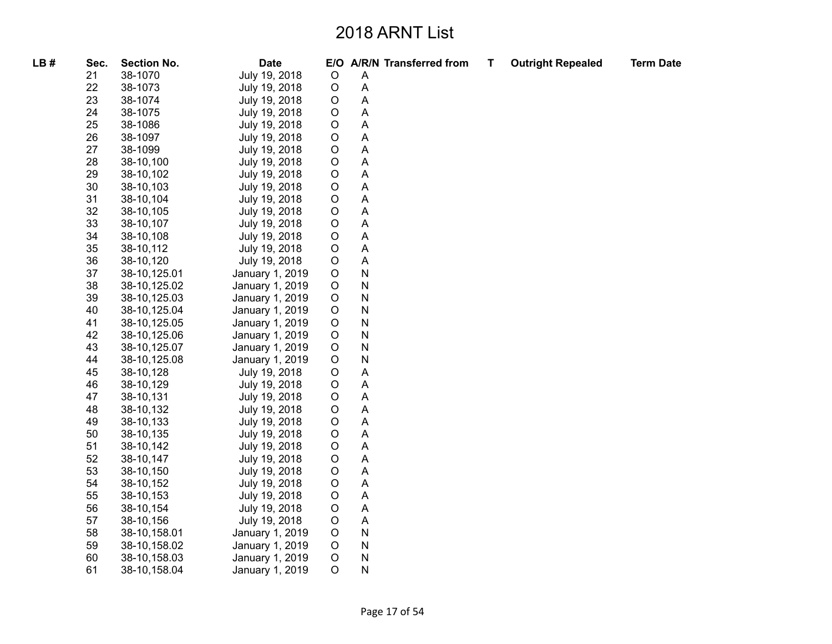| LB# | Sec. | <b>Section No.</b> | <b>Date</b>     |             |   | E/O A/R/N Transferred from | T | <b>Outright Repealed</b> | <b>Term Date</b> |
|-----|------|--------------------|-----------------|-------------|---|----------------------------|---|--------------------------|------------------|
|     | 21   | 38-1070            | July 19, 2018   | $\circ$     | Α |                            |   |                          |                  |
|     | 22   | 38-1073            | July 19, 2018   | $\mathsf O$ | Α |                            |   |                          |                  |
|     | 23   | 38-1074            | July 19, 2018   | $\circ$     | A |                            |   |                          |                  |
|     | 24   | 38-1075            | July 19, 2018   | $\mathsf O$ | A |                            |   |                          |                  |
|     | 25   | 38-1086            | July 19, 2018   | $\mathsf O$ | A |                            |   |                          |                  |
|     | 26   | 38-1097            | July 19, 2018   | $\circ$     | A |                            |   |                          |                  |
|     | 27   | 38-1099            | July 19, 2018   | $\circ$     | A |                            |   |                          |                  |
|     | 28   | 38-10,100          | July 19, 2018   | $\mathsf O$ | A |                            |   |                          |                  |
|     | 29   | 38-10,102          | July 19, 2018   | $\mathsf O$ | A |                            |   |                          |                  |
|     | 30   | 38-10,103          | July 19, 2018   | $\circ$     | A |                            |   |                          |                  |
|     | 31   | 38-10,104          | July 19, 2018   | $\mathsf O$ | A |                            |   |                          |                  |
|     | 32   | 38-10,105          | July 19, 2018   | $\mathsf O$ | A |                            |   |                          |                  |
|     | 33   | 38-10,107          | July 19, 2018   | $\mathsf O$ | A |                            |   |                          |                  |
|     | 34   | 38-10,108          | July 19, 2018   | $\mathsf O$ | A |                            |   |                          |                  |
|     | 35   | 38-10,112          | July 19, 2018   | $\mathsf O$ | A |                            |   |                          |                  |
|     | 36   | 38-10,120          | July 19, 2018   | $\mathsf O$ | A |                            |   |                          |                  |
|     | 37   | 38-10,125.01       | January 1, 2019 | $\mathsf O$ | N |                            |   |                          |                  |
|     | 38   | 38-10, 125.02      | January 1, 2019 | $\circ$     | N |                            |   |                          |                  |
|     | 39   | 38-10,125.03       | January 1, 2019 | $\mathsf O$ | N |                            |   |                          |                  |
|     | 40   | 38-10,125.04       | January 1, 2019 | $\circ$     | N |                            |   |                          |                  |
|     | 41   | 38-10,125.05       | January 1, 2019 | $\circ$     | N |                            |   |                          |                  |
|     | 42   | 38-10,125.06       | January 1, 2019 | $\mathsf O$ | N |                            |   |                          |                  |
|     | 43   | 38-10, 125.07      | January 1, 2019 | $\circ$     | N |                            |   |                          |                  |
|     | 44   | 38-10,125.08       | January 1, 2019 | $\circ$     | N |                            |   |                          |                  |
|     | 45   | 38-10,128          | July 19, 2018   | $\mathsf O$ | A |                            |   |                          |                  |
|     | 46   | 38-10,129          | July 19, 2018   | $\mathsf O$ | Α |                            |   |                          |                  |
|     | 47   | 38-10,131          | July 19, 2018   | $\circ$     | A |                            |   |                          |                  |
|     | 48   | 38-10,132          | July 19, 2018   | $\mathsf O$ | A |                            |   |                          |                  |
|     | 49   | 38-10,133          | July 19, 2018   | $\mathsf O$ | A |                            |   |                          |                  |
|     | 50   | 38-10,135          | July 19, 2018   | $\mathsf O$ | Α |                            |   |                          |                  |
|     | 51   | 38-10,142          | July 19, 2018   | $\mathsf O$ | Α |                            |   |                          |                  |
|     | 52   | 38-10,147          | July 19, 2018   | $\mathsf O$ | A |                            |   |                          |                  |
|     | 53   | 38-10,150          | July 19, 2018   | $\mathsf O$ | A |                            |   |                          |                  |
|     | 54   | 38-10,152          | July 19, 2018   | $\mathsf O$ | A |                            |   |                          |                  |
|     | 55   | 38-10,153          | July 19, 2018   | $\circ$     | Α |                            |   |                          |                  |
|     | 56   | 38-10,154          | July 19, 2018   | $\mathsf O$ | A |                            |   |                          |                  |
|     | 57   | 38-10,156          | July 19, 2018   | $\mathsf O$ | A |                            |   |                          |                  |
|     | 58   | 38-10,158.01       | January 1, 2019 | $\mathsf O$ | N |                            |   |                          |                  |
|     | 59   | 38-10,158.02       | January 1, 2019 | $\mathsf O$ | N |                            |   |                          |                  |
|     | 60   | 38-10,158.03       | January 1, 2019 | $\mathsf O$ | N |                            |   |                          |                  |
|     | 61   | 38-10, 158.04      | January 1, 2019 | $\circ$     | N |                            |   |                          |                  |
|     |      |                    |                 |             |   |                            |   |                          |                  |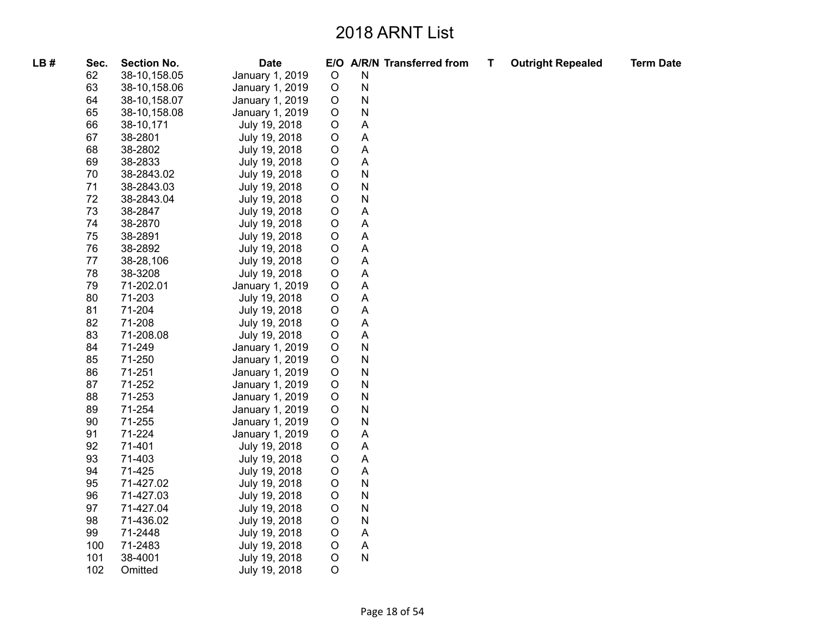| LB# | Sec. | <b>Section No.</b> | <b>Date</b>     |             |   | E/O A/R/N Transferred from | т | <b>Outright Repealed</b> | <b>Term Date</b> |
|-----|------|--------------------|-----------------|-------------|---|----------------------------|---|--------------------------|------------------|
|     | 62   | 38-10,158.05       | January 1, 2019 | $\mathsf O$ | N |                            |   |                          |                  |
|     | 63   | 38-10, 158.06      | January 1, 2019 | $\circ$     | N |                            |   |                          |                  |
|     | 64   | 38-10, 158.07      | January 1, 2019 | $\circ$     | N |                            |   |                          |                  |
|     | 65   | 38-10,158.08       | January 1, 2019 | $\circ$     | N |                            |   |                          |                  |
|     | 66   | 38-10,171          | July 19, 2018   | $\circ$     | A |                            |   |                          |                  |
|     | 67   | 38-2801            | July 19, 2018   | $\circ$     | Α |                            |   |                          |                  |
|     | 68   | 38-2802            | July 19, 2018   | $\circ$     | Α |                            |   |                          |                  |
|     | 69   | 38-2833            | July 19, 2018   | $\circ$     | A |                            |   |                          |                  |
|     | 70   | 38-2843.02         | July 19, 2018   | $\circ$     | N |                            |   |                          |                  |
|     | 71   | 38-2843.03         | July 19, 2018   | $\circ$     | N |                            |   |                          |                  |
|     | 72   | 38-2843.04         | July 19, 2018   | $\circ$     | N |                            |   |                          |                  |
|     | 73   | 38-2847            | July 19, 2018   | $\circ$     | A |                            |   |                          |                  |
|     | 74   | 38-2870            | July 19, 2018   | $\mathsf O$ | Α |                            |   |                          |                  |
|     | 75   | 38-2891            | July 19, 2018   | $\circ$     | Α |                            |   |                          |                  |
|     | 76   | 38-2892            | July 19, 2018   | O           | A |                            |   |                          |                  |
|     | 77   | 38-28,106          | July 19, 2018   | O           | A |                            |   |                          |                  |
|     | 78   | 38-3208            | July 19, 2018   | $\circ$     | A |                            |   |                          |                  |
|     | 79   | 71-202.01          | January 1, 2019 | $\circ$     | Α |                            |   |                          |                  |
|     | 80   | 71-203             | July 19, 2018   | $\circ$     | A |                            |   |                          |                  |
|     | 81   | 71-204             | July 19, 2018   | $\circ$     | A |                            |   |                          |                  |
|     | 82   | 71-208             | July 19, 2018   | $\circ$     | A |                            |   |                          |                  |
|     | 83   | 71-208.08          | July 19, 2018   | $\circ$     | Α |                            |   |                          |                  |
|     | 84   | 71-249             | January 1, 2019 | $\circ$     | N |                            |   |                          |                  |
|     | 85   | 71-250             | January 1, 2019 | $\mathsf O$ | N |                            |   |                          |                  |
|     | 86   | 71-251             | January 1, 2019 | $\circ$     | N |                            |   |                          |                  |
|     | 87   | 71-252             | January 1, 2019 | $\circ$     | N |                            |   |                          |                  |
|     | 88   | 71-253             | January 1, 2019 | $\circ$     | N |                            |   |                          |                  |
|     | 89   | 71-254             | January 1, 2019 | $\circ$     | N |                            |   |                          |                  |
|     | 90   | 71-255             | January 1, 2019 | $\circ$     | N |                            |   |                          |                  |
|     | 91   | 71-224             | January 1, 2019 | $\circ$     | Α |                            |   |                          |                  |
|     | 92   | 71-401             | July 19, 2018   | O           | Α |                            |   |                          |                  |
|     | 93   | 71-403             | July 19, 2018   | $\circ$     | A |                            |   |                          |                  |
|     | 94   | 71-425             | July 19, 2018   | $\circ$     | Α |                            |   |                          |                  |
|     | 95   | 71-427.02          | July 19, 2018   | $\mathsf O$ | N |                            |   |                          |                  |
|     | 96   | 71-427.03          | July 19, 2018   | $\circ$     | N |                            |   |                          |                  |
|     | 97   | 71-427.04          | July 19, 2018   | $\circ$     | N |                            |   |                          |                  |
|     | 98   | 71-436.02          | July 19, 2018   | $\circ$     | N |                            |   |                          |                  |
|     | 99   | 71-2448            | July 19, 2018   | $\circ$     | Α |                            |   |                          |                  |
|     | 100  | 71-2483            | July 19, 2018   | $\circ$     | Α |                            |   |                          |                  |
|     | 101  | 38-4001            | July 19, 2018   | $\mathsf O$ | N |                            |   |                          |                  |
|     | 102  | Omitted            | July 19, 2018   | $\circ$     |   |                            |   |                          |                  |
|     |      |                    |                 |             |   |                            |   |                          |                  |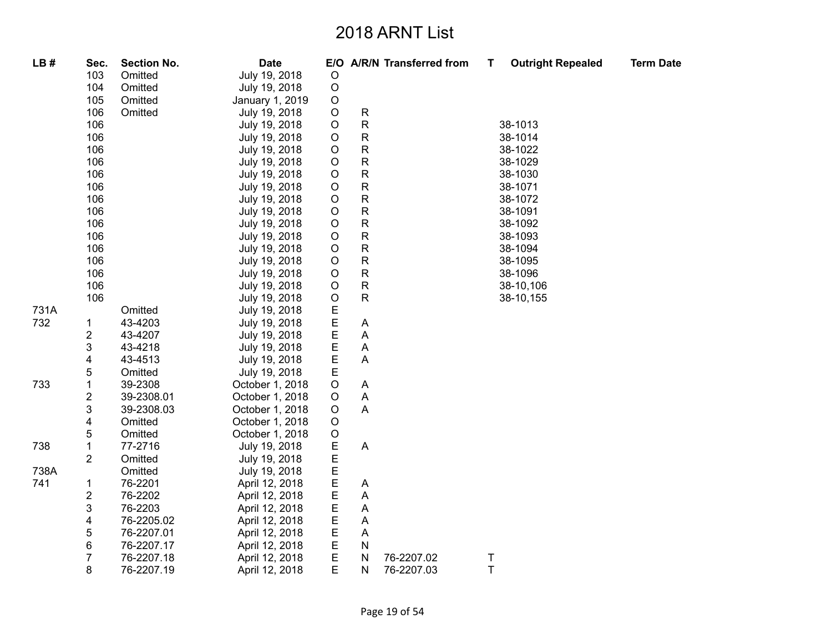| LB#  | Sec.           | <b>Section No.</b> | <b>Date</b>     |             |                | E/O A/R/N Transferred from | T           | <b>Outright Repealed</b> | <b>Term Date</b> |
|------|----------------|--------------------|-----------------|-------------|----------------|----------------------------|-------------|--------------------------|------------------|
|      | 103            | Omitted            | July 19, 2018   | O           |                |                            |             |                          |                  |
|      | 104            | Omitted            | July 19, 2018   | $\circ$     |                |                            |             |                          |                  |
|      | 105            | Omitted            | January 1, 2019 | O           |                |                            |             |                          |                  |
|      | 106            | Omitted            | July 19, 2018   | $\circ$     | R              |                            |             |                          |                  |
|      | 106            |                    | July 19, 2018   | O           | R              |                            |             | 38-1013                  |                  |
|      | 106            |                    | July 19, 2018   | O           | ${\sf R}$      |                            |             | 38-1014                  |                  |
|      | 106            |                    | July 19, 2018   | $\circ$     | R              |                            |             | 38-1022                  |                  |
|      | 106            |                    | July 19, 2018   | O           | ${\sf R}$      |                            |             | 38-1029                  |                  |
|      | 106            |                    | July 19, 2018   | $\circ$     | ${\sf R}$      |                            |             | 38-1030                  |                  |
|      | 106            |                    | July 19, 2018   | O           | ${\sf R}$      |                            |             | 38-1071                  |                  |
|      | 106            |                    | July 19, 2018   | $\bigcirc$  | ${\sf R}$      |                            |             | 38-1072                  |                  |
|      | 106            |                    | July 19, 2018   | O           | ${\sf R}$      |                            |             | 38-1091                  |                  |
|      | 106            |                    | July 19, 2018   | O           | R              |                            |             | 38-1092                  |                  |
|      | 106            |                    | July 19, 2018   | O           | ${\sf R}$      |                            |             | 38-1093                  |                  |
|      | 106            |                    | July 19, 2018   | $\circ$     | R              |                            |             | 38-1094                  |                  |
|      | 106            |                    | July 19, 2018   | O           | R              |                            |             | 38-1095                  |                  |
|      | 106            |                    | July 19, 2018   | $\circ$     | ${\sf R}$      |                            |             | 38-1096                  |                  |
|      | 106            |                    | July 19, 2018   | $\circ$     | R              |                            |             | 38-10,106                |                  |
|      | 106            |                    | July 19, 2018   | $\circ$     | $\mathsf{R}$   |                            |             | 38-10,155                |                  |
| 731A |                | Omitted            | July 19, 2018   | $\mathsf E$ |                |                            |             |                          |                  |
| 732  | 1              | 43-4203            | July 19, 2018   | $\mathsf E$ | A              |                            |             |                          |                  |
|      | 2              | 43-4207            | July 19, 2018   | E           | A              |                            |             |                          |                  |
|      | 3              | 43-4218            | July 19, 2018   | E           | A              |                            |             |                          |                  |
|      | 4              | 43-4513            | July 19, 2018   | $\mathsf E$ | A              |                            |             |                          |                  |
|      | 5              | Omitted            | July 19, 2018   | Е           |                |                            |             |                          |                  |
| 733  | 1              | 39-2308            | October 1, 2018 | $\circ$     | A              |                            |             |                          |                  |
|      | 2              | 39-2308.01         | October 1, 2018 | O           | A              |                            |             |                          |                  |
|      | 3              | 39-2308.03         | October 1, 2018 | O           | $\overline{A}$ |                            |             |                          |                  |
|      | 4              | Omitted            | October 1, 2018 | $\circ$     |                |                            |             |                          |                  |
|      | 5              | Omitted            | October 1, 2018 | $\circ$     |                |                            |             |                          |                  |
| 738  | 1              | 77-2716            | July 19, 2018   | E           | A              |                            |             |                          |                  |
|      | $\overline{2}$ | Omitted            | July 19, 2018   | $\mathsf E$ |                |                            |             |                          |                  |
| 738A |                | Omitted            | July 19, 2018   | $\mathsf E$ |                |                            |             |                          |                  |
| 741  | 1              | 76-2201            | April 12, 2018  | $\mathsf E$ | A              |                            |             |                          |                  |
|      | 2              | 76-2202            | April 12, 2018  | Е           | Α              |                            |             |                          |                  |
|      | 3              | 76-2203            | April 12, 2018  | E           | A              |                            |             |                          |                  |
|      | 4              | 76-2205.02         | April 12, 2018  | E           | A              |                            |             |                          |                  |
|      | 5              | 76-2207.01         | April 12, 2018  | $\mathsf E$ | Α              |                            |             |                          |                  |
|      | 6              | 76-2207.17         | April 12, 2018  | $\mathsf E$ | N              |                            |             |                          |                  |
|      | 7              | 76-2207.18         | April 12, 2018  | E           | ${\sf N}$      | 76-2207.02                 | Τ           |                          |                  |
|      | 8              | 76-2207.19         | April 12, 2018  | E           | ${\sf N}$      | 76-2207.03                 | $\mathsf T$ |                          |                  |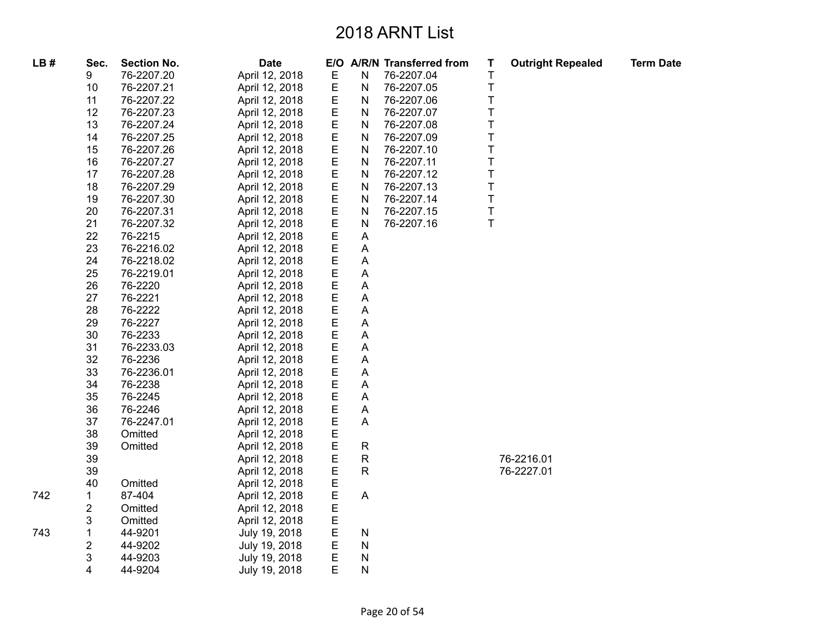| LB# | Sec. | <b>Section No.</b> | <b>Date</b>    |             |              | E/O A/R/N Transferred from | Т       | <b>Outright Repealed</b> | <b>Term Date</b> |
|-----|------|--------------------|----------------|-------------|--------------|----------------------------|---------|--------------------------|------------------|
|     | 9    | 76-2207.20         | April 12, 2018 | Е           | N            | 76-2207.04                 | Τ       |                          |                  |
|     | 10   | 76-2207.21         | April 12, 2018 | $\mathsf E$ | ${\sf N}$    | 76-2207.05                 | T       |                          |                  |
|     | 11   | 76-2207.22         | April 12, 2018 | $\mathsf E$ | ${\sf N}$    | 76-2207.06                 | T       |                          |                  |
|     | 12   | 76-2207.23         | April 12, 2018 | $\mathsf E$ | N            | 76-2207.07                 | T       |                          |                  |
|     | 13   | 76-2207.24         | April 12, 2018 | E           | N            | 76-2207.08                 | T       |                          |                  |
|     | 14   | 76-2207.25         | April 12, 2018 | $\mathsf E$ | ${\sf N}$    | 76-2207.09                 | T       |                          |                  |
|     | 15   | 76-2207.26         | April 12, 2018 | $\mathsf E$ | N            | 76-2207.10                 | T       |                          |                  |
|     | 16   | 76-2207.27         | April 12, 2018 | $\mathsf E$ | $\mathsf{N}$ | 76-2207.11                 | $\sf T$ |                          |                  |
|     | 17   | 76-2207.28         | April 12, 2018 | $\mathsf E$ | N            | 76-2207.12                 | T       |                          |                  |
|     | 18   | 76-2207.29         | April 12, 2018 | E           | N            | 76-2207.13                 | T       |                          |                  |
|     | 19   | 76-2207.30         | April 12, 2018 | $\mathsf E$ | ${\sf N}$    | 76-2207.14                 | $\top$  |                          |                  |
|     | 20   | 76-2207.31         | April 12, 2018 | E           | N            | 76-2207.15                 | $\top$  |                          |                  |
|     | 21   | 76-2207.32         | April 12, 2018 | E           | N            | 76-2207.16                 | $\top$  |                          |                  |
|     | 22   | 76-2215            | April 12, 2018 | $\mathsf E$ | Α            |                            |         |                          |                  |
|     | 23   | 76-2216.02         | April 12, 2018 | E           | Α            |                            |         |                          |                  |
|     | 24   | 76-2218.02         | April 12, 2018 | E           | A            |                            |         |                          |                  |
|     | 25   | 76-2219.01         | April 12, 2018 | E           | A            |                            |         |                          |                  |
|     | 26   | 76-2220            | April 12, 2018 | E           | A            |                            |         |                          |                  |
|     | 27   | 76-2221            | April 12, 2018 | Е           | Α            |                            |         |                          |                  |
|     | 28   | 76-2222            | April 12, 2018 | Е           | Α            |                            |         |                          |                  |
|     | 29   | 76-2227            | April 12, 2018 | E           | Α            |                            |         |                          |                  |
|     | 30   | 76-2233            | April 12, 2018 | $\mathsf E$ | A            |                            |         |                          |                  |
|     | 31   | 76-2233.03         | April 12, 2018 | E           | A            |                            |         |                          |                  |
|     | 32   | 76-2236            | April 12, 2018 | Е           | A            |                            |         |                          |                  |
|     | 33   | 76-2236.01         | April 12, 2018 | Е           | Α            |                            |         |                          |                  |
|     | 34   | 76-2238            | April 12, 2018 | Е           | A            |                            |         |                          |                  |
|     | 35   | 76-2245            | April 12, 2018 | $\mathsf E$ | Α            |                            |         |                          |                  |
|     | 36   | 76-2246            | April 12, 2018 | Е           | Α            |                            |         |                          |                  |
|     | 37   | 76-2247.01         | April 12, 2018 | E           | A            |                            |         |                          |                  |
|     | 38   | Omitted            | April 12, 2018 | E           |              |                            |         |                          |                  |
|     | 39   | Omitted            | April 12, 2018 | $\mathsf E$ | $\mathsf{R}$ |                            |         |                          |                  |
|     | 39   |                    | April 12, 2018 | E           | R            |                            |         | 76-2216.01               |                  |
|     | 39   |                    | April 12, 2018 | Е           | $\mathsf R$  |                            |         | 76-2227.01               |                  |
|     | 40   | Omitted            | April 12, 2018 | Е           |              |                            |         |                          |                  |
| 742 | 1    | 87-404             | April 12, 2018 | E           | A            |                            |         |                          |                  |
|     | 2    | Omitted            | April 12, 2018 | $\mathsf E$ |              |                            |         |                          |                  |
|     | 3    | Omitted            | April 12, 2018 | E           |              |                            |         |                          |                  |
| 743 | 1    | 44-9201            | July 19, 2018  | E           | Ν            |                            |         |                          |                  |
|     | 2    | 44-9202            | July 19, 2018  | E           | ${\sf N}$    |                            |         |                          |                  |
|     | 3    | 44-9203            | July 19, 2018  | E           | N            |                            |         |                          |                  |
|     | 4    | 44-9204            | July 19, 2018  | E           | Ν            |                            |         |                          |                  |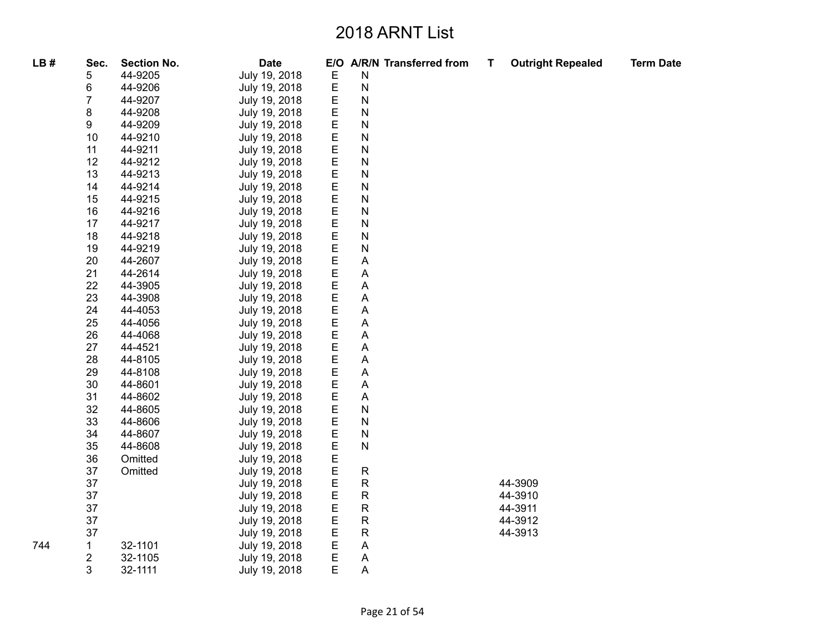| LB# | Sec.             | <b>Section No.</b> | <b>Date</b>   |   | E/O A/R/N Transferred from | T. | <b>Outright Repealed</b> | <b>Term Date</b> |
|-----|------------------|--------------------|---------------|---|----------------------------|----|--------------------------|------------------|
|     | 5                | 44-9205            | July 19, 2018 | E | N                          |    |                          |                  |
|     | 6                | 44-9206            | July 19, 2018 | E | N                          |    |                          |                  |
|     | 7                | 44-9207            | July 19, 2018 | E | N                          |    |                          |                  |
|     | 8                | 44-9208            | July 19, 2018 | E | N                          |    |                          |                  |
|     | 9                | 44-9209            | July 19, 2018 | E | N                          |    |                          |                  |
|     | 10               | 44-9210            | July 19, 2018 | E | N                          |    |                          |                  |
|     | 11               | 44-9211            | July 19, 2018 | E | N                          |    |                          |                  |
|     | 12               | 44-9212            | July 19, 2018 | E | N                          |    |                          |                  |
|     | 13               | 44-9213            | July 19, 2018 | E | N                          |    |                          |                  |
|     | 14               | 44-9214            | July 19, 2018 | E | N                          |    |                          |                  |
|     | 15               | 44-9215            | July 19, 2018 | E | N                          |    |                          |                  |
|     | 16               | 44-9216            | July 19, 2018 | E | N                          |    |                          |                  |
|     | 17               | 44-9217            | July 19, 2018 | E | N                          |    |                          |                  |
|     | 18               | 44-9218            | July 19, 2018 | E | N                          |    |                          |                  |
|     | 19               | 44-9219            | July 19, 2018 | E | N                          |    |                          |                  |
|     | 20               | 44-2607            | July 19, 2018 | Ε | Α                          |    |                          |                  |
|     | 21               | 44-2614            | July 19, 2018 | E | Α                          |    |                          |                  |
|     | 22               | 44-3905            | July 19, 2018 | E | A                          |    |                          |                  |
|     | 23               | 44-3908            | July 19, 2018 | E | Α                          |    |                          |                  |
|     | 24               | 44-4053            | July 19, 2018 | E | Α                          |    |                          |                  |
|     | 25               | 44-4056            | July 19, 2018 | E | Α                          |    |                          |                  |
|     | 26               | 44-4068            | July 19, 2018 | E | Α                          |    |                          |                  |
|     | 27               | 44-4521            | July 19, 2018 | E | A                          |    |                          |                  |
|     | 28               | 44-8105            | July 19, 2018 | E | Α                          |    |                          |                  |
|     | 29               | 44-8108            | July 19, 2018 | E | A                          |    |                          |                  |
|     | 30               | 44-8601            | July 19, 2018 | E | Α                          |    |                          |                  |
|     | 31               | 44-8602            | July 19, 2018 | E | Α                          |    |                          |                  |
|     | 32               | 44-8605            | July 19, 2018 | E | N                          |    |                          |                  |
|     | 33               | 44-8606            | July 19, 2018 | E | N                          |    |                          |                  |
|     | 34               | 44-8607            | July 19, 2018 | E | N                          |    |                          |                  |
|     | 35               | 44-8608            | July 19, 2018 | E | N                          |    |                          |                  |
|     | 36               | Omitted            | July 19, 2018 | E |                            |    |                          |                  |
|     | 37               | Omitted            | July 19, 2018 | E | $\mathsf R$                |    |                          |                  |
|     | 37               |                    | July 19, 2018 | E | R                          |    | 44-3909                  |                  |
|     | 37               |                    | July 19, 2018 | E | ${\sf R}$                  |    | 44-3910                  |                  |
|     | 37               |                    | July 19, 2018 | E | R                          |    | 44-3911                  |                  |
|     | 37               |                    | July 19, 2018 | E | R                          |    | 44-3912                  |                  |
|     | 37               |                    | July 19, 2018 | E | R                          |    | 44-3913                  |                  |
| 744 | $\mathbf 1$      | 32-1101            | July 19, 2018 | E | Α                          |    |                          |                  |
|     | $\boldsymbol{2}$ | 32-1105            | July 19, 2018 | E | Α                          |    |                          |                  |
|     | 3                | 32-1111            | July 19, 2018 | E | A                          |    |                          |                  |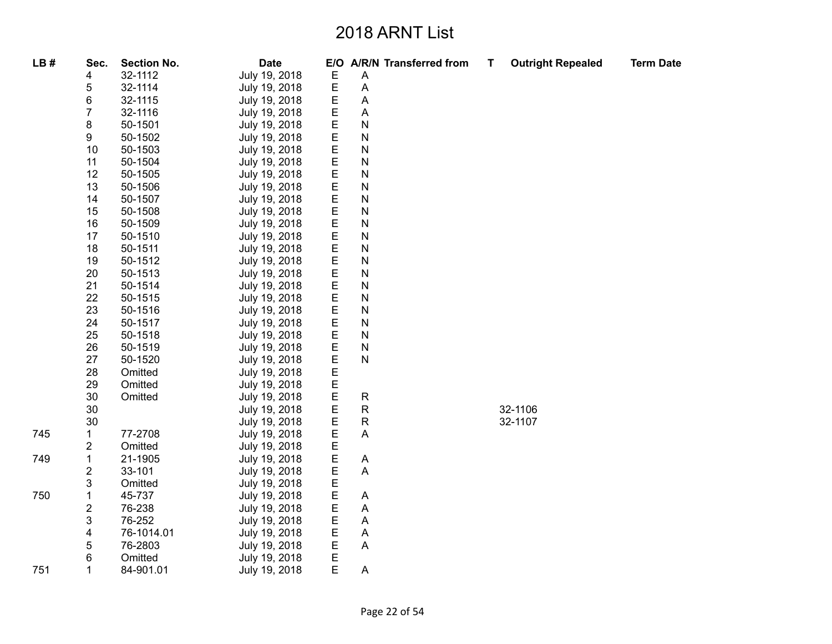| LB# | Sec. | <b>Section No.</b> | <b>Date</b>   |   | E/O A/R/N Transferred from | T | <b>Outright Repealed</b> | <b>Term Date</b> |
|-----|------|--------------------|---------------|---|----------------------------|---|--------------------------|------------------|
|     | 4    | 32-1112            | July 19, 2018 | Е | A                          |   |                          |                  |
|     | 5    | 32-1114            | July 19, 2018 | E | Α                          |   |                          |                  |
|     | 6    | 32-1115            | July 19, 2018 | Е | Α                          |   |                          |                  |
|     | 7    | 32-1116            | July 19, 2018 | E | Α                          |   |                          |                  |
|     | 8    | 50-1501            | July 19, 2018 | E | N                          |   |                          |                  |
|     | 9    | 50-1502            | July 19, 2018 | E | N                          |   |                          |                  |
|     | 10   | 50-1503            | July 19, 2018 | Е | N                          |   |                          |                  |
|     | 11   | 50-1504            | July 19, 2018 | E | N                          |   |                          |                  |
|     | 12   | 50-1505            | July 19, 2018 | E | N                          |   |                          |                  |
|     | 13   | 50-1506            | July 19, 2018 | E | N                          |   |                          |                  |
|     | 14   | 50-1507            | July 19, 2018 | E | N                          |   |                          |                  |
|     | 15   | 50-1508            | July 19, 2018 | E | N                          |   |                          |                  |
|     | 16   | 50-1509            | July 19, 2018 | E | N                          |   |                          |                  |
|     | 17   | 50-1510            | July 19, 2018 | E | N                          |   |                          |                  |
|     | 18   | 50-1511            | July 19, 2018 | E | N                          |   |                          |                  |
|     | 19   | 50-1512            | July 19, 2018 | Е | N                          |   |                          |                  |
|     | 20   | 50-1513            | July 19, 2018 | E | N                          |   |                          |                  |
|     | 21   | 50-1514            | July 19, 2018 | E | N                          |   |                          |                  |
|     | 22   | 50-1515            | July 19, 2018 | E | N                          |   |                          |                  |
|     | 23   | 50-1516            | July 19, 2018 | E | N                          |   |                          |                  |
|     | 24   | 50-1517            | July 19, 2018 | E | N                          |   |                          |                  |
|     | 25   | 50-1518            | July 19, 2018 | E | N                          |   |                          |                  |
|     | 26   | 50-1519            | July 19, 2018 | E | N                          |   |                          |                  |
|     | 27   | 50-1520            | July 19, 2018 | E | N                          |   |                          |                  |
|     | 28   | Omitted            | July 19, 2018 | E |                            |   |                          |                  |
|     | 29   | Omitted            | July 19, 2018 | E |                            |   |                          |                  |
|     | 30   | Omitted            | July 19, 2018 | E | ${\sf R}$                  |   |                          |                  |
|     | 30   |                    | July 19, 2018 | E | ${\sf R}$                  |   | 32-1106                  |                  |
|     | 30   |                    | July 19, 2018 | E | ${\sf R}$                  |   | 32-1107                  |                  |
| 745 | 1    | 77-2708            | July 19, 2018 | E | A                          |   |                          |                  |
|     | 2    | Omitted            | July 19, 2018 | E |                            |   |                          |                  |
| 749 | 1    | 21-1905            | July 19, 2018 | E | A                          |   |                          |                  |
|     | 2    | 33-101             | July 19, 2018 | E | A                          |   |                          |                  |
|     | 3    | Omitted            | July 19, 2018 | E |                            |   |                          |                  |
| 750 | 1    | 45-737             | July 19, 2018 | E | Α                          |   |                          |                  |
|     | 2    | 76-238             | July 19, 2018 | E | Α                          |   |                          |                  |
|     | 3    | 76-252             | July 19, 2018 | E | Α                          |   |                          |                  |
|     | 4    | 76-1014.01         | July 19, 2018 | E | A                          |   |                          |                  |
|     | 5    | 76-2803            | July 19, 2018 | E | Α                          |   |                          |                  |
|     | 6    | Omitted            | July 19, 2018 | E |                            |   |                          |                  |
| 751 | 1    | 84-901.01          | July 19, 2018 | E | Α                          |   |                          |                  |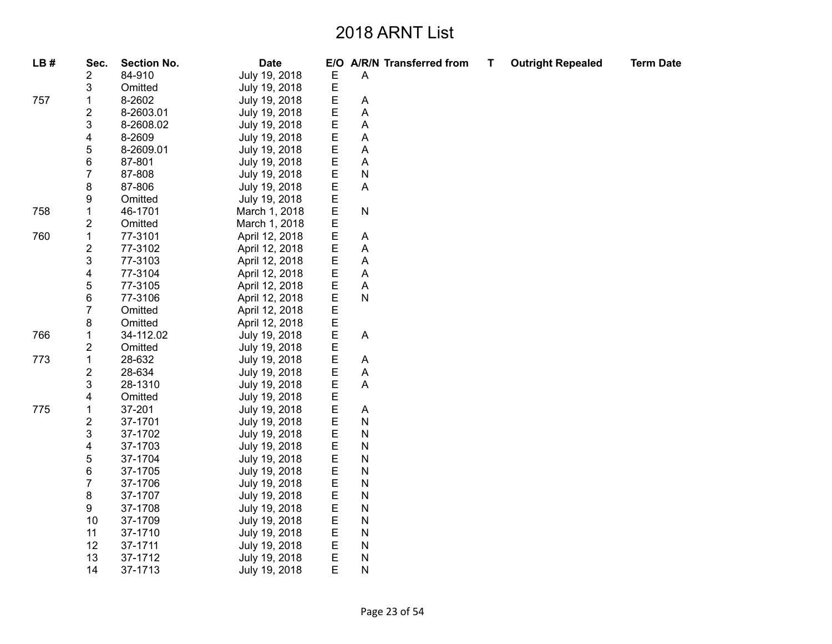| LB# | Sec.                    | <b>Section No.</b> | <b>Date</b>    | E/O |   | A/R/N Transferred from | Т | <b>Outright Repealed</b> | <b>Term Date</b> |
|-----|-------------------------|--------------------|----------------|-----|---|------------------------|---|--------------------------|------------------|
|     | 2                       | 84-910             | July 19, 2018  | E   | A |                        |   |                          |                  |
|     | 3                       | Omitted            | July 19, 2018  | E   |   |                        |   |                          |                  |
| 757 | 1                       | 8-2602             | July 19, 2018  | E   | A |                        |   |                          |                  |
|     | $\overline{\mathbf{c}}$ | 8-2603.01          | July 19, 2018  | E   | Α |                        |   |                          |                  |
|     | 3                       | 8-2608.02          | July 19, 2018  | E   | Α |                        |   |                          |                  |
|     | 4                       | 8-2609             | July 19, 2018  | E   | A |                        |   |                          |                  |
|     | 5                       | 8-2609.01          | July 19, 2018  | Ε   | Α |                        |   |                          |                  |
|     | 6                       | 87-801             | July 19, 2018  | Ε   | Α |                        |   |                          |                  |
|     | $\overline{7}$          | 87-808             | July 19, 2018  | E   | N |                        |   |                          |                  |
|     | 8                       | 87-806             | July 19, 2018  | E   | Α |                        |   |                          |                  |
|     | 9                       | Omitted            | July 19, 2018  | E   |   |                        |   |                          |                  |
| 758 | 1                       | 46-1701            | March 1, 2018  | E   | N |                        |   |                          |                  |
|     | 2                       | Omitted            | March 1, 2018  | E   |   |                        |   |                          |                  |
| 760 | $\mathbf 1$             | 77-3101            | April 12, 2018 | E   | Α |                        |   |                          |                  |
|     | $\overline{\mathbf{c}}$ | 77-3102            | April 12, 2018 | E   | Α |                        |   |                          |                  |
|     | 3                       | 77-3103            | April 12, 2018 | E   | Α |                        |   |                          |                  |
|     | 4                       | 77-3104            | April 12, 2018 | E   | A |                        |   |                          |                  |
|     | 5                       | 77-3105            | April 12, 2018 | E   | A |                        |   |                          |                  |
|     | 6                       | 77-3106            | April 12, 2018 | E   | N |                        |   |                          |                  |
|     | $\overline{7}$          | Omitted            | April 12, 2018 | E   |   |                        |   |                          |                  |
|     | 8                       | Omitted            | April 12, 2018 | E   |   |                        |   |                          |                  |
| 766 | $\mathbf 1$             | 34-112.02          | July 19, 2018  | E   | A |                        |   |                          |                  |
|     | 2                       | Omitted            | July 19, 2018  | E   |   |                        |   |                          |                  |
| 773 | $\mathbf 1$             | 28-632             | July 19, 2018  | E   | A |                        |   |                          |                  |
|     | $\overline{\mathbf{c}}$ | 28-634             | July 19, 2018  | E   | A |                        |   |                          |                  |
|     | 3                       | 28-1310            | July 19, 2018  | E   | A |                        |   |                          |                  |
|     | 4                       | Omitted            | July 19, 2018  | E   |   |                        |   |                          |                  |
| 775 | $\mathbf 1$             | 37-201             | July 19, 2018  | E   | A |                        |   |                          |                  |
|     | 2                       | 37-1701            | July 19, 2018  | E   | N |                        |   |                          |                  |
|     | 3                       | 37-1702            | July 19, 2018  | E   | N |                        |   |                          |                  |
|     | 4                       | 37-1703            | July 19, 2018  | E   | N |                        |   |                          |                  |
|     | 5                       | 37-1704            | July 19, 2018  | E   | N |                        |   |                          |                  |
|     | 6                       | 37-1705            | July 19, 2018  | E   | N |                        |   |                          |                  |
|     | $\overline{7}$          | 37-1706            | July 19, 2018  | E   | N |                        |   |                          |                  |
|     | 8                       | 37-1707            | July 19, 2018  | E   | N |                        |   |                          |                  |
|     | 9                       | 37-1708            | July 19, 2018  | E   | N |                        |   |                          |                  |
|     | 10                      | 37-1709            | July 19, 2018  | E   | N |                        |   |                          |                  |
|     | 11                      | 37-1710            | July 19, 2018  | E   | N |                        |   |                          |                  |
|     | 12                      | 37-1711            | July 19, 2018  | E   | N |                        |   |                          |                  |
|     | 13                      | 37-1712            | July 19, 2018  | E   | N |                        |   |                          |                  |
|     | 14                      | 37-1713            | July 19, 2018  | E   | N |                        |   |                          |                  |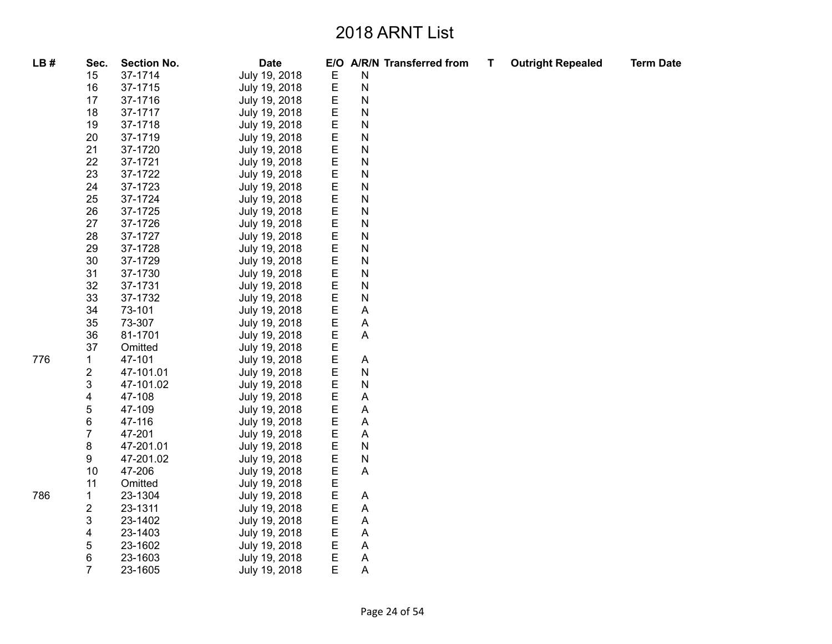| LB# | Sec.                    | <b>Section No.</b> | <b>Date</b>   |   |                           | E/O A/R/N Transferred from | Τ | <b>Outright Repealed</b> | <b>Term Date</b> |
|-----|-------------------------|--------------------|---------------|---|---------------------------|----------------------------|---|--------------------------|------------------|
|     | 15                      | 37-1714            | July 19, 2018 | Е | $\mathsf{N}$              |                            |   |                          |                  |
|     | 16                      | 37-1715            | July 19, 2018 | E | $\mathsf{N}$              |                            |   |                          |                  |
|     | 17                      | 37-1716            | July 19, 2018 | E | N                         |                            |   |                          |                  |
|     | 18                      | 37-1717            | July 19, 2018 | E | $\mathsf{N}$              |                            |   |                          |                  |
|     | 19                      | 37-1718            | July 19, 2018 | E | $\mathsf{N}$              |                            |   |                          |                  |
|     | 20                      | 37-1719            | July 19, 2018 | E | $\mathsf{N}$              |                            |   |                          |                  |
|     | 21                      | 37-1720            | July 19, 2018 | E | $\mathsf{N}$              |                            |   |                          |                  |
|     | 22                      | 37-1721            | July 19, 2018 | Е | $\mathsf{N}$              |                            |   |                          |                  |
|     | 23                      | 37-1722            | July 19, 2018 | E | $\mathsf{N}$              |                            |   |                          |                  |
|     | 24                      | 37-1723            | July 19, 2018 | E | ${\sf N}$                 |                            |   |                          |                  |
|     | 25                      | 37-1724            | July 19, 2018 | E | $\mathsf{N}$              |                            |   |                          |                  |
|     | 26                      | 37-1725            | July 19, 2018 | E | ${\sf N}$                 |                            |   |                          |                  |
|     | 27                      | 37-1726            | July 19, 2018 | E | $\mathsf{N}$              |                            |   |                          |                  |
|     | 28                      | 37-1727            | July 19, 2018 | E | $\mathsf{N}$              |                            |   |                          |                  |
|     | 29                      | 37-1728            | July 19, 2018 | E | ${\sf N}$                 |                            |   |                          |                  |
|     | 30                      | 37-1729            | July 19, 2018 | E | $\mathsf{N}$              |                            |   |                          |                  |
|     | 31                      | 37-1730            | July 19, 2018 | E | $\mathsf{N}$              |                            |   |                          |                  |
|     | 32                      | 37-1731            | July 19, 2018 | E | $\mathsf{N}$              |                            |   |                          |                  |
|     | 33                      | 37-1732            | July 19, 2018 | E | ${\sf N}$                 |                            |   |                          |                  |
|     | 34                      | 73-101             | July 19, 2018 | E | $\mathsf{A}$              |                            |   |                          |                  |
|     | 35                      | 73-307             | July 19, 2018 | E | $\mathsf{A}$              |                            |   |                          |                  |
|     | 36                      | 81-1701            | July 19, 2018 | E | $\boldsymbol{\mathsf{A}}$ |                            |   |                          |                  |
|     | 37                      | Omitted            | July 19, 2018 | E |                           |                            |   |                          |                  |
| 776 | $\mathbf 1$             | 47-101             | July 19, 2018 | E | $\boldsymbol{\mathsf{A}}$ |                            |   |                          |                  |
|     | $\overline{\mathbf{c}}$ | 47-101.01          | July 19, 2018 | E | ${\sf N}$                 |                            |   |                          |                  |
|     | 3                       | 47-101.02          | July 19, 2018 | E | ${\sf N}$                 |                            |   |                          |                  |
|     | 4                       | 47-108             | July 19, 2018 | Е | $\boldsymbol{\mathsf{A}}$ |                            |   |                          |                  |
|     | 5                       | 47-109             | July 19, 2018 | E | A                         |                            |   |                          |                  |
|     | 6                       | 47-116             | July 19, 2018 | E | $\boldsymbol{\mathsf{A}}$ |                            |   |                          |                  |
|     | $\overline{7}$          | 47-201             | July 19, 2018 | E | A                         |                            |   |                          |                  |
|     | 8                       | 47-201.01          | July 19, 2018 | E | $\mathsf{N}$              |                            |   |                          |                  |
|     | 9                       | 47-201.02          | July 19, 2018 | E | ${\sf N}$                 |                            |   |                          |                  |
|     | 10                      | 47-206             | July 19, 2018 | E | $\mathsf{A}$              |                            |   |                          |                  |
|     | 11                      | Omitted            | July 19, 2018 | E |                           |                            |   |                          |                  |
| 786 | $\mathbf{1}$            | 23-1304            | July 19, 2018 | E | A                         |                            |   |                          |                  |
|     | $\overline{\mathbf{c}}$ | 23-1311            | July 19, 2018 | E | $\mathsf{A}$              |                            |   |                          |                  |
|     | 3                       | 23-1402            | July 19, 2018 | E | A                         |                            |   |                          |                  |
|     | 4                       | 23-1403            | July 19, 2018 | E | $\boldsymbol{\mathsf{A}}$ |                            |   |                          |                  |
|     | 5                       | 23-1602            | July 19, 2018 | E | $\boldsymbol{\mathsf{A}}$ |                            |   |                          |                  |
|     | 6                       | 23-1603            | July 19, 2018 | Е | A                         |                            |   |                          |                  |
|     | $\overline{7}$          | 23-1605            | July 19, 2018 | E | $\mathsf{A}$              |                            |   |                          |                  |
|     |                         |                    |               |   |                           |                            |   |                          |                  |

786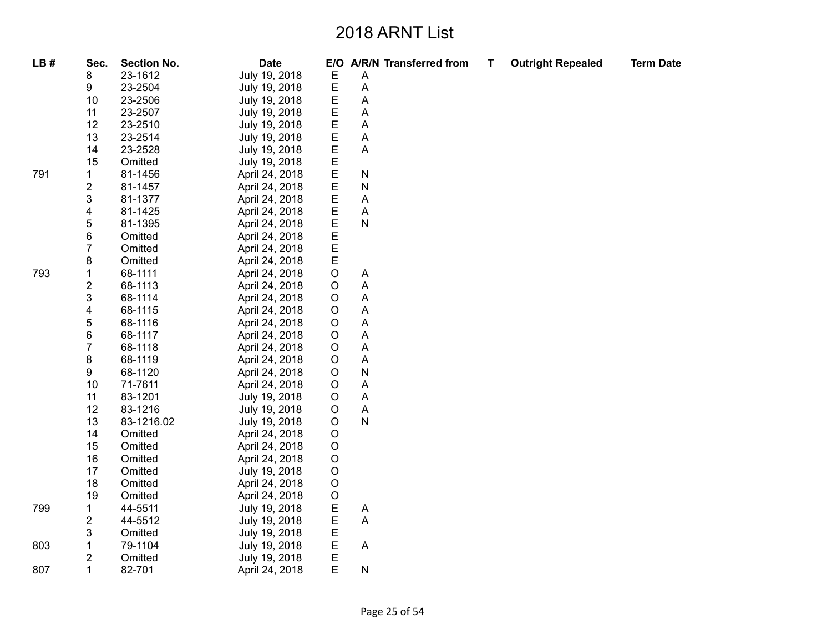| LB# | Sec.                    | <b>Section No.</b> | <b>Date</b>    |             |                | E/O A/R/N Transferred from | Τ | <b>Outright Repealed</b> | <b>Term Date</b> |
|-----|-------------------------|--------------------|----------------|-------------|----------------|----------------------------|---|--------------------------|------------------|
|     | 8                       | 23-1612            | July 19, 2018  | Е           | Α              |                            |   |                          |                  |
|     | 9                       | 23-2504            | July 19, 2018  | E           | A              |                            |   |                          |                  |
|     | 10                      | 23-2506            | July 19, 2018  | E           | A              |                            |   |                          |                  |
|     | 11                      | 23-2507            | July 19, 2018  | Ε           | Α              |                            |   |                          |                  |
|     | 12                      | 23-2510            | July 19, 2018  | E           | A              |                            |   |                          |                  |
|     | 13                      | 23-2514            | July 19, 2018  | E           | A              |                            |   |                          |                  |
|     | 14                      | 23-2528            | July 19, 2018  | $\mathsf E$ | A              |                            |   |                          |                  |
|     | 15                      | Omitted            | July 19, 2018  | Е           |                |                            |   |                          |                  |
| 791 | 1                       | 81-1456            | April 24, 2018 | E           | N              |                            |   |                          |                  |
|     | $\overline{\mathbf{c}}$ | 81-1457            | April 24, 2018 | E           | N              |                            |   |                          |                  |
|     | 3                       | 81-1377            | April 24, 2018 | E           | Α              |                            |   |                          |                  |
|     | 4                       | 81-1425            | April 24, 2018 | E           | A              |                            |   |                          |                  |
|     | 5                       | 81-1395            | April 24, 2018 | E           | N              |                            |   |                          |                  |
|     | 6                       | Omitted            | April 24, 2018 | $\mathsf E$ |                |                            |   |                          |                  |
|     | 7                       | Omitted            | April 24, 2018 | $\mathsf E$ |                |                            |   |                          |                  |
|     | 8                       | Omitted            | April 24, 2018 | $\mathsf E$ |                |                            |   |                          |                  |
| 793 | 1                       | 68-1111            | April 24, 2018 | $\mathsf O$ | A              |                            |   |                          |                  |
|     | 2                       | 68-1113            | April 24, 2018 | $\circ$     | Α              |                            |   |                          |                  |
|     | 3                       | 68-1114            | April 24, 2018 | $\mathsf O$ | A              |                            |   |                          |                  |
|     | 4                       | 68-1115            | April 24, 2018 | $\circ$     | Α              |                            |   |                          |                  |
|     | 5                       | 68-1116            | April 24, 2018 | $\circ$     | Α              |                            |   |                          |                  |
|     | 6                       | 68-1117            | April 24, 2018 | $\circ$     | Α              |                            |   |                          |                  |
|     | $\overline{7}$          | 68-1118            | April 24, 2018 | $\circ$     | A              |                            |   |                          |                  |
|     | 8                       | 68-1119            | April 24, 2018 | $\mathsf O$ | A              |                            |   |                          |                  |
|     | 9                       | 68-1120            | April 24, 2018 | $\circ$     | ${\sf N}$      |                            |   |                          |                  |
|     | 10                      | 71-7611            | April 24, 2018 | $\circ$     | Α              |                            |   |                          |                  |
|     | 11                      | 83-1201            | July 19, 2018  | $\circ$     | A              |                            |   |                          |                  |
|     | 12                      | 83-1216            | July 19, 2018  | $\mathsf O$ | $\overline{A}$ |                            |   |                          |                  |
|     | 13                      | 83-1216.02         | July 19, 2018  | $\circ$     | $\mathsf{N}$   |                            |   |                          |                  |
|     | 14                      | Omitted            | April 24, 2018 | $\circ$     |                |                            |   |                          |                  |
|     | 15                      | Omitted            | April 24, 2018 | $\mathsf O$ |                |                            |   |                          |                  |
|     | 16                      | Omitted            | April 24, 2018 | $\mathsf O$ |                |                            |   |                          |                  |
|     | 17                      | Omitted            | July 19, 2018  | $\mathsf O$ |                |                            |   |                          |                  |
|     | 18                      | Omitted            | April 24, 2018 | $\mathsf O$ |                |                            |   |                          |                  |
|     | 19                      | Omitted            | April 24, 2018 | $\mathsf O$ |                |                            |   |                          |                  |
| 799 | 1                       | 44-5511            | July 19, 2018  | E           | A              |                            |   |                          |                  |
|     | 2                       | 44-5512            | July 19, 2018  | E           | A              |                            |   |                          |                  |
|     | 3                       | Omitted            | July 19, 2018  | Е           |                |                            |   |                          |                  |
| 803 | $\mathbf 1$             | 79-1104            | July 19, 2018  | E           | Α              |                            |   |                          |                  |
|     | 2                       | Omitted            | July 19, 2018  | E           |                |                            |   |                          |                  |
| 807 | $\mathbf{1}$            | 82-701             | April 24, 2018 | E           | ${\sf N}$      |                            |   |                          |                  |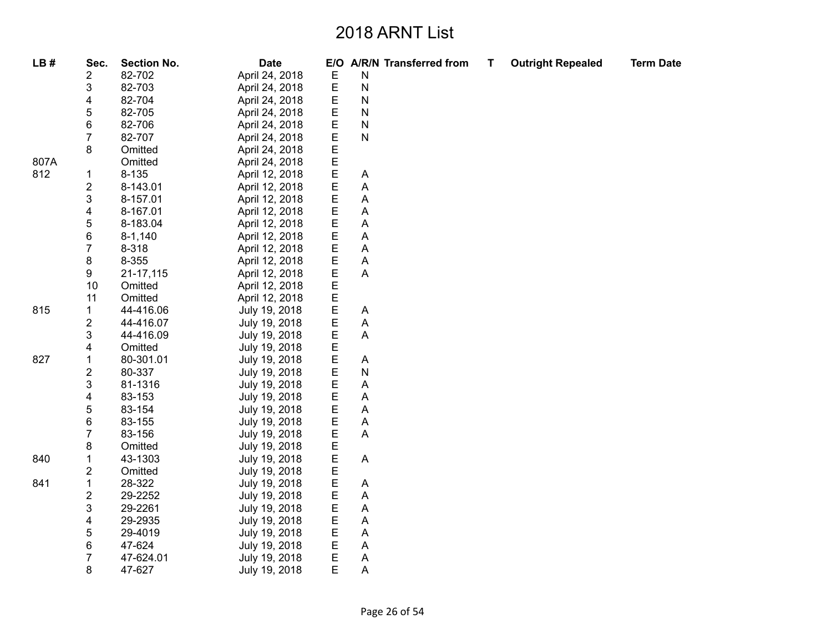| LB#  | Sec.                    | <b>Section No.</b> | <b>Date</b>    |        | E/O A/R/N Transferred from | Τ | <b>Outright Repealed</b> | <b>Term Date</b> |
|------|-------------------------|--------------------|----------------|--------|----------------------------|---|--------------------------|------------------|
|      | 2                       | 82-702             | April 24, 2018 | Е      | N                          |   |                          |                  |
|      | 3                       | 82-703             | April 24, 2018 | E      | N                          |   |                          |                  |
|      | 4                       | 82-704             | April 24, 2018 | E      | N                          |   |                          |                  |
|      | 5                       | 82-705             | April 24, 2018 | E      | N                          |   |                          |                  |
|      | 6                       | 82-706             | April 24, 2018 | E      | N                          |   |                          |                  |
|      | 7                       | 82-707             | April 24, 2018 | E      | N                          |   |                          |                  |
|      | 8                       | Omitted            | April 24, 2018 | E      |                            |   |                          |                  |
| 807A |                         | Omitted            | April 24, 2018 | E      |                            |   |                          |                  |
| 812  | 1                       | $8 - 135$          | April 12, 2018 | E      | A                          |   |                          |                  |
|      | 2                       | 8-143.01           | April 12, 2018 | E      | Α                          |   |                          |                  |
|      | 3                       | 8-157.01           | April 12, 2018 | E      | A                          |   |                          |                  |
|      | 4                       | 8-167.01           | April 12, 2018 | E      | Α                          |   |                          |                  |
|      | 5                       | 8-183.04           | April 12, 2018 | E      | A                          |   |                          |                  |
|      | 6                       | $8 - 1,140$        | April 12, 2018 | E      | A                          |   |                          |                  |
|      | $\overline{7}$          | 8-318              | April 12, 2018 | E      | Α                          |   |                          |                  |
|      | 8                       | 8-355              | April 12, 2018 | E      | A                          |   |                          |                  |
|      | 9                       | 21-17,115          | April 12, 2018 | E      | A                          |   |                          |                  |
|      | 10                      | Omitted            | April 12, 2018 | E      |                            |   |                          |                  |
|      | 11                      | Omitted            | April 12, 2018 | E      |                            |   |                          |                  |
| 815  | 1                       | 44-416.06          | July 19, 2018  | E      | A                          |   |                          |                  |
|      | 2                       | 44-416.07          | July 19, 2018  | E      | A                          |   |                          |                  |
|      | 3                       | 44-416.09          | July 19, 2018  | E      | A                          |   |                          |                  |
|      | 4                       | Omitted            | July 19, 2018  | E      |                            |   |                          |                  |
| 827  | 1                       | 80-301.01          | July 19, 2018  | Е      | A                          |   |                          |                  |
|      | 2                       | 80-337             | July 19, 2018  | E<br>E | N                          |   |                          |                  |
|      | 3                       | 81-1316            | July 19, 2018  |        | A                          |   |                          |                  |
|      | 4                       | 83-153             | July 19, 2018  | E      | A                          |   |                          |                  |
|      | 5                       | 83-154             | July 19, 2018  | E      | Α                          |   |                          |                  |
|      | 6                       | 83-155             | July 19, 2018  | E      | Α                          |   |                          |                  |
|      | 7                       | 83-156             | July 19, 2018  | E      | A                          |   |                          |                  |
|      | 8                       | Omitted            | July 19, 2018  | E      |                            |   |                          |                  |
| 840  | 1                       | 43-1303            | July 19, 2018  | E      | Α                          |   |                          |                  |
|      | 2                       | Omitted            | July 19, 2018  | E      |                            |   |                          |                  |
| 841  | 1                       | 28-322             | July 19, 2018  | E      | A                          |   |                          |                  |
|      | $\overline{\mathbf{c}}$ | 29-2252            | July 19, 2018  | E      | A                          |   |                          |                  |
|      | 3                       | 29-2261            | July 19, 2018  | E      | Α                          |   |                          |                  |
|      | 4                       | 29-2935            | July 19, 2018  | E      | $\boldsymbol{\mathsf{A}}$  |   |                          |                  |
|      | 5                       | 29-4019            | July 19, 2018  | E      | Α                          |   |                          |                  |
|      | 6                       | 47-624             | July 19, 2018  | E      | A                          |   |                          |                  |
|      | 7                       | 47-624.01          | July 19, 2018  | Е      | A                          |   |                          |                  |
|      | 8                       | 47-627             | July 19, 2018  | E      | Α                          |   |                          |                  |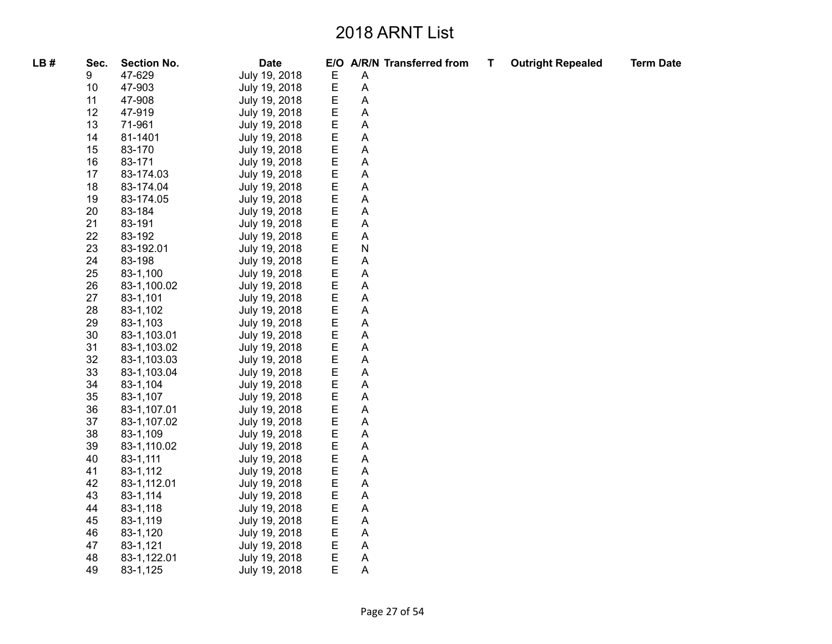| LB# | Sec. | <b>Section No.</b> | <b>Date</b>   |   |   | E/O A/R/N Transferred from | Т | <b>Outright Repealed</b> | <b>Term Date</b> |
|-----|------|--------------------|---------------|---|---|----------------------------|---|--------------------------|------------------|
|     | 9    | 47-629             | July 19, 2018 | E | A |                            |   |                          |                  |
|     | 10   | 47-903             | July 19, 2018 | E | Α |                            |   |                          |                  |
|     | 11   | 47-908             | July 19, 2018 | E | A |                            |   |                          |                  |
|     | 12   | 47-919             | July 19, 2018 | E | A |                            |   |                          |                  |
|     | 13   | 71-961             | July 19, 2018 | E | A |                            |   |                          |                  |
|     | 14   | 81-1401            | July 19, 2018 | Е | A |                            |   |                          |                  |
|     | 15   | 83-170             | July 19, 2018 | E | A |                            |   |                          |                  |
|     | 16   | 83-171             | July 19, 2018 | E | A |                            |   |                          |                  |
|     | 17   | 83-174.03          | July 19, 2018 | E | A |                            |   |                          |                  |
|     | 18   | 83-174.04          | July 19, 2018 | E | Α |                            |   |                          |                  |
|     | 19   | 83-174.05          | July 19, 2018 | E | A |                            |   |                          |                  |
|     | 20   | 83-184             | July 19, 2018 | E | A |                            |   |                          |                  |
|     | 21   | 83-191             | July 19, 2018 | E | A |                            |   |                          |                  |
|     | 22   | 83-192             | July 19, 2018 | E | A |                            |   |                          |                  |
|     | 23   | 83-192.01          | July 19, 2018 | E | N |                            |   |                          |                  |
|     | 24   | 83-198             | July 19, 2018 | E | A |                            |   |                          |                  |
|     | 25   | 83-1,100           | July 19, 2018 | E | A |                            |   |                          |                  |
|     | 26   | 83-1,100.02        | July 19, 2018 | E | A |                            |   |                          |                  |
|     | 27   | 83-1,101           | July 19, 2018 | E | Α |                            |   |                          |                  |
|     | 28   | 83-1,102           | July 19, 2018 | E | Α |                            |   |                          |                  |
|     | 29   | 83-1,103           | July 19, 2018 | E | A |                            |   |                          |                  |
|     | 30   | 83-1,103.01        | July 19, 2018 | E | Α |                            |   |                          |                  |
|     | 31   | 83-1,103.02        | July 19, 2018 | E | Α |                            |   |                          |                  |
|     | 32   | 83-1,103.03        | July 19, 2018 | E | Α |                            |   |                          |                  |
|     | 33   | 83-1,103.04        | July 19, 2018 | E | A |                            |   |                          |                  |
|     | 34   | 83-1,104           | July 19, 2018 | E | Α |                            |   |                          |                  |
|     | 35   | 83-1,107           | July 19, 2018 | E | A |                            |   |                          |                  |
|     | 36   | 83-1,107.01        | July 19, 2018 | E | A |                            |   |                          |                  |
|     | 37   | 83-1,107.02        | July 19, 2018 | E | A |                            |   |                          |                  |
|     | 38   | 83-1,109           | July 19, 2018 | E | Α |                            |   |                          |                  |
|     | 39   | 83-1,110.02        | July 19, 2018 | E | A |                            |   |                          |                  |
|     | 40   | 83-1,111           | July 19, 2018 | E | A |                            |   |                          |                  |
|     | 41   | 83-1,112           | July 19, 2018 | E | A |                            |   |                          |                  |
|     | 42   | 83-1,112.01        | July 19, 2018 | E | A |                            |   |                          |                  |
|     | 43   | 83-1,114           | July 19, 2018 | E | A |                            |   |                          |                  |
|     | 44   | 83-1,118           | July 19, 2018 | E | Α |                            |   |                          |                  |
|     | 45   | 83-1,119           | July 19, 2018 | E | Α |                            |   |                          |                  |
|     | 46   | 83-1,120           | July 19, 2018 | E | A |                            |   |                          |                  |
|     | 47   | 83-1,121           | July 19, 2018 | E | Α |                            |   |                          |                  |
|     | 48   | 83-1,122.01        | July 19, 2018 | Ε | A |                            |   |                          |                  |
|     | 49   | 83-1,125           | July 19, 2018 | E | Α |                            |   |                          |                  |
|     |      |                    |               |   |   |                            |   |                          |                  |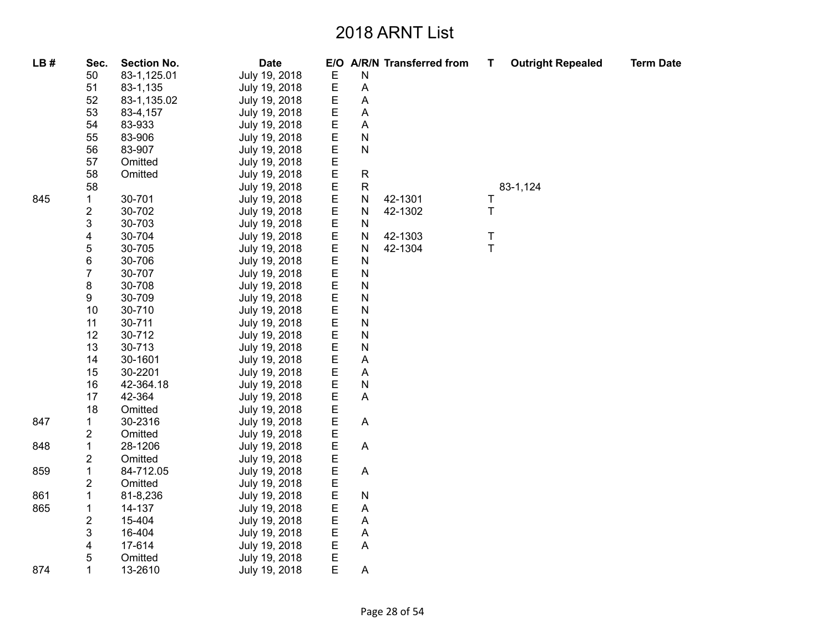| LB# | Sec.                    | <b>Section No.</b> | <b>Date</b>   |             |                           | E/O A/R/N Transferred from | Т      | <b>Outright Repealed</b> | <b>Term Date</b> |
|-----|-------------------------|--------------------|---------------|-------------|---------------------------|----------------------------|--------|--------------------------|------------------|
|     | 50                      | 83-1,125.01        | July 19, 2018 | Ε           | $\mathsf{N}$              |                            |        |                          |                  |
|     | 51                      | 83-1,135           | July 19, 2018 | $\mathsf E$ | A                         |                            |        |                          |                  |
|     | 52                      | 83-1,135.02        | July 19, 2018 | E           | A                         |                            |        |                          |                  |
|     | 53                      | 83-4,157           | July 19, 2018 | E           | A                         |                            |        |                          |                  |
|     | 54                      | 83-933             | July 19, 2018 | E           | A                         |                            |        |                          |                  |
|     | 55                      | 83-906             | July 19, 2018 | $\mathsf E$ | $\overline{\mathsf{N}}$   |                            |        |                          |                  |
|     | 56                      | 83-907             | July 19, 2018 | E           | $\mathsf{N}$              |                            |        |                          |                  |
|     | 57                      | Omitted            | July 19, 2018 | E           |                           |                            |        |                          |                  |
|     | 58                      | Omitted            | July 19, 2018 | $\mathsf E$ | $\mathsf{R}$              |                            |        |                          |                  |
|     | 58                      |                    | July 19, 2018 | $\mathsf E$ | $\mathsf{R}$              |                            |        | 83-1,124                 |                  |
| 845 | $\mathbf{1}$            | 30-701             | July 19, 2018 | $\mathsf E$ | N                         | 42-1301                    | Τ      |                          |                  |
|     | $\overline{c}$          | 30-702             | July 19, 2018 | E           | $\mathsf{N}$              | 42-1302                    | Τ      |                          |                  |
|     | 3                       | 30-703             | July 19, 2018 | E           | N                         |                            |        |                          |                  |
|     | 4                       | 30-704             | July 19, 2018 | $\mathsf E$ | $\mathsf{N}$              | 42-1303                    | T      |                          |                  |
|     | 5                       | 30-705             | July 19, 2018 | E           | N                         | 42-1304                    | $\top$ |                          |                  |
|     | 6                       | 30-706             | July 19, 2018 | E           | $\mathsf{N}$              |                            |        |                          |                  |
|     | 7                       | 30-707             | July 19, 2018 | E           | $\mathsf{N}$              |                            |        |                          |                  |
|     | 8                       | 30-708             | July 19, 2018 | E           | $\mathsf{N}$              |                            |        |                          |                  |
|     | 9                       | 30-709             | July 19, 2018 | $\mathsf E$ | $\mathsf{N}$              |                            |        |                          |                  |
|     | 10                      | 30-710             | July 19, 2018 | $\mathsf E$ | $\mathsf{N}$              |                            |        |                          |                  |
|     | 11                      | 30-711             | July 19, 2018 | E           | $\mathsf{N}$              |                            |        |                          |                  |
|     | 12                      | 30-712             | July 19, 2018 | E           | $\mathsf{N}$              |                            |        |                          |                  |
|     | 13                      | 30-713             | July 19, 2018 | E           | $\mathsf{N}$              |                            |        |                          |                  |
|     | 14                      | 30-1601            | July 19, 2018 | E           | A                         |                            |        |                          |                  |
|     | 15                      | 30-2201            | July 19, 2018 | E           | A                         |                            |        |                          |                  |
|     | 16                      | 42-364.18          | July 19, 2018 | E           | $\mathsf{N}$              |                            |        |                          |                  |
|     | 17                      | 42-364             | July 19, 2018 | $\mathsf E$ | A                         |                            |        |                          |                  |
|     | 18                      | Omitted            | July 19, 2018 | $\mathsf E$ |                           |                            |        |                          |                  |
| 847 | $\mathbf{1}$            | 30-2316            | July 19, 2018 | E           | A                         |                            |        |                          |                  |
|     | $\overline{\mathbf{c}}$ | Omitted            | July 19, 2018 | E           |                           |                            |        |                          |                  |
| 848 | $\mathbf 1$             | 28-1206            | July 19, 2018 | E           | $\boldsymbol{\mathsf{A}}$ |                            |        |                          |                  |
|     | $\overline{\mathbf{c}}$ | Omitted            | July 19, 2018 | E           |                           |                            |        |                          |                  |
| 859 | $\mathbf 1$             | 84-712.05          | July 19, 2018 | E           | A                         |                            |        |                          |                  |
|     | 2                       | Omitted            | July 19, 2018 | E           |                           |                            |        |                          |                  |
| 861 | $\mathbf{1}$            | 81-8,236           | July 19, 2018 | E           | $\mathsf{N}$              |                            |        |                          |                  |
| 865 | $\mathbf{1}$            | 14-137             | July 19, 2018 | E           | A                         |                            |        |                          |                  |
|     | 2                       | 15-404             | July 19, 2018 | E           | A                         |                            |        |                          |                  |
|     | 3                       | 16-404             | July 19, 2018 | E           | A                         |                            |        |                          |                  |
|     | 4                       | 17-614             | July 19, 2018 | E           | A                         |                            |        |                          |                  |
|     | 5                       | Omitted            | July 19, 2018 | $\mathsf E$ |                           |                            |        |                          |                  |
| 874 | 1                       | 13-2610            | July 19, 2018 | E           | A                         |                            |        |                          |                  |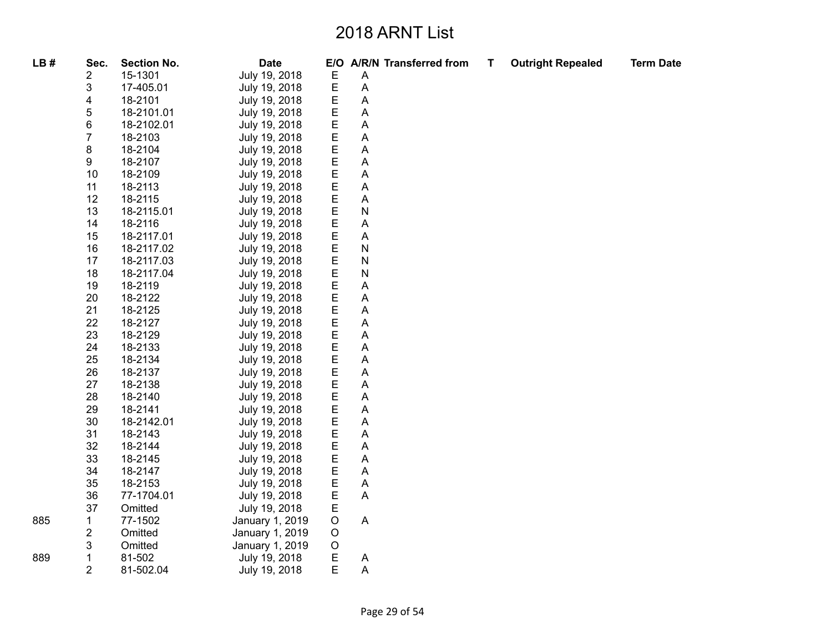| LB# | Sec.           | <b>Section No.</b> | <b>Date</b>     |             |              | E/O A/R/N Transferred from | Т | <b>Outright Repealed</b> | <b>Term Date</b> |
|-----|----------------|--------------------|-----------------|-------------|--------------|----------------------------|---|--------------------------|------------------|
|     | 2              | 15-1301            | July 19, 2018   | $\mathsf E$ | A            |                            |   |                          |                  |
|     | 3              | 17-405.01          | July 19, 2018   | $\mathsf E$ | $\mathsf{A}$ |                            |   |                          |                  |
|     | 4              | 18-2101            | July 19, 2018   | E           | Α            |                            |   |                          |                  |
|     | 5              | 18-2101.01         | July 19, 2018   | $\mathsf E$ | Α            |                            |   |                          |                  |
|     | 6              | 18-2102.01         | July 19, 2018   | E           | A            |                            |   |                          |                  |
|     | $\overline{7}$ | 18-2103            | July 19, 2018   | $\mathsf E$ | Α            |                            |   |                          |                  |
|     | 8              | 18-2104            | July 19, 2018   | E           | Α            |                            |   |                          |                  |
|     | 9              | 18-2107            | July 19, 2018   | E           | Α            |                            |   |                          |                  |
|     | 10             | 18-2109            | July 19, 2018   | E           | A            |                            |   |                          |                  |
|     | 11             | 18-2113            | July 19, 2018   | $\mathsf E$ | A            |                            |   |                          |                  |
|     | 12             | 18-2115            | July 19, 2018   | E           | A            |                            |   |                          |                  |
|     | 13             | 18-2115.01         | July 19, 2018   | $\mathsf E$ | ${\sf N}$    |                            |   |                          |                  |
|     | 14             | 18-2116            | July 19, 2018   | E           | A            |                            |   |                          |                  |
|     | 15             | 18-2117.01         | July 19, 2018   | E           | Α            |                            |   |                          |                  |
|     | 16             | 18-2117.02         | July 19, 2018   | E           | ${\sf N}$    |                            |   |                          |                  |
|     | 17             | 18-2117.03         | July 19, 2018   | $\mathsf E$ | ${\sf N}$    |                            |   |                          |                  |
|     | 18             | 18-2117.04         | July 19, 2018   | $\mathsf E$ | ${\sf N}$    |                            |   |                          |                  |
|     | 19             | 18-2119            | July 19, 2018   | $\mathsf E$ | A            |                            |   |                          |                  |
|     | 20             | 18-2122            | July 19, 2018   | E           | Α            |                            |   |                          |                  |
|     | 21             | 18-2125            | July 19, 2018   | $\mathsf E$ | Α            |                            |   |                          |                  |
|     | 22             | 18-2127            | July 19, 2018   | E           | A            |                            |   |                          |                  |
|     | 23             | 18-2129            | July 19, 2018   | E           | Α            |                            |   |                          |                  |
|     | 24             | 18-2133            | July 19, 2018   | E           | Α            |                            |   |                          |                  |
|     | 25             | 18-2134            | July 19, 2018   | $\mathsf E$ | Α            |                            |   |                          |                  |
|     | 26             | 18-2137            | July 19, 2018   | $\mathsf E$ | A            |                            |   |                          |                  |
|     | 27             | 18-2138            | July 19, 2018   | $\mathsf E$ | Α            |                            |   |                          |                  |
|     | 28             | 18-2140            | July 19, 2018   | $\mathsf E$ | Α            |                            |   |                          |                  |
|     | 29             | 18-2141            | July 19, 2018   | $\mathsf E$ | Α            |                            |   |                          |                  |
|     | 30             | 18-2142.01         | July 19, 2018   | $\mathsf E$ | A            |                            |   |                          |                  |
|     | 31             | 18-2143            | July 19, 2018   | $\mathsf E$ | Α            |                            |   |                          |                  |
|     | 32             | 18-2144            | July 19, 2018   | E           | Α            |                            |   |                          |                  |
|     | 33             | 18-2145            | July 19, 2018   | $\mathsf E$ | Α            |                            |   |                          |                  |
|     | 34             | 18-2147            | July 19, 2018   | $\mathsf E$ | A            |                            |   |                          |                  |
|     | 35             | 18-2153            | July 19, 2018   | $\mathsf E$ | Α            |                            |   |                          |                  |
|     | 36             | 77-1704.01         | July 19, 2018   | E           | Α            |                            |   |                          |                  |
|     | 37             | Omitted            | July 19, 2018   | E           |              |                            |   |                          |                  |
| 885 | 1              | 77-1502            | January 1, 2019 | $\circ$     | $\mathsf{A}$ |                            |   |                          |                  |
|     | 2              | Omitted            | January 1, 2019 | $\circ$     |              |                            |   |                          |                  |
|     | 3              | Omitted            | January 1, 2019 | $\circ$     |              |                            |   |                          |                  |
| 889 | $\mathbf 1$    | 81-502             | July 19, 2018   | E           |              |                            |   |                          |                  |
|     | $\overline{2}$ | 81-502.04          | July 19, 2018   | E           | A<br>A       |                            |   |                          |                  |
|     |                |                    |                 |             |              |                            |   |                          |                  |

889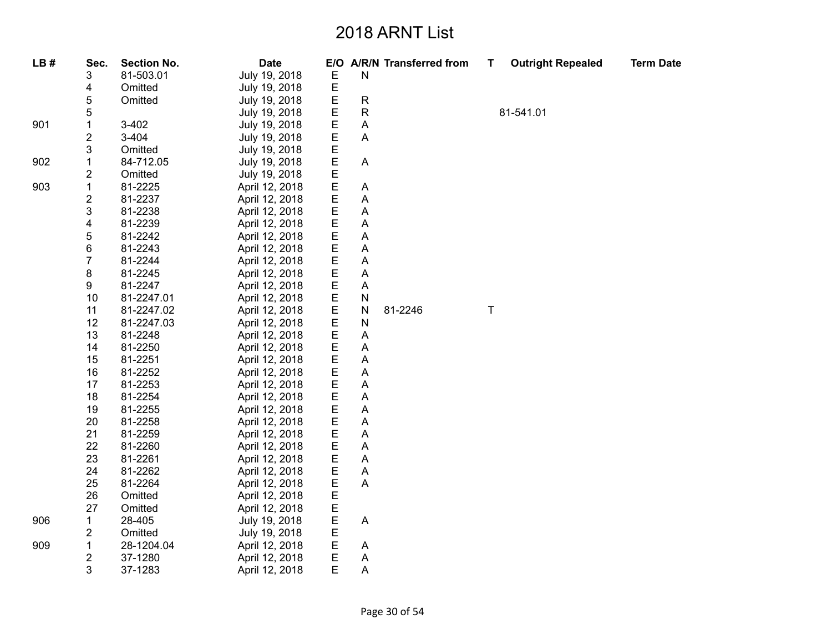| LB# | Sec.                      | <b>Section No.</b> | <b>Date</b>    |             |              | E/O A/R/N Transferred from | т | <b>Outright Repealed</b> | <b>Term Date</b> |
|-----|---------------------------|--------------------|----------------|-------------|--------------|----------------------------|---|--------------------------|------------------|
|     | 3                         | 81-503.01          | July 19, 2018  | Ε           | ${\sf N}$    |                            |   |                          |                  |
|     | 4                         | Omitted            | July 19, 2018  | E           |              |                            |   |                          |                  |
|     | 5                         | Omitted            | July 19, 2018  | E           | ${\sf R}$    |                            |   |                          |                  |
|     | 5                         |                    | July 19, 2018  | E           | ${\sf R}$    |                            |   | 81-541.01                |                  |
| 901 | 1                         | $3 - 402$          | July 19, 2018  | E           | A            |                            |   |                          |                  |
|     | $\overline{c}$            | $3 - 404$          | July 19, 2018  | E           | A            |                            |   |                          |                  |
|     | 3                         | Omitted            | July 19, 2018  | Е           |              |                            |   |                          |                  |
| 902 | 1                         | 84-712.05          | July 19, 2018  | E           | A            |                            |   |                          |                  |
|     | $\boldsymbol{2}$          | Omitted            | July 19, 2018  | E           |              |                            |   |                          |                  |
| 903 | $\mathbf{1}$              | 81-2225            | April 12, 2018 | E           | Α            |                            |   |                          |                  |
|     | $\mathbf 2$               | 81-2237            | April 12, 2018 | E           | Α            |                            |   |                          |                  |
|     | $\ensuremath{\mathsf{3}}$ | 81-2238            | April 12, 2018 | E           | Α            |                            |   |                          |                  |
|     | 4                         | 81-2239            | April 12, 2018 | E           | Α            |                            |   |                          |                  |
|     | 5                         | 81-2242            | April 12, 2018 | E           | Α            |                            |   |                          |                  |
|     | 6                         | 81-2243            | April 12, 2018 | E           | Α            |                            |   |                          |                  |
|     | $\overline{7}$            | 81-2244            | April 12, 2018 | Е           | Α            |                            |   |                          |                  |
|     | 8                         | 81-2245            | April 12, 2018 | E           | Α            |                            |   |                          |                  |
|     | 9                         | 81-2247            | April 12, 2018 | E           | A            |                            |   |                          |                  |
|     | 10                        | 81-2247.01         | April 12, 2018 | $\mathsf E$ | ${\sf N}$    |                            |   |                          |                  |
|     | 11                        | 81-2247.02         | April 12, 2018 | E           | $\mathsf{N}$ | 81-2246                    | T |                          |                  |
|     | 12                        | 81-2247.03         | April 12, 2018 | E           | $\mathsf{N}$ |                            |   |                          |                  |
|     | 13                        | 81-2248            | April 12, 2018 | E           | Α            |                            |   |                          |                  |
|     | 14                        | 81-2250            | April 12, 2018 | E           | A            |                            |   |                          |                  |
|     | 15                        | 81-2251            | April 12, 2018 | E           | Α            |                            |   |                          |                  |
|     | 16                        | 81-2252            | April 12, 2018 | E           | Α            |                            |   |                          |                  |
|     | 17                        | 81-2253            | April 12, 2018 | E           | Α            |                            |   |                          |                  |
|     | 18                        | 81-2254            | April 12, 2018 | E           | A            |                            |   |                          |                  |
|     | 19                        | 81-2255            | April 12, 2018 | $\mathsf E$ | A            |                            |   |                          |                  |
|     | 20                        | 81-2258            | April 12, 2018 | E           | Α            |                            |   |                          |                  |
|     | 21                        | 81-2259            | April 12, 2018 | E           | Α            |                            |   |                          |                  |
|     | 22                        | 81-2260            | April 12, 2018 | E           | Α            |                            |   |                          |                  |
|     | 23                        | 81-2261            | April 12, 2018 | E           | Α            |                            |   |                          |                  |
|     | 24                        | 81-2262            | April 12, 2018 | Е           | A            |                            |   |                          |                  |
|     | 25                        | 81-2264            | April 12, 2018 | E           | A            |                            |   |                          |                  |
|     | 26                        | Omitted            | April 12, 2018 | E           |              |                            |   |                          |                  |
|     | 27                        | Omitted            | April 12, 2018 | E           |              |                            |   |                          |                  |
| 906 | $\mathbf{1}$              | 28-405             | July 19, 2018  | E           | A            |                            |   |                          |                  |
|     | $\overline{\mathbf{c}}$   | Omitted            | July 19, 2018  | E           |              |                            |   |                          |                  |
| 909 | $\mathbf{1}$              | 28-1204.04         | April 12, 2018 | E           | A            |                            |   |                          |                  |
|     | $\overline{\mathbf{c}}$   | 37-1280            | April 12, 2018 | E           | A            |                            |   |                          |                  |
|     | 3                         | 37-1283            | April 12, 2018 | E           | Α            |                            |   |                          |                  |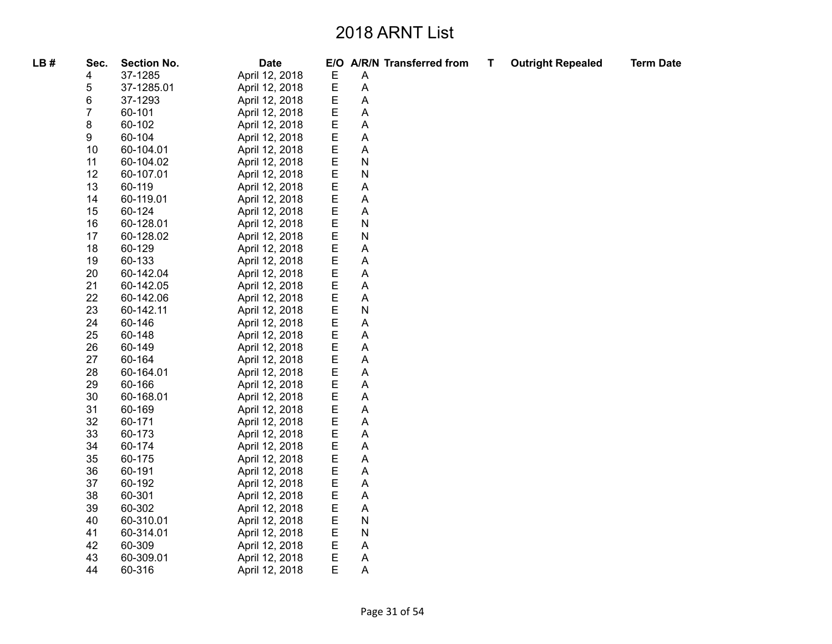| LB# | Sec.           | <b>Section No.</b> | <b>Date</b>    |             |              | E/O A/R/N Transferred from | T. | <b>Outright Repealed</b> | <b>Term Date</b> |
|-----|----------------|--------------------|----------------|-------------|--------------|----------------------------|----|--------------------------|------------------|
|     | 4              | 37-1285            | April 12, 2018 | E           | Α            |                            |    |                          |                  |
|     | 5              | 37-1285.01         | April 12, 2018 | E           | A            |                            |    |                          |                  |
|     | 6              | 37-1293            | April 12, 2018 | E           | A            |                            |    |                          |                  |
|     | $\overline{7}$ | 60-101             | April 12, 2018 | E           | A            |                            |    |                          |                  |
|     | 8              | 60-102             | April 12, 2018 | E           | Α            |                            |    |                          |                  |
|     | 9              | 60-104             | April 12, 2018 | E           | Α            |                            |    |                          |                  |
|     | 10             | 60-104.01          | April 12, 2018 | E           | Α            |                            |    |                          |                  |
|     | 11             | 60-104.02          | April 12, 2018 | E           | N            |                            |    |                          |                  |
|     | 12             | 60-107.01          | April 12, 2018 | E           | N            |                            |    |                          |                  |
|     | 13             | 60-119             | April 12, 2018 | E           | A            |                            |    |                          |                  |
|     | 14             | 60-119.01          | April 12, 2018 | E           | A            |                            |    |                          |                  |
|     | 15             | 60-124             | April 12, 2018 | E           | A            |                            |    |                          |                  |
|     | 16             | 60-128.01          | April 12, 2018 | E           | N            |                            |    |                          |                  |
|     | 17             | 60-128.02          | April 12, 2018 | E           | N            |                            |    |                          |                  |
|     | 18             | 60-129             | April 12, 2018 | E           | Α            |                            |    |                          |                  |
|     | 19             | 60-133             | April 12, 2018 | E           | A            |                            |    |                          |                  |
|     | 20             | 60-142.04          | April 12, 2018 | E           | A            |                            |    |                          |                  |
|     | 21             | 60-142.05          | April 12, 2018 | E           | A            |                            |    |                          |                  |
|     | 22             | 60-142.06          | April 12, 2018 | E           | Α            |                            |    |                          |                  |
|     | 23             | 60-142.11          | April 12, 2018 | E           | $\mathsf{N}$ |                            |    |                          |                  |
|     | 24             | 60-146             | April 12, 2018 | E           | A            |                            |    |                          |                  |
|     | 25             | 60-148             | April 12, 2018 | E           | Α            |                            |    |                          |                  |
|     | 26             | 60-149             | April 12, 2018 | Ε           | Α            |                            |    |                          |                  |
|     | 27             | 60-164             | April 12, 2018 | E           | A            |                            |    |                          |                  |
|     | 28             | 60-164.01          | April 12, 2018 | $\mathsf E$ | A            |                            |    |                          |                  |
|     | 29             | 60-166             | April 12, 2018 | $\mathsf E$ | Α            |                            |    |                          |                  |
|     | 30             | 60-168.01          | April 12, 2018 | Ε           | Α            |                            |    |                          |                  |
|     | 31             | 60-169             | April 12, 2018 | E           | A            |                            |    |                          |                  |
|     | 32             | 60-171             | April 12, 2018 | E           | A            |                            |    |                          |                  |
|     | 33             | 60-173             | April 12, 2018 | E           | A            |                            |    |                          |                  |
|     | 34             | 60-174             | April 12, 2018 | E           | A            |                            |    |                          |                  |
|     | 35             | 60-175             | April 12, 2018 | E           | A            |                            |    |                          |                  |
|     | 36             | 60-191             | April 12, 2018 | E           | A            |                            |    |                          |                  |
|     | 37             | 60-192             | April 12, 2018 | E           | A            |                            |    |                          |                  |
|     | 38             | 60-301             | April 12, 2018 | E           | Α            |                            |    |                          |                  |
|     | 39             | 60-302             | April 12, 2018 | E           | Α            |                            |    |                          |                  |
|     | 40             | 60-310.01          | April 12, 2018 | E           | N            |                            |    |                          |                  |
|     | 41             | 60-314.01          | April 12, 2018 | E           | N            |                            |    |                          |                  |
|     | 42             | 60-309             | April 12, 2018 | Ε           | A            |                            |    |                          |                  |
|     | 43             | 60-309.01          | April 12, 2018 | Ε           | A            |                            |    |                          |                  |
|     | 44             | 60-316             | April 12, 2018 | E           | A            |                            |    |                          |                  |
|     |                |                    |                |             |              |                            |    |                          |                  |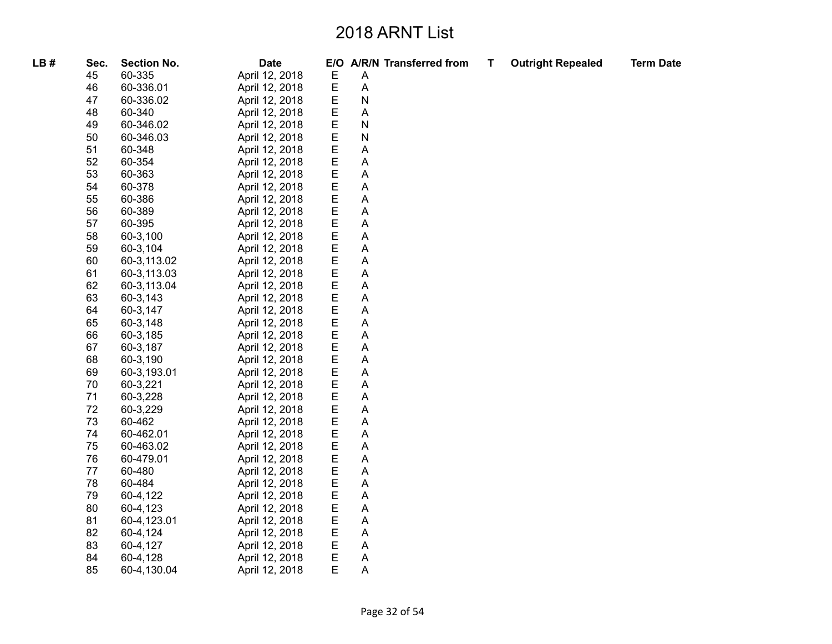| LB# | Sec. | <b>Section No.</b> | <b>Date</b>    |        |   | E/O A/R/N Transferred from | T, | <b>Outright Repealed</b> | <b>Term Date</b> |
|-----|------|--------------------|----------------|--------|---|----------------------------|----|--------------------------|------------------|
|     | 45   | 60-335             | April 12, 2018 | E      | Α |                            |    |                          |                  |
|     | 46   | 60-336.01          | April 12, 2018 | E      | Α |                            |    |                          |                  |
|     | 47   | 60-336.02          | April 12, 2018 | E      | N |                            |    |                          |                  |
|     | 48   | 60-340             | April 12, 2018 | E      | Α |                            |    |                          |                  |
|     | 49   | 60-346.02          | April 12, 2018 | E      | N |                            |    |                          |                  |
|     | 50   | 60-346.03          | April 12, 2018 | E      | N |                            |    |                          |                  |
|     | 51   | 60-348             | April 12, 2018 | E      | Α |                            |    |                          |                  |
|     | 52   | 60-354             | April 12, 2018 | E      | Α |                            |    |                          |                  |
|     | 53   | 60-363             | April 12, 2018 | E      | Α |                            |    |                          |                  |
|     | 54   | 60-378             | April 12, 2018 | E      | Α |                            |    |                          |                  |
|     | 55   | 60-386             | April 12, 2018 | E      | A |                            |    |                          |                  |
|     | 56   | 60-389             | April 12, 2018 |        | Α |                            |    |                          |                  |
|     | 57   | 60-395             | April 12, 2018 | E<br>E | Α |                            |    |                          |                  |
|     | 58   | 60-3,100           | April 12, 2018 | E<br>E | Α |                            |    |                          |                  |
|     | 59   | 60-3,104           | April 12, 2018 |        | Α |                            |    |                          |                  |
|     | 60   | 60-3,113.02        | April 12, 2018 | E      | Α |                            |    |                          |                  |
|     | 61   | 60-3,113.03        | April 12, 2018 | E      | Α |                            |    |                          |                  |
|     | 62   | 60-3,113.04        | April 12, 2018 | E      | Α |                            |    |                          |                  |
|     | 63   | 60-3,143           | April 12, 2018 | E      | Α |                            |    |                          |                  |
|     | 64   | 60-3,147           | April 12, 2018 | E      | Α |                            |    |                          |                  |
|     | 65   | 60-3,148           | April 12, 2018 | E      | Α |                            |    |                          |                  |
|     | 66   | 60-3,185           | April 12, 2018 | E      | Α |                            |    |                          |                  |
|     | 67   | 60-3,187           | April 12, 2018 | Е      | Α |                            |    |                          |                  |
|     | 68   | 60-3,190           | April 12, 2018 | E      | Α |                            |    |                          |                  |
|     | 69   | 60-3,193.01        | April 12, 2018 | E      | A |                            |    |                          |                  |
|     | 70   | 60-3,221           | April 12, 2018 | E      | Α |                            |    |                          |                  |
|     | 71   | 60-3,228           | April 12, 2018 | E      | Α |                            |    |                          |                  |
|     | 72   | 60-3,229           | April 12, 2018 | E      | Α |                            |    |                          |                  |
|     | 73   | 60-462             | April 12, 2018 | E      | Α |                            |    |                          |                  |
|     | 74   | 60-462.01          | April 12, 2018 | E      | Α |                            |    |                          |                  |
|     | 75   | 60-463.02          | April 12, 2018 | E      | Α |                            |    |                          |                  |
|     | 76   | 60-479.01          | April 12, 2018 | E      | Α |                            |    |                          |                  |
|     | 77   | 60-480             | April 12, 2018 | E      | Α |                            |    |                          |                  |
|     | 78   | 60-484             | April 12, 2018 | E      | Α |                            |    |                          |                  |
|     | 79   | 60-4,122           | April 12, 2018 | E      | Α |                            |    |                          |                  |
|     | 80   | 60-4,123           | April 12, 2018 | E      | Α |                            |    |                          |                  |
|     | 81   | 60-4,123.01        | April 12, 2018 | E      | Α |                            |    |                          |                  |
|     | 82   | 60-4,124           | April 12, 2018 | E      | Α |                            |    |                          |                  |
|     | 83   | 60-4,127           | April 12, 2018 | Е      | Α |                            |    |                          |                  |
|     | 84   | 60-4,128           | April 12, 2018 | Е      | A |                            |    |                          |                  |
|     | 85   | 60-4,130.04        | April 12, 2018 | E      | A |                            |    |                          |                  |
|     |      |                    |                |        |   |                            |    |                          |                  |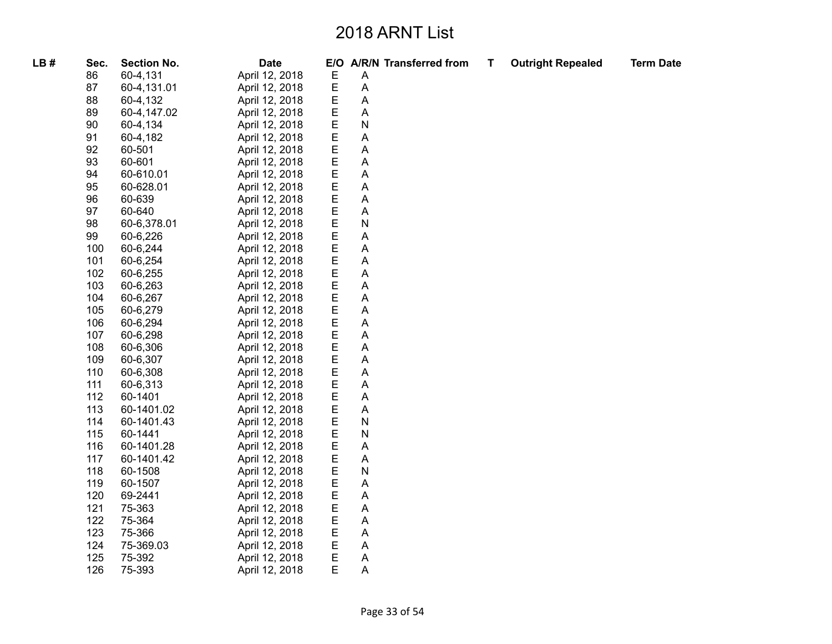| LB# | Sec. | <b>Section No.</b> | <b>Date</b>    |   |   | E/O A/R/N Transferred from | т | <b>Outright Repealed</b> | <b>Term Date</b> |
|-----|------|--------------------|----------------|---|---|----------------------------|---|--------------------------|------------------|
|     | 86   | 60-4,131           | April 12, 2018 | E | A |                            |   |                          |                  |
|     | 87   | 60-4,131.01        | April 12, 2018 | E | Α |                            |   |                          |                  |
|     | 88   | 60-4,132           | April 12, 2018 | E | A |                            |   |                          |                  |
|     | 89   | 60-4,147.02        | April 12, 2018 | E | Α |                            |   |                          |                  |
|     | 90   | 60-4,134           | April 12, 2018 | E | N |                            |   |                          |                  |
|     | 91   | 60-4,182           | April 12, 2018 | Ε | Α |                            |   |                          |                  |
|     | 92   | 60-501             | April 12, 2018 | E | Α |                            |   |                          |                  |
|     | 93   | 60-601             | April 12, 2018 | E | Α |                            |   |                          |                  |
|     | 94   | 60-610.01          | April 12, 2018 | E | A |                            |   |                          |                  |
|     | 95   | 60-628.01          | April 12, 2018 | E | Α |                            |   |                          |                  |
|     | 96   | 60-639             | April 12, 2018 | E | A |                            |   |                          |                  |
|     | 97   | 60-640             | April 12, 2018 | E | Α |                            |   |                          |                  |
|     | 98   | 60-6,378.01        | April 12, 2018 | E | N |                            |   |                          |                  |
|     | 99   | 60-6,226           | April 12, 2018 | E | A |                            |   |                          |                  |
|     | 100  | 60-6,244           | April 12, 2018 | E | Α |                            |   |                          |                  |
|     | 101  | 60-6,254           | April 12, 2018 | E | A |                            |   |                          |                  |
|     | 102  | 60-6,255           | April 12, 2018 | E | A |                            |   |                          |                  |
|     | 103  | 60-6,263           | April 12, 2018 | E | A |                            |   |                          |                  |
|     | 104  | 60-6,267           | April 12, 2018 | E | Α |                            |   |                          |                  |
|     | 105  | 60-6,279           | April 12, 2018 | E | A |                            |   |                          |                  |
|     | 106  | 60-6,294           | April 12, 2018 | E | A |                            |   |                          |                  |
|     | 107  | 60-6,298           | April 12, 2018 | E | Α |                            |   |                          |                  |
|     | 108  | 60-6,306           | April 12, 2018 | E | Α |                            |   |                          |                  |
|     | 109  | 60-6,307           | April 12, 2018 | Е | A |                            |   |                          |                  |
|     | 110  | 60-6,308           | April 12, 2018 | E | A |                            |   |                          |                  |
|     | 111  | 60-6,313           | April 12, 2018 | E | Α |                            |   |                          |                  |
|     | 112  | 60-1401            | April 12, 2018 | E | Α |                            |   |                          |                  |
|     | 113  | 60-1401.02         | April 12, 2018 | E | A |                            |   |                          |                  |
|     | 114  | 60-1401.43         | April 12, 2018 | E | N |                            |   |                          |                  |
|     | 115  | 60-1441            | April 12, 2018 | E | N |                            |   |                          |                  |
|     | 116  | 60-1401.28         | April 12, 2018 | E | Α |                            |   |                          |                  |
|     | 117  | 60-1401.42         | April 12, 2018 | E | Α |                            |   |                          |                  |
|     | 118  | 60-1508            | April 12, 2018 | E | N |                            |   |                          |                  |
|     | 119  | 60-1507            | April 12, 2018 | E | Α |                            |   |                          |                  |
|     | 120  | 69-2441            | April 12, 2018 | E | Α |                            |   |                          |                  |
|     | 121  | 75-363             | April 12, 2018 | E | A |                            |   |                          |                  |
|     | 122  | 75-364             | April 12, 2018 | E | Α |                            |   |                          |                  |
|     | 123  | 75-366             | April 12, 2018 | E | A |                            |   |                          |                  |
|     | 124  | 75-369.03          | April 12, 2018 | E | A |                            |   |                          |                  |
|     | 125  | 75-392             | April 12, 2018 | E | A |                            |   |                          |                  |
|     | 126  | 75-393             | April 12, 2018 | E | A |                            |   |                          |                  |
|     |      |                    |                |   |   |                            |   |                          |                  |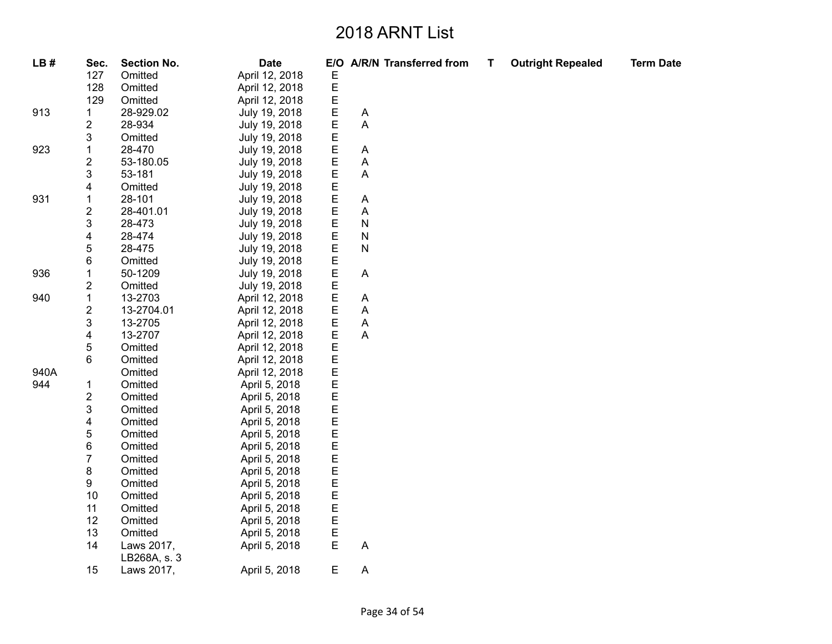| LB#  | Sec.                    | <b>Section No.</b>         | <b>Date</b>    |             |             | E/O A/R/N Transferred from | Т | <b>Outright Repealed</b> | <b>Term Date</b> |
|------|-------------------------|----------------------------|----------------|-------------|-------------|----------------------------|---|--------------------------|------------------|
|      | 127                     | Omitted                    | April 12, 2018 | Е           |             |                            |   |                          |                  |
|      | 128                     | Omitted                    | April 12, 2018 | $\mathsf E$ |             |                            |   |                          |                  |
|      | 129                     | Omitted                    | April 12, 2018 | E           |             |                            |   |                          |                  |
| 913  | 1                       | 28-929.02                  | July 19, 2018  | $\mathsf E$ | A           |                            |   |                          |                  |
|      | $\overline{c}$          | 28-934                     | July 19, 2018  | E           | A           |                            |   |                          |                  |
|      | 3                       | Omitted                    | July 19, 2018  | E           |             |                            |   |                          |                  |
| 923  | $\mathbf{1}$            | 28-470                     | July 19, 2018  | E           | A           |                            |   |                          |                  |
|      | $\overline{\mathbf{c}}$ | 53-180.05                  | July 19, 2018  | E           | Α           |                            |   |                          |                  |
|      | 3                       | 53-181                     | July 19, 2018  | E<br>E      | A           |                            |   |                          |                  |
|      | 4                       | Omitted                    | July 19, 2018  |             |             |                            |   |                          |                  |
| 931  | 1                       | 28-101                     | July 19, 2018  | E<br>E      | A           |                            |   |                          |                  |
|      | $\overline{\mathbf{c}}$ | 28-401.01                  | July 19, 2018  |             | A           |                            |   |                          |                  |
|      | 3                       | 28-473                     | July 19, 2018  | E<br>E      | N           |                            |   |                          |                  |
|      | 4                       | 28-474                     | July 19, 2018  |             | N           |                            |   |                          |                  |
|      | 5                       | 28-475                     | July 19, 2018  | E           | N           |                            |   |                          |                  |
|      | 6                       | Omitted                    | July 19, 2018  | Е           |             |                            |   |                          |                  |
| 936  | 1                       | 50-1209                    | July 19, 2018  | E<br>E      | $\mathsf A$ |                            |   |                          |                  |
|      | $\overline{\mathbf{c}}$ | Omitted                    | July 19, 2018  |             |             |                            |   |                          |                  |
| 940  | $\mathbf 1$             | 13-2703                    | April 12, 2018 | E           | A           |                            |   |                          |                  |
|      | $\overline{\mathbf{c}}$ | 13-2704.01                 | April 12, 2018 | E           | Α           |                            |   |                          |                  |
|      | 3                       | 13-2705                    | April 12, 2018 | E           | Α           |                            |   |                          |                  |
|      | 4                       | 13-2707                    | April 12, 2018 | E           | $\mathsf A$ |                            |   |                          |                  |
|      | 5                       | Omitted                    | April 12, 2018 | E           |             |                            |   |                          |                  |
|      | 6                       | Omitted                    | April 12, 2018 | E           |             |                            |   |                          |                  |
| 940A |                         | Omitted                    | April 12, 2018 |             |             |                            |   |                          |                  |
| 944  | 1                       | Omitted                    | April 5, 2018  | EEE         |             |                            |   |                          |                  |
|      | $\overline{\mathbf{c}}$ | Omitted                    | April 5, 2018  |             |             |                            |   |                          |                  |
|      | 3                       | Omitted                    | April 5, 2018  |             |             |                            |   |                          |                  |
|      | 4                       | Omitted                    | April 5, 2018  | EEEE        |             |                            |   |                          |                  |
|      | 5                       | Omitted                    | April 5, 2018  |             |             |                            |   |                          |                  |
|      | 6                       | Omitted                    | April 5, 2018  |             |             |                            |   |                          |                  |
|      | $\overline{7}$          | Omitted                    | April 5, 2018  | E           |             |                            |   |                          |                  |
|      | 8                       | Omitted                    | April 5, 2018  | E           |             |                            |   |                          |                  |
|      | 9                       | Omitted                    | April 5, 2018  | E           |             |                            |   |                          |                  |
|      | 10                      | Omitted                    | April 5, 2018  | E           |             |                            |   |                          |                  |
|      | 11                      | Omitted                    | April 5, 2018  |             |             |                            |   |                          |                  |
|      | 12                      | Omitted                    | April 5, 2018  | E<br>E      |             |                            |   |                          |                  |
|      | 13                      | Omitted                    | April 5, 2018  | E           |             |                            |   |                          |                  |
|      | 14                      | Laws 2017,<br>LB268A, s. 3 | April 5, 2018  | $\mathsf E$ | A           |                            |   |                          |                  |
|      | 15                      | Laws 2017,                 | April 5, 2018  | E           | A           |                            |   |                          |                  |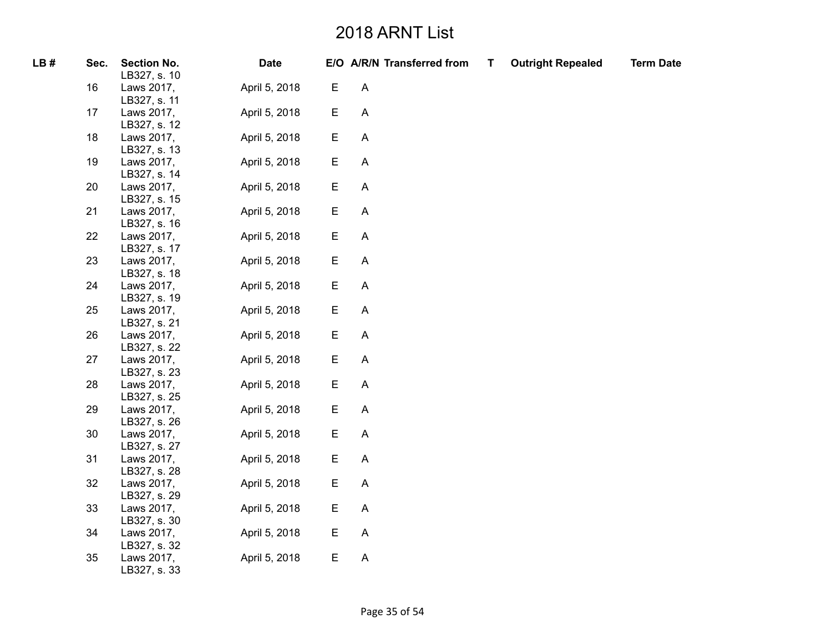| LB# | Sec. | <b>Section No.</b><br>LB327, s. 10 | <b>Date</b>   |             | E/O A/R/N Transferred from | T | <b>Outright Repealed</b> | <b>Term Date</b> |
|-----|------|------------------------------------|---------------|-------------|----------------------------|---|--------------------------|------------------|
|     | 16   | Laws 2017,<br>LB327, s. 11         | April 5, 2018 | Е           | $\boldsymbol{\mathsf{A}}$  |   |                          |                  |
|     | 17   | Laws 2017,<br>LB327, s. 12         | April 5, 2018 | E           | $\boldsymbol{\mathsf{A}}$  |   |                          |                  |
|     | 18   | Laws 2017,<br>LB327, s. 13         | April 5, 2018 | E           | A                          |   |                          |                  |
|     | 19   | Laws 2017,<br>LB327, s. 14         | April 5, 2018 | E           | A                          |   |                          |                  |
|     | 20   | Laws 2017,<br>LB327, s. 15         | April 5, 2018 | Ε           | A                          |   |                          |                  |
|     | 21   | Laws 2017,<br>LB327, s. 16         | April 5, 2018 | E           | A                          |   |                          |                  |
|     | 22   | Laws 2017,<br>LB327, s. 17         | April 5, 2018 | E           | A                          |   |                          |                  |
|     | 23   | Laws 2017,<br>LB327, s. 18         | April 5, 2018 | E           | A                          |   |                          |                  |
|     | 24   | Laws 2017,<br>LB327, s. 19         | April 5, 2018 | E           | $\boldsymbol{\mathsf{A}}$  |   |                          |                  |
|     | 25   | Laws 2017,<br>LB327, s. 21         | April 5, 2018 | Ε           | A                          |   |                          |                  |
|     | 26   | Laws 2017,<br>LB327, s. 22         | April 5, 2018 | $\mathsf E$ | A                          |   |                          |                  |
|     | 27   | Laws 2017,<br>LB327, s. 23         | April 5, 2018 | E           | A                          |   |                          |                  |
|     | 28   | Laws 2017,<br>LB327, s. 25         | April 5, 2018 | E           | A                          |   |                          |                  |
|     | 29   | Laws 2017,<br>LB327, s. 26         | April 5, 2018 | E           | $\boldsymbol{\mathsf{A}}$  |   |                          |                  |
|     | 30   | Laws 2017,<br>LB327, s. 27         | April 5, 2018 | E           | A                          |   |                          |                  |
|     | 31   | Laws 2017,<br>LB327, s. 28         | April 5, 2018 | E           | $\boldsymbol{\mathsf{A}}$  |   |                          |                  |
|     | 32   | Laws 2017,<br>LB327, s. 29         | April 5, 2018 | Ε           | A                          |   |                          |                  |
|     | 33   | Laws 2017,<br>LB327, s. 30         | April 5, 2018 | E           | A                          |   |                          |                  |
|     | 34   | Laws 2017,<br>LB327, s. 32         | April 5, 2018 | E           | A                          |   |                          |                  |
|     | 35   | Laws 2017,<br>LB327, s. 33         | April 5, 2018 | E           | A                          |   |                          |                  |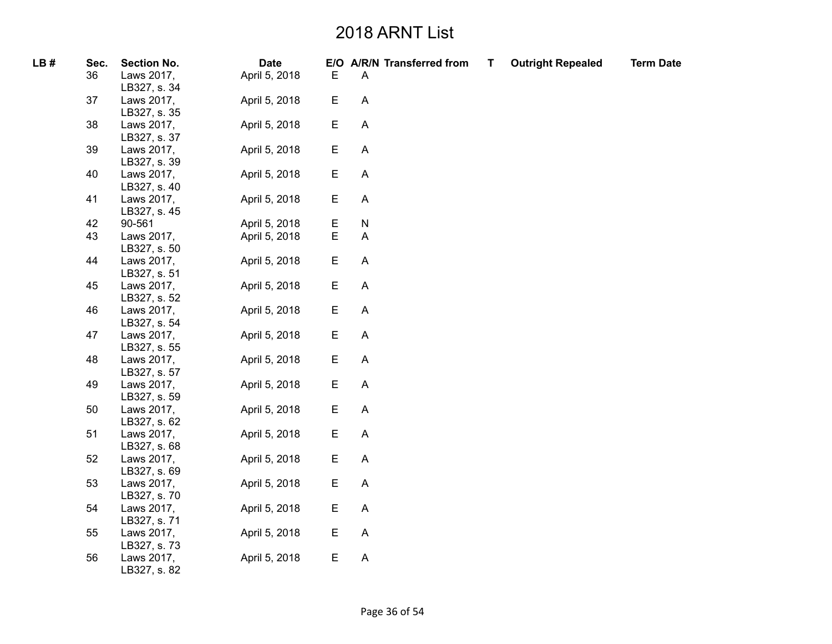| LB# | Sec. | <b>Section No.</b>         | <b>Date</b>   |             |                           | E/O A/R/N Transferred from | T | <b>Outright Repealed</b> | <b>Term Date</b> |
|-----|------|----------------------------|---------------|-------------|---------------------------|----------------------------|---|--------------------------|------------------|
|     | 36   | Laws 2017,<br>LB327, s. 34 | April 5, 2018 | Е           | A                         |                            |   |                          |                  |
|     | 37   | Laws 2017,<br>LB327, s. 35 | April 5, 2018 | E           | $\boldsymbol{\mathsf{A}}$ |                            |   |                          |                  |
|     | 38   | Laws 2017,<br>LB327, s. 37 | April 5, 2018 | E           | $\boldsymbol{\mathsf{A}}$ |                            |   |                          |                  |
|     | 39   | Laws 2017,<br>LB327, s. 39 | April 5, 2018 | E           | $\boldsymbol{\mathsf{A}}$ |                            |   |                          |                  |
|     | 40   | Laws 2017,<br>LB327, s. 40 | April 5, 2018 | E           | $\boldsymbol{\mathsf{A}}$ |                            |   |                          |                  |
|     | 41   | Laws 2017,<br>LB327, s. 45 | April 5, 2018 | E           | $\mathsf A$               |                            |   |                          |                  |
|     | 42   | 90-561                     | April 5, 2018 | E           | ${\sf N}$                 |                            |   |                          |                  |
|     | 43   | Laws 2017,<br>LB327, s. 50 | April 5, 2018 | $\mathsf E$ | $\boldsymbol{\mathsf{A}}$ |                            |   |                          |                  |
|     | 44   | Laws 2017,<br>LB327, s. 51 | April 5, 2018 | E           | A                         |                            |   |                          |                  |
|     | 45   | Laws 2017,<br>LB327, s. 52 | April 5, 2018 | E           | $\boldsymbol{\mathsf{A}}$ |                            |   |                          |                  |
|     | 46   | Laws 2017,<br>LB327, s. 54 | April 5, 2018 | E           | $\mathsf A$               |                            |   |                          |                  |
|     | 47   | Laws 2017,<br>LB327, s. 55 | April 5, 2018 | E           | $\mathsf A$               |                            |   |                          |                  |
|     | 48   | Laws 2017,<br>LB327, s. 57 | April 5, 2018 | E           | $\boldsymbol{\mathsf{A}}$ |                            |   |                          |                  |
|     | 49   | Laws 2017,<br>LB327, s. 59 | April 5, 2018 | E           | $\boldsymbol{\mathsf{A}}$ |                            |   |                          |                  |
|     | 50   | Laws 2017,<br>LB327, s. 62 | April 5, 2018 | E           | $\mathsf A$               |                            |   |                          |                  |
|     | 51   | Laws 2017,<br>LB327, s. 68 | April 5, 2018 | E           | $\mathsf A$               |                            |   |                          |                  |
|     | 52   | Laws 2017,<br>LB327, s. 69 | April 5, 2018 | E           | $\mathsf A$               |                            |   |                          |                  |
|     | 53   | Laws 2017,<br>LB327, s. 70 | April 5, 2018 | E           | A                         |                            |   |                          |                  |
|     | 54   | Laws 2017,<br>LB327, s. 71 | April 5, 2018 | E           | $\boldsymbol{\mathsf{A}}$ |                            |   |                          |                  |
|     | 55   | Laws 2017,<br>LB327, s. 73 | April 5, 2018 | Е           | A                         |                            |   |                          |                  |
|     | 56   | Laws 2017,<br>LB327, s. 82 | April 5, 2018 | E           | $\mathsf A$               |                            |   |                          |                  |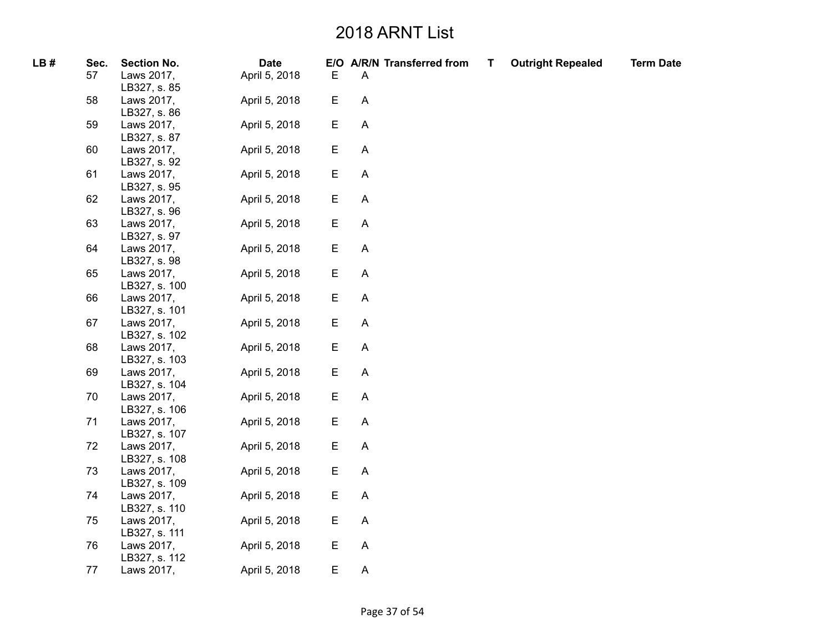| LB# | Sec. | <b>Section No.</b> | <b>Date</b>   |             | E/O A/R/N Transferred from | T | <b>Outright Repealed</b> | <b>Term Date</b> |
|-----|------|--------------------|---------------|-------------|----------------------------|---|--------------------------|------------------|
|     | 57   | Laws 2017,         | April 5, 2018 | $\mathsf E$ | A                          |   |                          |                  |
|     |      | LB327, s. 85       |               |             |                            |   |                          |                  |
|     | 58   | Laws 2017,         | April 5, 2018 | E           | $\boldsymbol{\mathsf{A}}$  |   |                          |                  |
|     |      | LB327, s. 86       |               |             |                            |   |                          |                  |
|     | 59   | Laws 2017,         | April 5, 2018 | E           | $\boldsymbol{\mathsf{A}}$  |   |                          |                  |
|     |      | LB327, s. 87       |               |             |                            |   |                          |                  |
|     | 60   | Laws 2017,         | April 5, 2018 | E           | $\boldsymbol{\mathsf{A}}$  |   |                          |                  |
|     |      | LB327, s. 92       |               |             |                            |   |                          |                  |
|     | 61   | Laws 2017,         | April 5, 2018 | E           | $\boldsymbol{\mathsf{A}}$  |   |                          |                  |
|     |      | LB327, s. 95       |               |             |                            |   |                          |                  |
|     | 62   | Laws 2017,         | April 5, 2018 | $\mathsf E$ | $\boldsymbol{\mathsf{A}}$  |   |                          |                  |
|     |      | LB327, s. 96       |               |             |                            |   |                          |                  |
|     | 63   | Laws 2017,         | April 5, 2018 | E           | $\boldsymbol{\mathsf{A}}$  |   |                          |                  |
|     |      | LB327, s. 97       |               |             |                            |   |                          |                  |
|     | 64   | Laws 2017,         | April 5, 2018 | E           | $\boldsymbol{\mathsf{A}}$  |   |                          |                  |
|     |      | LB327, s. 98       |               |             |                            |   |                          |                  |
|     | 65   | Laws 2017,         | April 5, 2018 | E           | $\mathsf{A}$               |   |                          |                  |
|     |      | LB327, s. 100      |               |             |                            |   |                          |                  |
|     | 66   | Laws 2017,         | April 5, 2018 | E           | $\boldsymbol{\mathsf{A}}$  |   |                          |                  |
|     |      | LB327, s. 101      |               |             |                            |   |                          |                  |
|     | 67   | Laws 2017,         | April 5, 2018 | E           | A                          |   |                          |                  |
|     |      | LB327, s. 102      |               |             |                            |   |                          |                  |
|     | 68   | Laws 2017,         | April 5, 2018 | E           | $\mathsf A$                |   |                          |                  |
|     |      | LB327, s. 103      |               |             |                            |   |                          |                  |
|     | 69   | Laws 2017,         | April 5, 2018 | E           | $\boldsymbol{\mathsf{A}}$  |   |                          |                  |
|     |      | LB327, s. 104      |               |             |                            |   |                          |                  |
|     | 70   | Laws 2017,         | April 5, 2018 | E           | A                          |   |                          |                  |
|     |      | LB327, s. 106      |               |             |                            |   |                          |                  |
|     | 71   | Laws 2017,         | April 5, 2018 | E           | $\mathsf{A}$               |   |                          |                  |
|     |      | LB327, s. 107      |               |             |                            |   |                          |                  |
|     | 72   | Laws 2017,         | April 5, 2018 | E           | $\boldsymbol{\mathsf{A}}$  |   |                          |                  |
|     |      | LB327, s. 108      |               |             |                            |   |                          |                  |
|     | 73   | Laws 2017,         | April 5, 2018 | E           | $\boldsymbol{\mathsf{A}}$  |   |                          |                  |
|     |      | LB327, s. 109      |               |             |                            |   |                          |                  |
|     | 74   | Laws 2017,         | April 5, 2018 | E           | $\mathsf{A}$               |   |                          |                  |
|     |      | LB327, s. 110      |               |             |                            |   |                          |                  |
|     | 75   | Laws 2017,         | April 5, 2018 | E           | $\boldsymbol{\mathsf{A}}$  |   |                          |                  |
|     |      | LB327, s. 111      |               |             |                            |   |                          |                  |
|     | 76   | Laws 2017,         | April 5, 2018 | E           | A                          |   |                          |                  |
|     |      | LB327, s. 112      |               |             |                            |   |                          |                  |
|     | 77   | Laws 2017,         | April 5, 2018 | E           | $\mathsf A$                |   |                          |                  |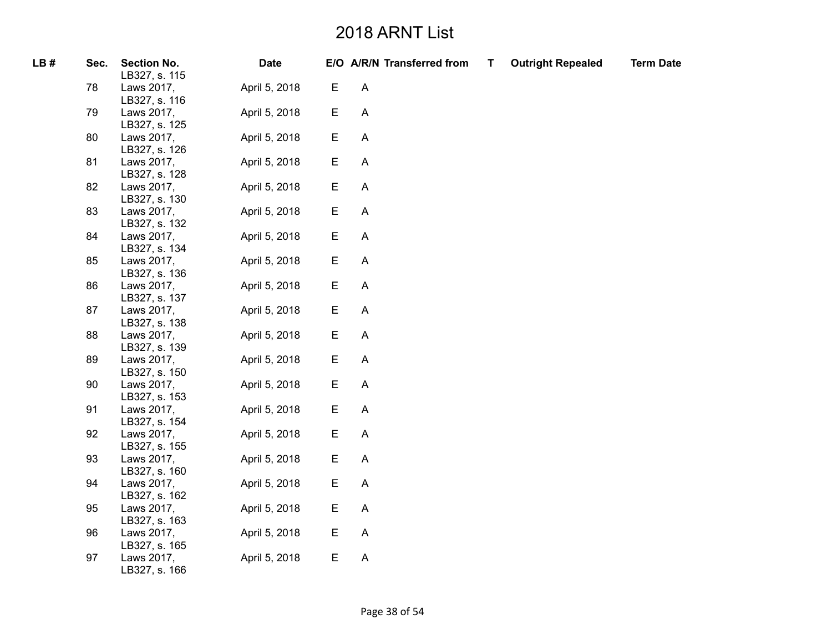| LB# | Sec. | <b>Section No.</b><br>LB327, s. 115 | <b>Date</b>   |             | E/O A/R/N Transferred from | T | <b>Outright Repealed</b> | <b>Term Date</b> |
|-----|------|-------------------------------------|---------------|-------------|----------------------------|---|--------------------------|------------------|
|     | 78   | Laws 2017,<br>LB327, s. 116         | April 5, 2018 | E           | $\boldsymbol{\mathsf{A}}$  |   |                          |                  |
|     | 79   | Laws 2017,<br>LB327, s. 125         | April 5, 2018 | E           | $\mathsf A$                |   |                          |                  |
|     | 80   | Laws 2017,<br>LB327, s. 126         | April 5, 2018 | E           | $\boldsymbol{\mathsf{A}}$  |   |                          |                  |
|     | 81   | Laws 2017,<br>LB327, s. 128         | April 5, 2018 | E           | A                          |   |                          |                  |
|     | 82   | Laws 2017,<br>LB327, s. 130         | April 5, 2018 | E           | $\mathsf A$                |   |                          |                  |
|     | 83   | Laws 2017,<br>LB327, s. 132         | April 5, 2018 | E           | $\boldsymbol{\mathsf{A}}$  |   |                          |                  |
|     | 84   | Laws 2017,<br>LB327, s. 134         | April 5, 2018 | E           | $\boldsymbol{\mathsf{A}}$  |   |                          |                  |
|     | 85   | Laws 2017,<br>LB327, s. 136         | April 5, 2018 | E           | $\mathsf A$                |   |                          |                  |
|     | 86   | Laws 2017,<br>LB327, s. 137         | April 5, 2018 | E           | $\boldsymbol{\mathsf{A}}$  |   |                          |                  |
|     | 87   | Laws 2017,<br>LB327, s. 138         | April 5, 2018 | E           | $\boldsymbol{\mathsf{A}}$  |   |                          |                  |
|     | 88   | Laws 2017,<br>LB327, s. 139         | April 5, 2018 | E           | $\mathsf A$                |   |                          |                  |
|     | 89   | Laws 2017,<br>LB327, s. 150         | April 5, 2018 | $\mathsf E$ | $\boldsymbol{\mathsf{A}}$  |   |                          |                  |
|     | 90   | Laws 2017,<br>LB327, s. 153         | April 5, 2018 | E           | $\mathsf{A}$               |   |                          |                  |
|     | 91   | Laws 2017,<br>LB327, s. 154         | April 5, 2018 | E           | $\boldsymbol{\mathsf{A}}$  |   |                          |                  |
|     | 92   | Laws 2017,<br>LB327, s. 155         | April 5, 2018 | E           | A                          |   |                          |                  |
|     | 93   | Laws 2017,<br>LB327, s. 160         | April 5, 2018 | E           | $\mathsf A$                |   |                          |                  |
|     | 94   | Laws 2017,<br>LB327, s. 162         | April 5, 2018 | E           | A                          |   |                          |                  |
|     | 95   | Laws 2017,<br>LB327, s. 163         | April 5, 2018 | E           | $\boldsymbol{\mathsf{A}}$  |   |                          |                  |
|     | 96   | Laws 2017,<br>LB327, s. 165         | April 5, 2018 | E           | $\boldsymbol{\mathsf{A}}$  |   |                          |                  |
|     | 97   | Laws 2017,<br>LB327, s. 166         | April 5, 2018 | E           | $\mathsf A$                |   |                          |                  |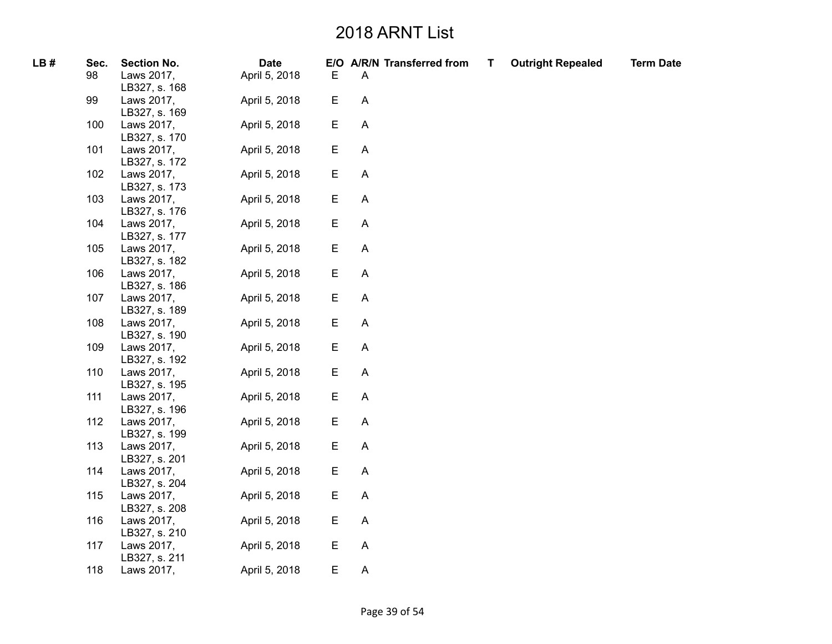| LB# | Sec. | <b>Section No.</b>          | <b>Date</b>   |   |                           | E/O A/R/N Transferred from | T | <b>Outright Repealed</b> | <b>Term Date</b> |
|-----|------|-----------------------------|---------------|---|---------------------------|----------------------------|---|--------------------------|------------------|
|     | 98   | Laws 2017,<br>LB327, s. 168 | April 5, 2018 | Ε | A                         |                            |   |                          |                  |
|     | 99   | Laws 2017,<br>LB327, s. 169 | April 5, 2018 | E | $\mathsf{A}$              |                            |   |                          |                  |
|     | 100  | Laws 2017,<br>LB327, s. 170 | April 5, 2018 | Е | $\boldsymbol{\mathsf{A}}$ |                            |   |                          |                  |
|     | 101  | Laws 2017,<br>LB327, s. 172 | April 5, 2018 | E | $\mathsf A$               |                            |   |                          |                  |
|     | 102  | Laws 2017,<br>LB327, s. 173 | April 5, 2018 | E | $\mathsf{A}$              |                            |   |                          |                  |
|     | 103  | Laws 2017,<br>LB327, s. 176 | April 5, 2018 | Е | A                         |                            |   |                          |                  |
|     | 104  | Laws 2017,<br>LB327, s. 177 | April 5, 2018 | Е | A                         |                            |   |                          |                  |
|     | 105  | Laws 2017,<br>LB327, s. 182 | April 5, 2018 | E | $\boldsymbol{\mathsf{A}}$ |                            |   |                          |                  |
|     | 106  | Laws 2017,<br>LB327, s. 186 | April 5, 2018 | Е | $\boldsymbol{\mathsf{A}}$ |                            |   |                          |                  |
|     | 107  | Laws 2017,<br>LB327, s. 189 | April 5, 2018 | E | $\boldsymbol{\mathsf{A}}$ |                            |   |                          |                  |
|     | 108  | Laws 2017,<br>LB327, s. 190 | April 5, 2018 | Е | A                         |                            |   |                          |                  |
|     | 109  | Laws 2017,<br>LB327, s. 192 | April 5, 2018 | Е | $\boldsymbol{\mathsf{A}}$ |                            |   |                          |                  |
|     | 110  | Laws 2017,<br>LB327, s. 195 | April 5, 2018 | E | A                         |                            |   |                          |                  |
|     | 111  | Laws 2017,<br>LB327, s. 196 | April 5, 2018 | E | $\boldsymbol{\mathsf{A}}$ |                            |   |                          |                  |
|     | 112  | Laws 2017,<br>LB327, s. 199 | April 5, 2018 | E | $\boldsymbol{\mathsf{A}}$ |                            |   |                          |                  |
|     | 113  | Laws 2017,<br>LB327, s. 201 | April 5, 2018 | Е | A                         |                            |   |                          |                  |
|     | 114  | Laws 2017,<br>LB327, s. 204 | April 5, 2018 | E | A                         |                            |   |                          |                  |
|     | 115  | Laws 2017,<br>LB327, s. 208 | April 5, 2018 | Е | A                         |                            |   |                          |                  |
|     | 116  | Laws 2017,<br>LB327, s. 210 | April 5, 2018 | E | $\boldsymbol{\mathsf{A}}$ |                            |   |                          |                  |
|     | 117  | Laws 2017,<br>LB327, s. 211 | April 5, 2018 | Е | $\boldsymbol{\mathsf{A}}$ |                            |   |                          |                  |
|     | 118  | Laws 2017,                  | April 5, 2018 | E | $\boldsymbol{\mathsf{A}}$ |                            |   |                          |                  |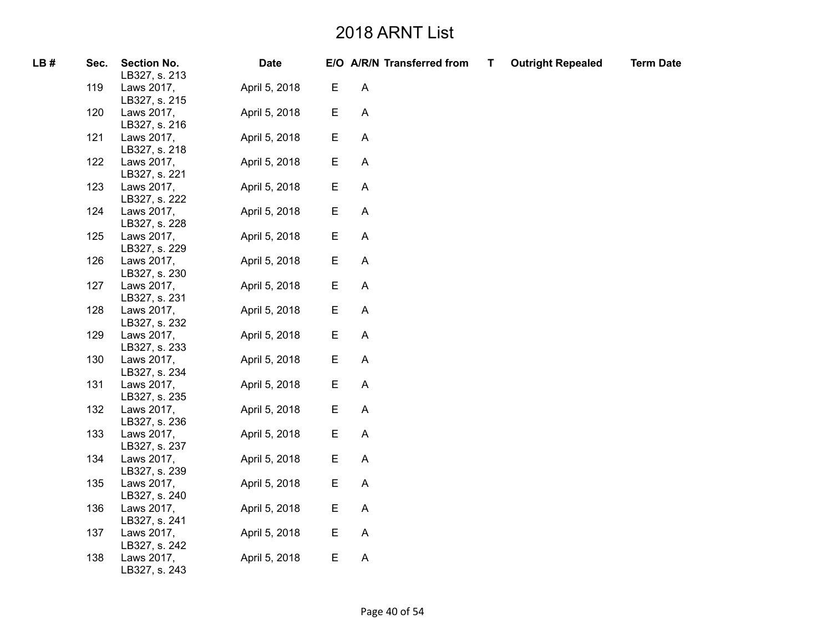| LB# | Sec. | <b>Section No.</b><br>LB327, s. 213 | <b>Date</b>   |   | E/O A/R/N Transferred from | T | <b>Outright Repealed</b> | <b>Term Date</b> |
|-----|------|-------------------------------------|---------------|---|----------------------------|---|--------------------------|------------------|
|     | 119  | Laws 2017,<br>LB327, s. 215         | April 5, 2018 | E | $\boldsymbol{\mathsf{A}}$  |   |                          |                  |
|     | 120  | Laws 2017,<br>LB327, s. 216         | April 5, 2018 | E | $\boldsymbol{\mathsf{A}}$  |   |                          |                  |
|     | 121  | Laws 2017,<br>LB327, s. 218         | April 5, 2018 | E | $\boldsymbol{\mathsf{A}}$  |   |                          |                  |
|     | 122  | Laws 2017,<br>LB327, s. 221         | April 5, 2018 | E | $\boldsymbol{\mathsf{A}}$  |   |                          |                  |
|     | 123  | Laws 2017,<br>LB327, s. 222         | April 5, 2018 | E | $\boldsymbol{\mathsf{A}}$  |   |                          |                  |
|     | 124  | Laws 2017,<br>LB327, s. 228         | April 5, 2018 | E | $\boldsymbol{\mathsf{A}}$  |   |                          |                  |
|     | 125  | Laws 2017,<br>LB327, s. 229         | April 5, 2018 | E | A                          |   |                          |                  |
|     | 126  | Laws 2017,<br>LB327, s. 230         | April 5, 2018 | E | $\boldsymbol{\mathsf{A}}$  |   |                          |                  |
|     | 127  | Laws 2017,<br>LB327, s. 231         | April 5, 2018 | E | $\mathsf{A}$               |   |                          |                  |
|     | 128  | Laws 2017,<br>LB327, s. 232         | April 5, 2018 | E | A                          |   |                          |                  |
|     | 129  | Laws 2017,<br>LB327, s. 233         | April 5, 2018 | E | $\mathsf{A}$               |   |                          |                  |
|     | 130  | Laws 2017,<br>LB327, s. 234         | April 5, 2018 | E | $\mathsf{A}$               |   |                          |                  |
|     | 131  | Laws 2017,<br>LB327, s. 235         | April 5, 2018 | E | $\mathsf{A}$               |   |                          |                  |
|     | 132  | Laws 2017,<br>LB327, s. 236         | April 5, 2018 | E | $\boldsymbol{\mathsf{A}}$  |   |                          |                  |
|     | 133  | Laws 2017,<br>LB327, s. 237         | April 5, 2018 | E | $\boldsymbol{\mathsf{A}}$  |   |                          |                  |
|     | 134  | Laws 2017,<br>LB327, s. 239         | April 5, 2018 | E | $\boldsymbol{\mathsf{A}}$  |   |                          |                  |
|     | 135  | Laws 2017,<br>LB327, s. 240         | April 5, 2018 | E | $\boldsymbol{\mathsf{A}}$  |   |                          |                  |
|     | 136  | Laws 2017,<br>LB327, s. 241         | April 5, 2018 | E | $\mathsf{A}$               |   |                          |                  |
|     | 137  | Laws 2017,<br>LB327, s. 242         | April 5, 2018 | E | $\mathsf{A}$               |   |                          |                  |
|     | 138  | Laws 2017,<br>LB327, s. 243         | April 5, 2018 | E | A                          |   |                          |                  |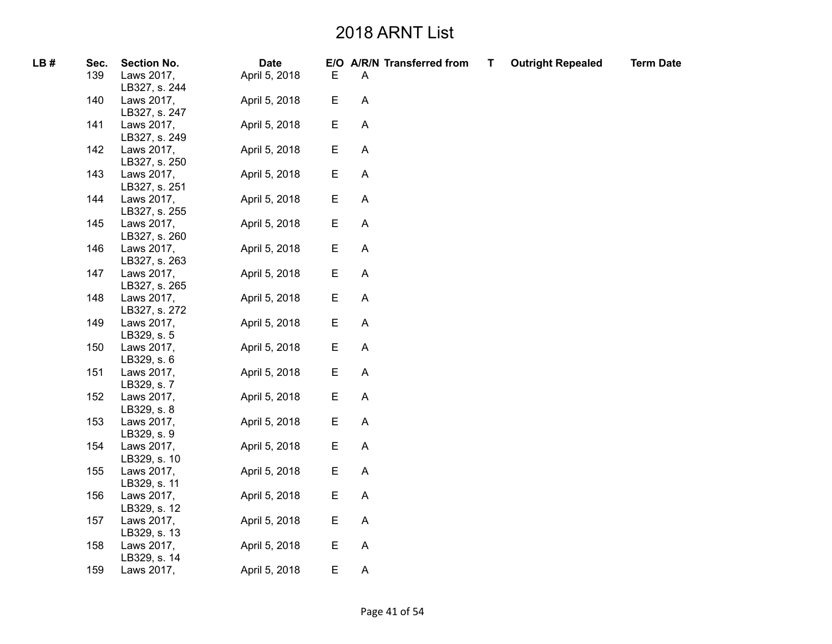| LB# | Sec. | <b>Section No.</b>          | <b>Date</b>   |   | E/O A/R/N Transferred from | T | <b>Outright Repealed</b> | <b>Term Date</b> |
|-----|------|-----------------------------|---------------|---|----------------------------|---|--------------------------|------------------|
|     | 139  | Laws 2017,<br>LB327, s. 244 | April 5, 2018 | Е | A                          |   |                          |                  |
|     | 140  | Laws 2017,<br>LB327, s. 247 | April 5, 2018 | E | $\boldsymbol{\mathsf{A}}$  |   |                          |                  |
|     | 141  | Laws 2017,<br>LB327, s. 249 | April 5, 2018 | E | $\boldsymbol{\mathsf{A}}$  |   |                          |                  |
|     | 142  | Laws 2017,<br>LB327, s. 250 | April 5, 2018 | E | $\boldsymbol{\mathsf{A}}$  |   |                          |                  |
|     | 143  | Laws 2017,<br>LB327, s. 251 | April 5, 2018 | E | $\mathsf{A}$               |   |                          |                  |
|     | 144  | Laws 2017,<br>LB327, s. 255 | April 5, 2018 | Е | $\mathsf{A}$               |   |                          |                  |
|     | 145  | Laws 2017,<br>LB327, s. 260 | April 5, 2018 | E | A                          |   |                          |                  |
|     | 146  | Laws 2017,<br>LB327, s. 263 | April 5, 2018 | Е | $\mathsf{A}$               |   |                          |                  |
|     | 147  | Laws 2017,<br>LB327, s. 265 | April 5, 2018 | E | $\boldsymbol{\mathsf{A}}$  |   |                          |                  |
|     | 148  | Laws 2017,<br>LB327, s. 272 | April 5, 2018 | E | $\boldsymbol{\mathsf{A}}$  |   |                          |                  |
|     | 149  | Laws 2017,<br>LB329, s. 5   | April 5, 2018 | E | A                          |   |                          |                  |
|     | 150  | Laws 2017,<br>LB329, s. 6   | April 5, 2018 | E | A                          |   |                          |                  |
|     | 151  | Laws 2017,<br>LB329, s. 7   | April 5, 2018 | E | A                          |   |                          |                  |
|     | 152  | Laws 2017,<br>LB329, s. 8   | April 5, 2018 | E | $\boldsymbol{\mathsf{A}}$  |   |                          |                  |
|     | 153  | Laws 2017,<br>LB329, s. 9   | April 5, 2018 | E | $\boldsymbol{\mathsf{A}}$  |   |                          |                  |
|     | 154  | Laws 2017,<br>LB329, s. 10  | April 5, 2018 | E | $\boldsymbol{\mathsf{A}}$  |   |                          |                  |
|     | 155  | Laws 2017,<br>LB329, s. 11  | April 5, 2018 | Е | A                          |   |                          |                  |
|     | 156  | Laws 2017,<br>LB329, s. 12  | April 5, 2018 | E | $\mathsf{A}$               |   |                          |                  |
|     | 157  | Laws 2017,<br>LB329, s. 13  | April 5, 2018 | E | $\mathsf{A}$               |   |                          |                  |
|     | 158  | Laws 2017,                  | April 5, 2018 | E | $\boldsymbol{\mathsf{A}}$  |   |                          |                  |
|     | 159  | LB329, s. 14<br>Laws 2017,  | April 5, 2018 | E | $\boldsymbol{\mathsf{A}}$  |   |                          |                  |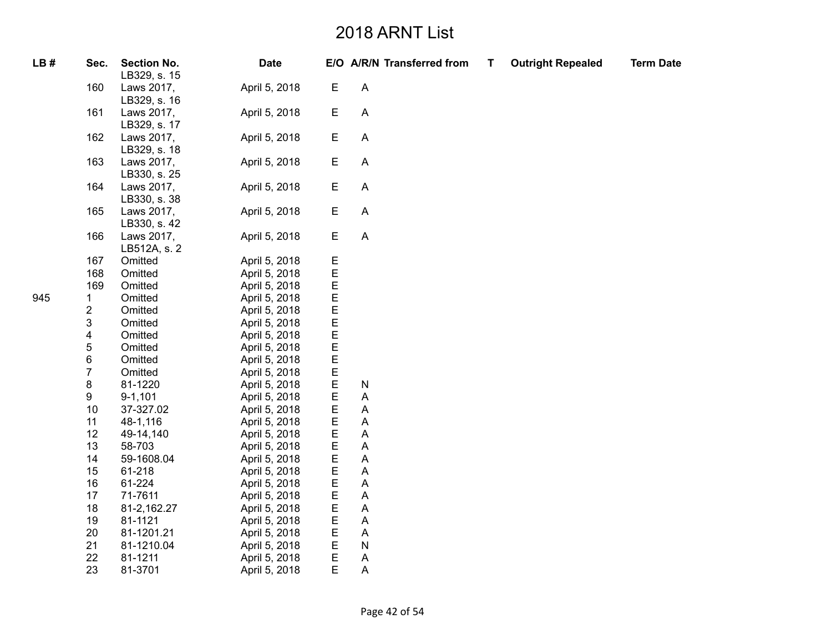| LB# | Sec.                    | <b>Section No.</b><br>LB329, s. 15 | <b>Date</b>   |   | E/O A/R/N Transferred from | $\mathsf{T}$ | <b>Outright Repealed</b> | <b>Term Date</b> |
|-----|-------------------------|------------------------------------|---------------|---|----------------------------|--------------|--------------------------|------------------|
|     | 160                     | Laws 2017,<br>LB329, s. 16         | April 5, 2018 | E | $\overline{A}$             |              |                          |                  |
|     | 161                     | Laws 2017,<br>LB329, s. 17         | April 5, 2018 | E | $\boldsymbol{\mathsf{A}}$  |              |                          |                  |
|     | 162                     | Laws 2017,<br>LB329, s. 18         | April 5, 2018 | Е | $\mathsf{A}$               |              |                          |                  |
|     | 163                     | Laws 2017,<br>LB330, s. 25         | April 5, 2018 | E | $\boldsymbol{\mathsf{A}}$  |              |                          |                  |
|     | 164                     | Laws 2017,<br>LB330, s. 38         | April 5, 2018 | E | $\boldsymbol{\mathsf{A}}$  |              |                          |                  |
|     | 165                     | Laws 2017,<br>LB330, s. 42         | April 5, 2018 | E | $\boldsymbol{\mathsf{A}}$  |              |                          |                  |
|     | 166                     | Laws 2017,<br>LB512A, s. 2         | April 5, 2018 | Е | A                          |              |                          |                  |
|     | 167                     | Omitted                            | April 5, 2018 | E |                            |              |                          |                  |
|     | 168                     | Omitted                            | April 5, 2018 | E |                            |              |                          |                  |
|     | 169                     | Omitted                            | April 5, 2018 | E |                            |              |                          |                  |
| 945 | 1                       | Omitted                            | April 5, 2018 | E |                            |              |                          |                  |
|     | $\overline{\mathbf{c}}$ | Omitted                            | April 5, 2018 | E |                            |              |                          |                  |
|     | 3                       | Omitted                            | April 5, 2018 | E |                            |              |                          |                  |
|     | 4                       | Omitted                            | April 5, 2018 | E |                            |              |                          |                  |
|     | 5                       | Omitted                            | April 5, 2018 | E |                            |              |                          |                  |
|     | 6                       | Omitted                            | April 5, 2018 | E |                            |              |                          |                  |
|     | $\overline{7}$          | Omitted                            | April 5, 2018 | E |                            |              |                          |                  |
|     | 8                       | 81-1220                            | April 5, 2018 | E | ${\sf N}$                  |              |                          |                  |
|     | 9                       | $9 - 1,101$                        | April 5, 2018 | E | A                          |              |                          |                  |
|     | 10                      | 37-327.02                          | April 5, 2018 | E | Α                          |              |                          |                  |
|     | 11                      | 48-1,116                           | April 5, 2018 | E | Α                          |              |                          |                  |
|     | 12                      | 49-14,140                          | April 5, 2018 | E | Α                          |              |                          |                  |
|     | 13                      | 58-703                             | April 5, 2018 | E | Α                          |              |                          |                  |
|     | 14                      | 59-1608.04                         | April 5, 2018 | E | Α                          |              |                          |                  |
|     | 15                      | 61-218                             | April 5, 2018 | E | Α                          |              |                          |                  |
|     | 16                      | 61-224                             | April 5, 2018 | E | Α                          |              |                          |                  |
|     | 17                      | 71-7611                            | April 5, 2018 | E | Α                          |              |                          |                  |
|     | 18                      | 81-2,162.27                        | April 5, 2018 | E | Α                          |              |                          |                  |
|     | 19                      | 81-1121                            | April 5, 2018 | E | Α                          |              |                          |                  |
|     | 20                      | 81-1201.21                         | April 5, 2018 | E | Α                          |              |                          |                  |
|     | 21                      | 81-1210.04                         | April 5, 2018 | E | ${\sf N}$                  |              |                          |                  |
|     | 22                      | 81-1211                            | April 5, 2018 | E | Α                          |              |                          |                  |
|     | 23                      | 81-3701                            | April 5, 2018 | E | Α                          |              |                          |                  |
|     |                         |                                    |               |   |                            |              |                          |                  |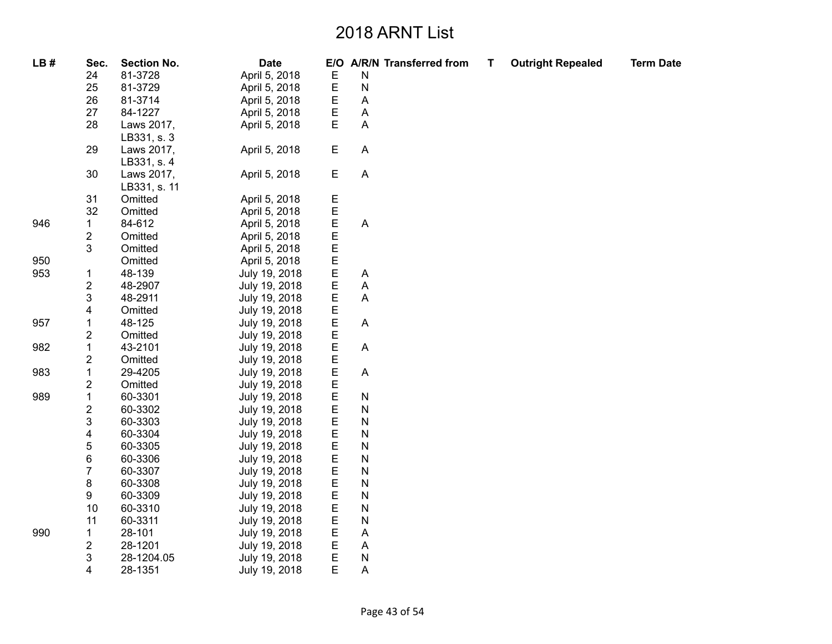| LB# | Sec.                    | <b>Section No.</b> | <b>Date</b>   | E/O         | A/R/N Transferred from    | T, | <b>Outright Repealed</b> | <b>Term Date</b> |
|-----|-------------------------|--------------------|---------------|-------------|---------------------------|----|--------------------------|------------------|
|     | 24                      | 81-3728            | April 5, 2018 | $\mathsf E$ | N                         |    |                          |                  |
|     | 25                      | 81-3729            | April 5, 2018 | Е           | N                         |    |                          |                  |
|     | 26                      | 81-3714            | April 5, 2018 | E           | A                         |    |                          |                  |
|     | 27                      | 84-1227            | April 5, 2018 | Ε           | A                         |    |                          |                  |
|     | 28                      | Laws 2017,         | April 5, 2018 | E           | A                         |    |                          |                  |
|     |                         | LB331, s. 3        |               |             |                           |    |                          |                  |
|     | 29                      | Laws 2017,         | April 5, 2018 | $\mathsf E$ | A                         |    |                          |                  |
|     |                         | LB331, s. 4        |               |             |                           |    |                          |                  |
|     | 30                      | Laws 2017,         | April 5, 2018 | $\mathsf E$ | $\boldsymbol{\mathsf{A}}$ |    |                          |                  |
|     |                         | LB331, s. 11       |               |             |                           |    |                          |                  |
|     | 31                      | Omitted            | April 5, 2018 | Ε           |                           |    |                          |                  |
|     | 32                      | Omitted            | April 5, 2018 | E           |                           |    |                          |                  |
| 946 | 1                       | 84-612             | April 5, 2018 | E           | A                         |    |                          |                  |
|     | 2                       | Omitted            | April 5, 2018 | Е           |                           |    |                          |                  |
|     | 3                       | Omitted            | April 5, 2018 | Е           |                           |    |                          |                  |
| 950 |                         | Omitted            | April 5, 2018 | E           |                           |    |                          |                  |
| 953 | $\mathbf{1}$            | 48-139             | July 19, 2018 | $\mathsf E$ | A                         |    |                          |                  |
|     | $\overline{\mathbf{c}}$ | 48-2907            | July 19, 2018 | Е           | Α                         |    |                          |                  |
|     | 3                       | 48-2911            | July 19, 2018 | Е           | Α                         |    |                          |                  |
|     | 4                       | Omitted            | July 19, 2018 | E           |                           |    |                          |                  |
| 957 | 1                       | 48-125             | July 19, 2018 | E           | A                         |    |                          |                  |
|     | 2                       | Omitted            | July 19, 2018 | E           |                           |    |                          |                  |
| 982 | $\mathbf 1$             | 43-2101            | July 19, 2018 | Е           | A                         |    |                          |                  |
|     | 2                       | Omitted            | July 19, 2018 | Е           |                           |    |                          |                  |
| 983 | $\mathbf 1$             | 29-4205            | July 19, 2018 | E           | A                         |    |                          |                  |
|     | $\overline{\mathbf{c}}$ | Omitted            | July 19, 2018 | E           |                           |    |                          |                  |
| 989 | 1                       | 60-3301            | July 19, 2018 | Ε           | N                         |    |                          |                  |
|     | $\overline{\mathbf{c}}$ | 60-3302            | July 19, 2018 | E           | N                         |    |                          |                  |
|     | 3                       | 60-3303            | July 19, 2018 | Е           | N                         |    |                          |                  |
|     | 4                       | 60-3304            | July 19, 2018 | Е           | N                         |    |                          |                  |
|     | 5                       | 60-3305            | July 19, 2018 | E           | N                         |    |                          |                  |
|     | 6                       | 60-3306            | July 19, 2018 | Е           | $\mathsf{N}$              |    |                          |                  |
|     | $\overline{7}$          | 60-3307            | July 19, 2018 | E           | N                         |    |                          |                  |
|     | 8                       | 60-3308            | July 19, 2018 | Е           | N                         |    |                          |                  |
|     | 9                       | 60-3309            | July 19, 2018 | Е           | N                         |    |                          |                  |
|     | 10                      | 60-3310            | July 19, 2018 | E           | N                         |    |                          |                  |
|     | 11                      | 60-3311            | July 19, 2018 | E           | N                         |    |                          |                  |
| 990 | 1                       | 28-101             | July 19, 2018 | E           | A                         |    |                          |                  |
|     | $\overline{\mathbf{c}}$ | 28-1201            | July 19, 2018 | E           | A                         |    |                          |                  |
|     | 3                       | 28-1204.05         | July 19, 2018 | E           | ${\sf N}$                 |    |                          |                  |
|     | 4                       | 28-1351            | July 19, 2018 | Е           | A                         |    |                          |                  |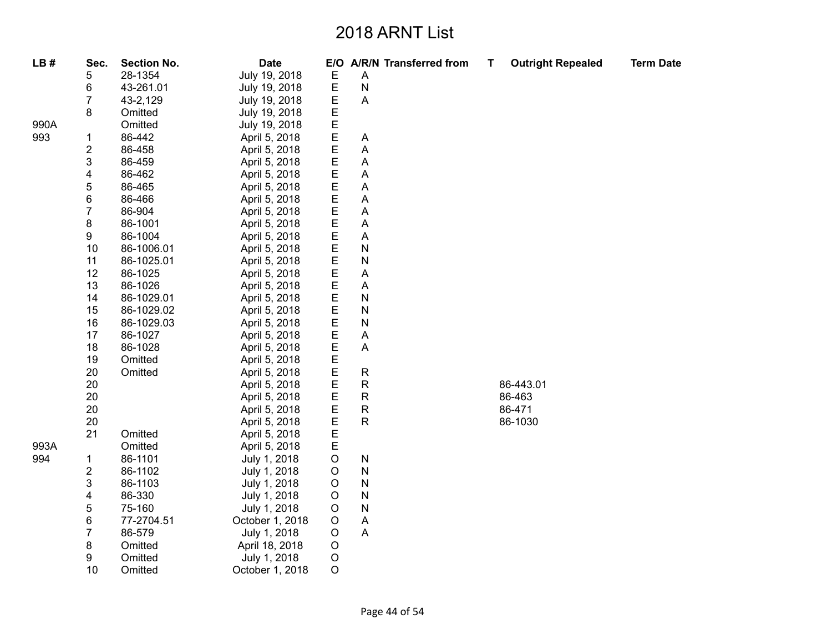| LB#  | Sec.                    | <b>Section No.</b> | <b>Date</b>     | E/O                | <b>A/R/N Transferred from</b> | Т | <b>Outright Repealed</b> | <b>Term Date</b> |
|------|-------------------------|--------------------|-----------------|--------------------|-------------------------------|---|--------------------------|------------------|
|      | 5                       | 28-1354            | July 19, 2018   | E                  | A                             |   |                          |                  |
|      | 6                       | 43-261.01          | July 19, 2018   | $\mathsf E$        | $\mathsf{N}$                  |   |                          |                  |
|      | 7                       | 43-2,129           | July 19, 2018   | Ε                  | A                             |   |                          |                  |
|      | 8                       | Omitted            | July 19, 2018   | Е                  |                               |   |                          |                  |
| 990A |                         | Omitted            | July 19, 2018   | E                  |                               |   |                          |                  |
| 993  | 1                       | 86-442             | April 5, 2018   | E                  | A                             |   |                          |                  |
|      | $\overline{\mathbf{c}}$ | 86-458             | April 5, 2018   | E                  | Α                             |   |                          |                  |
|      | 3                       | 86-459             | April 5, 2018   | E                  | Α                             |   |                          |                  |
|      | 4                       | 86-462             | April 5, 2018   | E<br>E             | A                             |   |                          |                  |
|      | 5                       | 86-465             | April 5, 2018   |                    | A                             |   |                          |                  |
|      | 6                       | 86-466             | April 5, 2018   | EEE                | Α                             |   |                          |                  |
|      | $\overline{7}$          | 86-904             | April 5, 2018   |                    | Α                             |   |                          |                  |
|      | 8                       | 86-1001            | April 5, 2018   |                    | Α                             |   |                          |                  |
|      | 9                       | 86-1004            | April 5, 2018   | $E$<br>$E$         | A                             |   |                          |                  |
|      | 10                      | 86-1006.01         | April 5, 2018   |                    | N                             |   |                          |                  |
|      | 11                      | 86-1025.01         | April 5, 2018   | E                  | N                             |   |                          |                  |
|      | 12                      | 86-1025            | April 5, 2018   | $\mathsf E$        | Α                             |   |                          |                  |
|      | 13                      | 86-1026            | April 5, 2018   | E                  | A                             |   |                          |                  |
|      | 14                      | 86-1029.01         | April 5, 2018   | $\mathsf E$        | N                             |   |                          |                  |
|      | 15                      | 86-1029.02         | April 5, 2018   | E                  | N                             |   |                          |                  |
|      | 16                      | 86-1029.03         | April 5, 2018   | $\mathsf E$        | N                             |   |                          |                  |
|      | 17                      | 86-1027            | April 5, 2018   | E<br>E             | Α                             |   |                          |                  |
|      | 18                      | 86-1028            | April 5, 2018   |                    | A                             |   |                          |                  |
|      | 19                      | Omitted            | April 5, 2018   | E                  |                               |   |                          |                  |
|      | 20                      | Omitted            | April 5, 2018   | E                  | ${\sf R}$                     |   |                          |                  |
|      | 20                      |                    | April 5, 2018   | E                  | $\mathsf R$                   |   | 86-443.01                |                  |
|      | 20                      |                    | April 5, 2018   | $\mathsf{E}% _{T}$ | R                             |   | 86-463                   |                  |
|      | 20                      |                    | April 5, 2018   | E                  | ${\sf R}$                     |   | 86-471                   |                  |
|      | 20                      |                    | April 5, 2018   | E                  | ${\sf R}$                     |   | 86-1030                  |                  |
|      | 21                      | Omitted            | April 5, 2018   | $\mathsf E$        |                               |   |                          |                  |
| 993A |                         | Omitted            | April 5, 2018   | $\mathsf E$        |                               |   |                          |                  |
| 994  | $\mathbf{1}$            | 86-1101            | July 1, 2018    | $\mathsf O$        | ${\sf N}$                     |   |                          |                  |
|      | $\overline{\mathbf{c}}$ | 86-1102            | July 1, 2018    | $\mathsf O$        | ${\sf N}$                     |   |                          |                  |
|      | 3                       | 86-1103            | July 1, 2018    | $\mathsf O$        | ${\sf N}$                     |   |                          |                  |
|      | 4                       | 86-330             | July 1, 2018    | $\mathsf O$        | ${\sf N}$                     |   |                          |                  |
|      | 5                       | 75-160             | July 1, 2018    | $\mathsf O$        | ${\sf N}$                     |   |                          |                  |
|      | 6                       | 77-2704.51         | October 1, 2018 | O                  | A                             |   |                          |                  |
|      | $\overline{7}$          | 86-579             | July 1, 2018    | $\circ$            | A                             |   |                          |                  |
|      | 8                       | Omitted            | April 18, 2018  | $\circ$            |                               |   |                          |                  |
|      | 9                       | Omitted            | July 1, 2018    | $\circ$            |                               |   |                          |                  |
|      | 10                      | Omitted            | October 1, 2018 | $\circ$            |                               |   |                          |                  |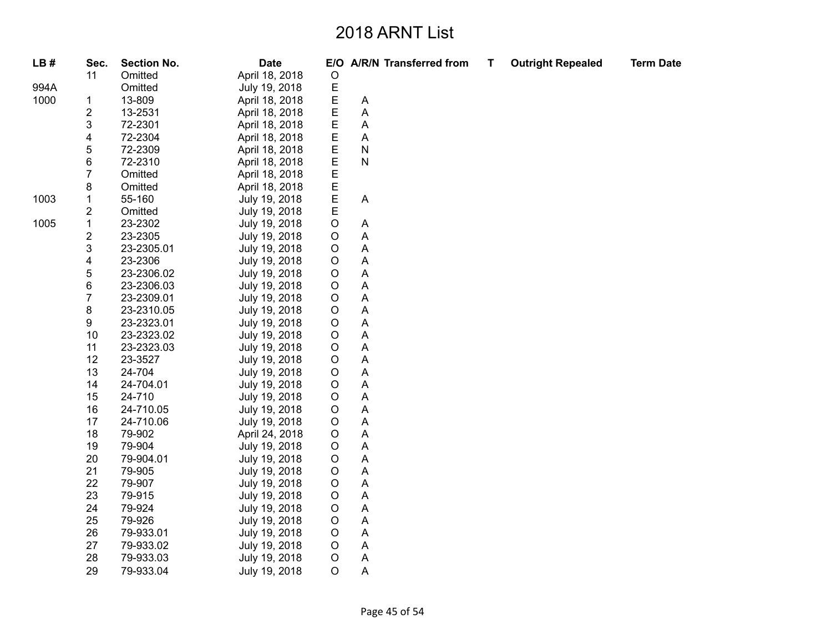| LB#  | Sec.                    | <b>Section No.</b> | <b>Date</b>    |             |              | E/O A/R/N Transferred from | T, | <b>Outright Repealed</b> | <b>Term Date</b> |
|------|-------------------------|--------------------|----------------|-------------|--------------|----------------------------|----|--------------------------|------------------|
|      | 11                      | Omitted            | April 18, 2018 | $\circ$     |              |                            |    |                          |                  |
| 994A |                         | Omitted            | July 19, 2018  | E           |              |                            |    |                          |                  |
| 1000 | 1                       | 13-809             | April 18, 2018 | E           | A            |                            |    |                          |                  |
|      | $\overline{\mathbf{c}}$ | 13-2531            | April 18, 2018 | $\mathsf E$ | A            |                            |    |                          |                  |
|      | 3                       | 72-2301            | April 18, 2018 | E           | Α            |                            |    |                          |                  |
|      | 4                       | 72-2304            | April 18, 2018 | E           | A            |                            |    |                          |                  |
|      | 5                       | 72-2309            | April 18, 2018 | Ε           | ${\sf N}$    |                            |    |                          |                  |
|      | 6                       | 72-2310            | April 18, 2018 | E           | $\mathsf{N}$ |                            |    |                          |                  |
|      | $\overline{7}$          | Omitted            | April 18, 2018 | $\mathsf E$ |              |                            |    |                          |                  |
|      | 8                       | Omitted            | April 18, 2018 | E           |              |                            |    |                          |                  |
| 1003 | $\mathbf 1$             | 55-160             | July 19, 2018  | E           | A            |                            |    |                          |                  |
|      | $\mathbf 2$             | Omitted            | July 19, 2018  | E           |              |                            |    |                          |                  |
| 1005 | $\mathbf 1$             | 23-2302            | July 19, 2018  | $\circ$     | A            |                            |    |                          |                  |
|      | $\overline{\mathbf{c}}$ | 23-2305            | July 19, 2018  | $\circ$     | Α            |                            |    |                          |                  |
|      | 3                       | 23-2305.01         | July 19, 2018  | $\circ$     | A            |                            |    |                          |                  |
|      | 4                       | 23-2306            | July 19, 2018  | $\circ$     | A            |                            |    |                          |                  |
|      | 5                       | 23-2306.02         | July 19, 2018  | $\circ$     | Α            |                            |    |                          |                  |
|      | 6                       | 23-2306.03         | July 19, 2018  | $\circ$     | Α            |                            |    |                          |                  |
|      | $\overline{7}$          | 23-2309.01         | July 19, 2018  | $\circ$     | Α            |                            |    |                          |                  |
|      | 8                       | 23-2310.05         | July 19, 2018  | $\circ$     | Α            |                            |    |                          |                  |
|      | 9                       | 23-2323.01         | July 19, 2018  | $\circ$     | A            |                            |    |                          |                  |
|      | 10                      | 23-2323.02         | July 19, 2018  | $\circ$     | Α            |                            |    |                          |                  |
|      | 11                      | 23-2323.03         | July 19, 2018  | $\circ$     | Α            |                            |    |                          |                  |
|      | 12                      | 23-3527            | July 19, 2018  | $\circ$     | Α            |                            |    |                          |                  |
|      | 13                      | 24-704             | July 19, 2018  | $\circ$     | A            |                            |    |                          |                  |
|      | 14                      | 24-704.01          | July 19, 2018  | $\circ$     | Α            |                            |    |                          |                  |
|      | 15                      | 24-710             | July 19, 2018  | $\circ$     | Α            |                            |    |                          |                  |
|      | 16                      | 24-710.05          | July 19, 2018  | $\circ$     | Α            |                            |    |                          |                  |
|      | 17                      | 24-710.06          | July 19, 2018  | $\circ$     | A            |                            |    |                          |                  |
|      | 18                      | 79-902             | April 24, 2018 | $\circ$     | Α            |                            |    |                          |                  |
|      | 19                      | 79-904             | July 19, 2018  | $\circ$     | Α            |                            |    |                          |                  |
|      | 20                      | 79-904.01          | July 19, 2018  | $\circ$     | A            |                            |    |                          |                  |
|      | 21                      | 79-905             | July 19, 2018  | $\circ$     | A            |                            |    |                          |                  |
|      | 22                      | 79-907             | July 19, 2018  | $\mathsf O$ | A            |                            |    |                          |                  |
|      | 23                      | 79-915             | July 19, 2018  | $\circ$     | Α            |                            |    |                          |                  |
|      | 24                      | 79-924             | July 19, 2018  | $\circ$     | A            |                            |    |                          |                  |
|      | 25                      | 79-926             | July 19, 2018  | $\circ$     | A            |                            |    |                          |                  |
|      | 26                      | 79-933.01          | July 19, 2018  | $\mathsf O$ | Α            |                            |    |                          |                  |
|      | 27                      | 79-933.02          | July 19, 2018  | $\circ$     | A            |                            |    |                          |                  |
|      | 28                      | 79-933.03          | July 19, 2018  | $\circ$     | A            |                            |    |                          |                  |
|      | 29                      | 79-933.04          | July 19, 2018  | $\circ$     | Α            |                            |    |                          |                  |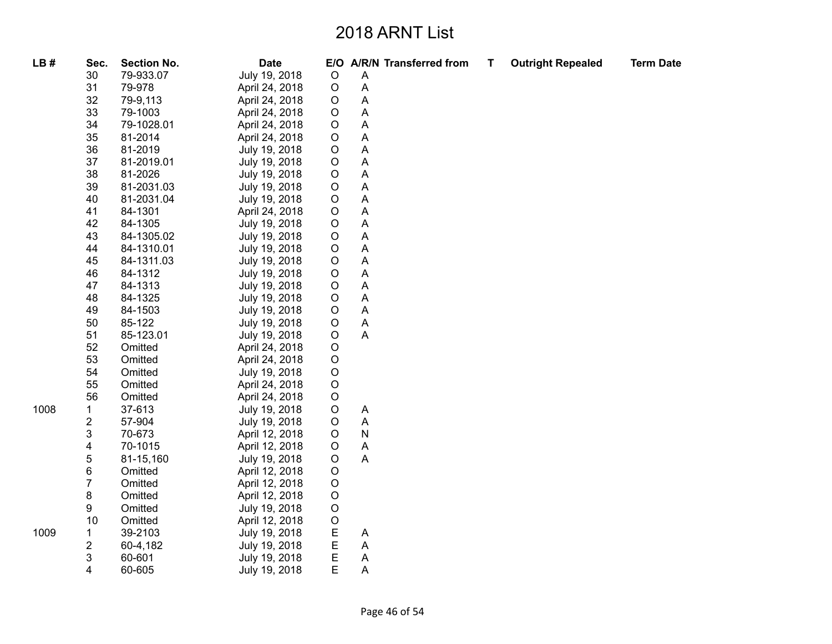| LB#  | Sec.                    | <b>Section No.</b> | <b>Date</b>    |             |                           | E/O A/R/N Transferred from | т | <b>Outright Repealed</b> | <b>Term Date</b> |
|------|-------------------------|--------------------|----------------|-------------|---------------------------|----------------------------|---|--------------------------|------------------|
|      | 30                      | 79-933.07          | July 19, 2018  | $\circ$     | A                         |                            |   |                          |                  |
|      | 31                      | 79-978             | April 24, 2018 | $\circ$     | A                         |                            |   |                          |                  |
|      | 32                      | 79-9,113           | April 24, 2018 | $\circ$     | $\boldsymbol{\mathsf{A}}$ |                            |   |                          |                  |
|      | 33                      | 79-1003            | April 24, 2018 | $\circ$     | A                         |                            |   |                          |                  |
|      | 34                      | 79-1028.01         | April 24, 2018 | $\circ$     | A                         |                            |   |                          |                  |
|      | 35                      | 81-2014            | April 24, 2018 | $\circ$     | A                         |                            |   |                          |                  |
|      | 36                      | 81-2019            | July 19, 2018  | $\circ$     | A                         |                            |   |                          |                  |
|      | 37                      | 81-2019.01         | July 19, 2018  | $\circ$     | A                         |                            |   |                          |                  |
|      | 38                      | 81-2026            | July 19, 2018  | $\circ$     | A                         |                            |   |                          |                  |
|      | 39                      | 81-2031.03         | July 19, 2018  | $\circ$     | A                         |                            |   |                          |                  |
|      | 40                      | 81-2031.04         | July 19, 2018  | $\circ$     | A                         |                            |   |                          |                  |
|      | 41                      | 84-1301            | April 24, 2018 | $\circ$     | A                         |                            |   |                          |                  |
|      | 42                      | 84-1305            | July 19, 2018  | $\circ$     | A                         |                            |   |                          |                  |
|      | 43                      | 84-1305.02         | July 19, 2018  | $\mathsf O$ | A                         |                            |   |                          |                  |
|      | 44                      | 84-1310.01         | July 19, 2018  | $\circ$     | A                         |                            |   |                          |                  |
|      | 45                      | 84-1311.03         | July 19, 2018  | $\circ$     | A                         |                            |   |                          |                  |
|      | 46                      | 84-1312            | July 19, 2018  | $\circ$     | A                         |                            |   |                          |                  |
|      | 47                      | 84-1313            | July 19, 2018  | $\circ$     | A                         |                            |   |                          |                  |
|      | 48                      | 84-1325            | July 19, 2018  | $\circ$     | A                         |                            |   |                          |                  |
|      | 49                      | 84-1503            | July 19, 2018  | $\circ$     | A                         |                            |   |                          |                  |
|      | 50                      | 85-122             | July 19, 2018  | $\circ$     | A                         |                            |   |                          |                  |
|      | 51                      | 85-123.01          | July 19, 2018  | $\mathsf O$ | A                         |                            |   |                          |                  |
|      | 52                      | Omitted            | April 24, 2018 | $\mathsf O$ |                           |                            |   |                          |                  |
|      | 53                      | Omitted            | April 24, 2018 | $\mathsf O$ |                           |                            |   |                          |                  |
|      | 54                      | Omitted            | July 19, 2018  | $\circ$     |                           |                            |   |                          |                  |
|      | 55                      | Omitted            | April 24, 2018 | $\mathsf O$ |                           |                            |   |                          |                  |
|      | 56                      | Omitted            | April 24, 2018 | $\circ$     |                           |                            |   |                          |                  |
| 1008 | $\mathbf{1}$            | 37-613             | July 19, 2018  | $\circ$     | A                         |                            |   |                          |                  |
|      | $\overline{\mathbf{c}}$ | 57-904             | July 19, 2018  | $\circ$     | A                         |                            |   |                          |                  |
|      | 3                       | 70-673             | April 12, 2018 | $\circ$     | $\mathsf{N}$              |                            |   |                          |                  |
|      | 4                       | 70-1015            | April 12, 2018 | $\mathsf O$ | $\boldsymbol{\mathsf{A}}$ |                            |   |                          |                  |
|      | 5                       | 81-15,160          | July 19, 2018  | $\circ$     | $\boldsymbol{\mathsf{A}}$ |                            |   |                          |                  |
|      | 6                       | Omitted            | April 12, 2018 | $\circ$     |                           |                            |   |                          |                  |
|      | $\overline{7}$          | Omitted            | April 12, 2018 | $\circ$     |                           |                            |   |                          |                  |
|      | 8                       | Omitted            | April 12, 2018 | $\circ$     |                           |                            |   |                          |                  |
|      | 9                       | Omitted            | July 19, 2018  | $\circ$     |                           |                            |   |                          |                  |
|      | 10                      | Omitted            | April 12, 2018 | $\circ$     |                           |                            |   |                          |                  |
| 1009 | $\mathbf 1$             | 39-2103            | July 19, 2018  | $\mathsf E$ | A                         |                            |   |                          |                  |
|      | $\overline{\mathbf{c}}$ | 60-4,182           | July 19, 2018  | E           | A                         |                            |   |                          |                  |
|      | 3                       | 60-601             | July 19, 2018  | E           | A                         |                            |   |                          |                  |
|      | 4                       | 60-605             | July 19, 2018  | E           | Α                         |                            |   |                          |                  |

100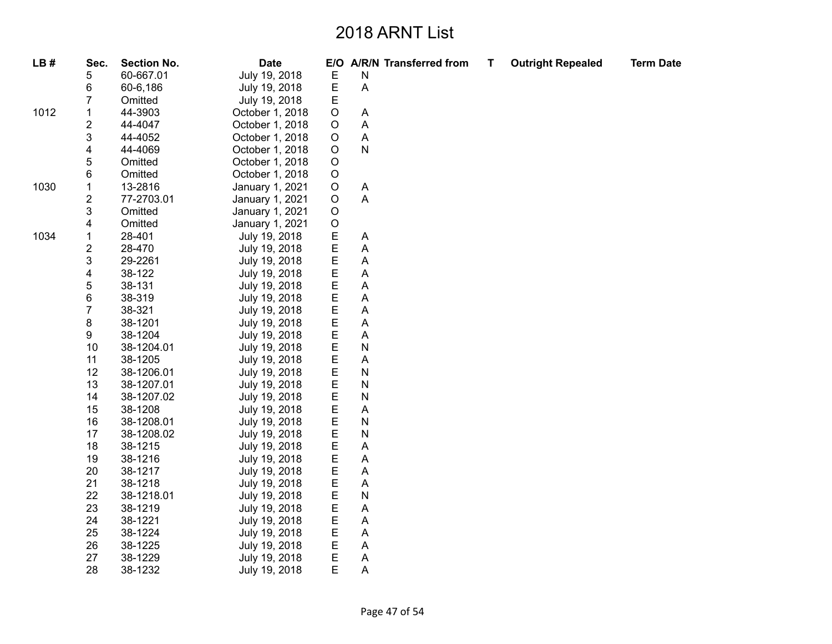| LB#  | Sec.                      | <b>Section No.</b> | <b>Date</b>     |             | E/O A/R/N Transferred from | T | <b>Outright Repealed</b> | <b>Term Date</b> |
|------|---------------------------|--------------------|-----------------|-------------|----------------------------|---|--------------------------|------------------|
|      | 5                         | 60-667.01          | July 19, 2018   | $\mathsf E$ | Ν                          |   |                          |                  |
|      | 6                         | 60-6,186           | July 19, 2018   | E           | A                          |   |                          |                  |
|      | 7                         | Omitted            | July 19, 2018   | Е           |                            |   |                          |                  |
| 1012 | 1                         | 44-3903            | October 1, 2018 | O           | A                          |   |                          |                  |
|      | $\boldsymbol{2}$          | 44-4047            | October 1, 2018 | $\mathsf O$ | A                          |   |                          |                  |
|      | $\ensuremath{\mathsf{3}}$ | 44-4052            | October 1, 2018 | O           | A                          |   |                          |                  |
|      | $\overline{\mathbf{4}}$   | 44-4069            | October 1, 2018 | O           | N                          |   |                          |                  |
|      | 5                         | Omitted            | October 1, 2018 | O           |                            |   |                          |                  |
|      | 6                         | Omitted            | October 1, 2018 | $\mathsf O$ |                            |   |                          |                  |
| 1030 | $\mathbf 1$               | 13-2816            | January 1, 2021 | $\mathsf O$ | A                          |   |                          |                  |
|      | $\mathbf 2$               | 77-2703.01         | January 1, 2021 | $\mathsf O$ | A                          |   |                          |                  |
|      | $\ensuremath{\mathsf{3}}$ | Omitted            | January 1, 2021 | O           |                            |   |                          |                  |
|      | $\overline{\mathbf{4}}$   | Omitted            | January 1, 2021 | $\hbox{O}$  |                            |   |                          |                  |
| 1034 | $\mathbf{1}$              | 28-401             | July 19, 2018   | $\mathsf E$ | Α                          |   |                          |                  |
|      | $\boldsymbol{2}$          | 28-470             | July 19, 2018   | E           | A                          |   |                          |                  |
|      | 3                         | 29-2261            | July 19, 2018   | Ε           | Α                          |   |                          |                  |
|      | $\overline{\mathbf{4}}$   | 38-122             | July 19, 2018   | E           | A                          |   |                          |                  |
|      | $\mathbf 5$               | 38-131             | July 19, 2018   | E           | A                          |   |                          |                  |
|      | 6                         | 38-319             | July 19, 2018   | E           | A                          |   |                          |                  |
|      | $\overline{7}$            | 38-321             | July 19, 2018   | E           | A                          |   |                          |                  |
|      | 8                         | 38-1201            | July 19, 2018   | $\mathsf E$ | A                          |   |                          |                  |
|      | 9                         | 38-1204            | July 19, 2018   | $\mathsf E$ | A                          |   |                          |                  |
|      | 10                        | 38-1204.01         | July 19, 2018   | E           | N                          |   |                          |                  |
|      | 11                        | 38-1205            | July 19, 2018   | E           | A                          |   |                          |                  |
|      | 12                        | 38-1206.01         | July 19, 2018   | E           | N                          |   |                          |                  |
|      | 13                        | 38-1207.01         | July 19, 2018   | E           | N                          |   |                          |                  |
|      | 14                        | 38-1207.02         | July 19, 2018   | E           | N                          |   |                          |                  |
|      | 15                        | 38-1208            | July 19, 2018   | Е           | A                          |   |                          |                  |
|      | 16                        | 38-1208.01         | July 19, 2018   | E           | N                          |   |                          |                  |
|      | 17                        | 38-1208.02         | July 19, 2018   | E           | N                          |   |                          |                  |
|      | 18                        | 38-1215            | July 19, 2018   | E           | A                          |   |                          |                  |
|      | 19                        | 38-1216            | July 19, 2018   | E           | A                          |   |                          |                  |
|      | 20                        | 38-1217            | July 19, 2018   | E           | Α                          |   |                          |                  |
|      | 21                        | 38-1218            | July 19, 2018   | E           | A                          |   |                          |                  |
|      | 22                        | 38-1218.01         | July 19, 2018   | E           | N                          |   |                          |                  |
|      | 23                        | 38-1219            | July 19, 2018   | E           | Α                          |   |                          |                  |
|      | 24                        | 38-1221            | July 19, 2018   | Ε           | Α                          |   |                          |                  |
|      | 25                        | 38-1224            | July 19, 2018   | E           | Α                          |   |                          |                  |
|      | 26                        | 38-1225            | July 19, 2018   | E           | A                          |   |                          |                  |
|      | 27                        | 38-1229            | July 19, 2018   | E           | Α                          |   |                          |                  |
|      | 28                        | 38-1232            | July 19, 2018   | E           | Α                          |   |                          |                  |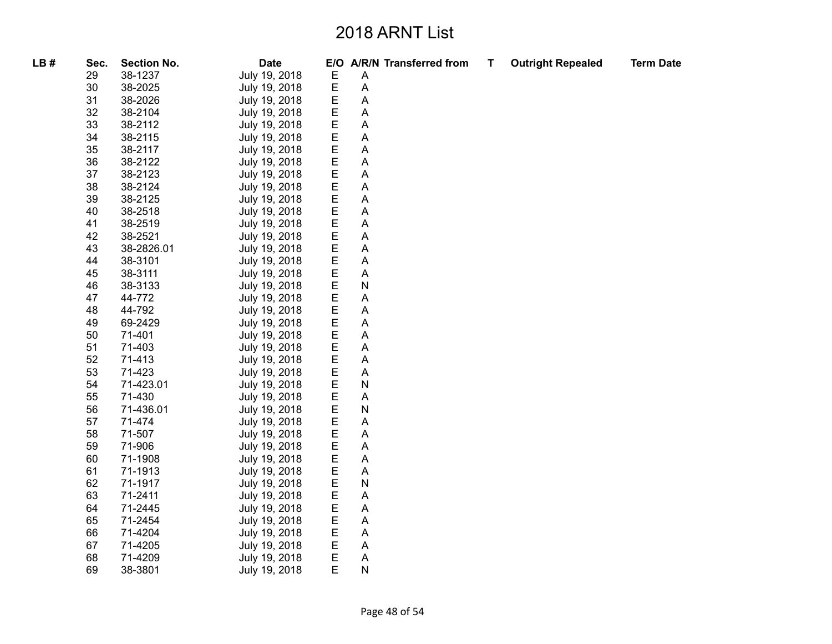| LB# | Sec. | <b>Section No.</b> | <b>Date</b>   | E/O         |                           | A/R/N Transferred from | Т | <b>Outright Repealed</b> | <b>Term Date</b> |
|-----|------|--------------------|---------------|-------------|---------------------------|------------------------|---|--------------------------|------------------|
|     | 29   | 38-1237            | July 19, 2018 | Е           | A                         |                        |   |                          |                  |
|     | 30   | 38-2025            | July 19, 2018 | $\mathsf E$ | $\boldsymbol{\mathsf{A}}$ |                        |   |                          |                  |
|     | 31   | 38-2026            | July 19, 2018 | E           | A                         |                        |   |                          |                  |
|     | 32   | 38-2104            | July 19, 2018 |             | A                         |                        |   |                          |                  |
|     | 33   | 38-2112            | July 19, 2018 | E<br>E      | A                         |                        |   |                          |                  |
|     | 34   | 38-2115            | July 19, 2018 | E           | A                         |                        |   |                          |                  |
|     | 35   | 38-2117            | July 19, 2018 | E           | A                         |                        |   |                          |                  |
|     | 36   | 38-2122            | July 19, 2018 | E           | A                         |                        |   |                          |                  |
|     | 37   | 38-2123            | July 19, 2018 | E           | $\boldsymbol{\mathsf{A}}$ |                        |   |                          |                  |
|     | 38   | 38-2124            | July 19, 2018 | E           | A                         |                        |   |                          |                  |
|     | 39   | 38-2125            | July 19, 2018 | E           | A                         |                        |   |                          |                  |
|     | 40   | 38-2518            | July 19, 2018 | E           | A                         |                        |   |                          |                  |
|     | 41   | 38-2519            | July 19, 2018 | E           | $\mathsf A$               |                        |   |                          |                  |
|     | 42   | 38-2521            | July 19, 2018 | E           | A                         |                        |   |                          |                  |
|     | 43   | 38-2826.01         | July 19, 2018 | E           | A                         |                        |   |                          |                  |
|     | 44   | 38-3101            | July 19, 2018 | E           | A                         |                        |   |                          |                  |
|     | 45   | 38-3111            | July 19, 2018 | E           | A                         |                        |   |                          |                  |
|     | 46   | 38-3133            | July 19, 2018 | E           | N                         |                        |   |                          |                  |
|     | 47   | 44-772             | July 19, 2018 | E           | A                         |                        |   |                          |                  |
|     | 48   | 44-792             | July 19, 2018 | E           | Α                         |                        |   |                          |                  |
|     | 49   | 69-2429            | July 19, 2018 | E           | A                         |                        |   |                          |                  |
|     | 50   | 71-401             | July 19, 2018 | E           | $\boldsymbol{\mathsf{A}}$ |                        |   |                          |                  |
|     | 51   | 71-403             | July 19, 2018 | E           | A                         |                        |   |                          |                  |
|     | 52   | 71-413             | July 19, 2018 | E           | A                         |                        |   |                          |                  |
|     | 53   | 71-423             | July 19, 2018 | E<br>E      | $\boldsymbol{\mathsf{A}}$ |                        |   |                          |                  |
|     | 54   | 71-423.01          | July 19, 2018 |             | ${\sf N}$                 |                        |   |                          |                  |
|     | 55   | 71-430             | July 19, 2018 | E           | A                         |                        |   |                          |                  |
|     | 56   | 71-436.01          | July 19, 2018 | E           | N                         |                        |   |                          |                  |
|     | 57   | 71-474             | July 19, 2018 | E           | A                         |                        |   |                          |                  |
|     | 58   | 71-507             | July 19, 2018 | E           | A                         |                        |   |                          |                  |
|     | 59   | 71-906             | July 19, 2018 | E           | $\boldsymbol{\mathsf{A}}$ |                        |   |                          |                  |
|     | 60   | 71-1908            | July 19, 2018 | E           | A                         |                        |   |                          |                  |
|     | 61   | 71-1913            | July 19, 2018 | E           | A                         |                        |   |                          |                  |
|     | 62   | 71-1917            | July 19, 2018 | E           | ${\sf N}$                 |                        |   |                          |                  |
|     | 63   | 71-2411            | July 19, 2018 | E           | A                         |                        |   |                          |                  |
|     | 64   | 71-2445            | July 19, 2018 | E           | A                         |                        |   |                          |                  |
|     | 65   | 71-2454            | July 19, 2018 | E           | A                         |                        |   |                          |                  |
|     | 66   | 71-4204            | July 19, 2018 | E           | $\boldsymbol{\mathsf{A}}$ |                        |   |                          |                  |
|     | 67   | 71-4205            | July 19, 2018 | E           | A                         |                        |   |                          |                  |
|     | 68   | 71-4209            | July 19, 2018 | E           | A                         |                        |   |                          |                  |
|     | 69   | 38-3801            | July 19, 2018 | E           | ${\sf N}$                 |                        |   |                          |                  |
|     |      |                    |               |             |                           |                        |   |                          |                  |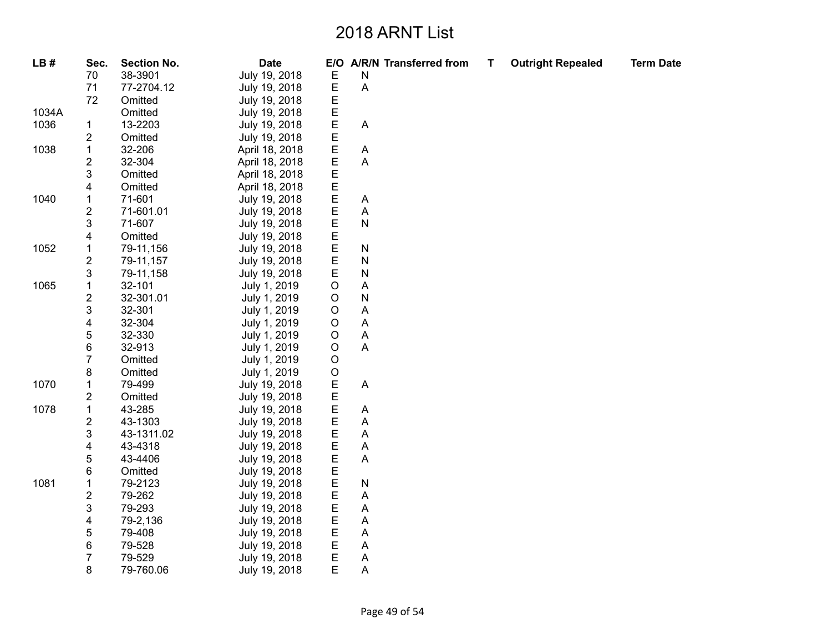| LB#   | Sec.                    | <b>Section No.</b> | <b>Date</b>    | E/O         |           | <b>A/R/N Transferred from</b> | T. | <b>Outright Repealed</b> | <b>Term Date</b> |
|-------|-------------------------|--------------------|----------------|-------------|-----------|-------------------------------|----|--------------------------|------------------|
|       | 70                      | 38-3901            | July 19, 2018  | Ε           | N         |                               |    |                          |                  |
|       | 71                      | 77-2704.12         | July 19, 2018  | E           | A         |                               |    |                          |                  |
|       | 72                      | Omitted            | July 19, 2018  | E           |           |                               |    |                          |                  |
| 1034A |                         | Omitted            | July 19, 2018  | E           |           |                               |    |                          |                  |
| 1036  | 1                       | 13-2203            | July 19, 2018  | E           | Α         |                               |    |                          |                  |
|       | 2                       | Omitted            | July 19, 2018  | E           |           |                               |    |                          |                  |
| 1038  | $\mathbf 1$             | 32-206             | April 18, 2018 | E           | A         |                               |    |                          |                  |
|       | 2                       | 32-304             | April 18, 2018 | E           | Α         |                               |    |                          |                  |
|       | 3                       | Omitted            | April 18, 2018 | E           |           |                               |    |                          |                  |
|       | 4                       | Omitted            | April 18, 2018 | E           |           |                               |    |                          |                  |
| 1040  | $\mathbf 1$             | 71-601             | July 19, 2018  | E           | A         |                               |    |                          |                  |
|       | $\overline{\mathbf{c}}$ | 71-601.01          | July 19, 2018  | E           | A         |                               |    |                          |                  |
|       | 3                       | 71-607             | July 19, 2018  | E           | ${\sf N}$ |                               |    |                          |                  |
|       | 4                       | Omitted            | July 19, 2018  | E           |           |                               |    |                          |                  |
| 1052  | $\mathbf 1$             | 79-11,156          | July 19, 2018  | E           | ${\sf N}$ |                               |    |                          |                  |
|       | 2                       | 79-11,157          | July 19, 2018  | E           | N         |                               |    |                          |                  |
|       | 3                       | 79-11,158          | July 19, 2018  | E           | N         |                               |    |                          |                  |
| 1065  | $\mathbf 1$             | 32-101             | July 1, 2019   | $\circ$     | A         |                               |    |                          |                  |
|       | $\overline{\mathbf{c}}$ | 32-301.01          | July 1, 2019   | $\circ$     | N         |                               |    |                          |                  |
|       | 3                       | 32-301             | July 1, 2019   | $\mathsf O$ | Α         |                               |    |                          |                  |
|       | 4                       | 32-304             | July 1, 2019   | O           | Α         |                               |    |                          |                  |
|       | 5                       | 32-330             | July 1, 2019   | $\circ$     | A         |                               |    |                          |                  |
|       | 6                       | 32-913             | July 1, 2019   | $\circ$     | Α         |                               |    |                          |                  |
|       | $\overline{7}$          | Omitted            | July 1, 2019   | $\circ$     |           |                               |    |                          |                  |
|       | 8                       | Omitted            | July 1, 2019   | $\mathsf O$ |           |                               |    |                          |                  |
| 1070  | $\mathbf 1$             | 79-499             | July 19, 2018  | E           | A         |                               |    |                          |                  |
|       | $\overline{\mathbf{c}}$ | Omitted            | July 19, 2018  | E           |           |                               |    |                          |                  |
| 1078  | $\mathbf 1$             | 43-285             | July 19, 2018  | E           | Α         |                               |    |                          |                  |
|       | $\overline{\mathbf{c}}$ | 43-1303            | July 19, 2018  | E           | Α         |                               |    |                          |                  |
|       | 3                       | 43-1311.02         | July 19, 2018  | Ε           | Α         |                               |    |                          |                  |
|       | 4                       | 43-4318            | July 19, 2018  | E           | Α         |                               |    |                          |                  |
|       | 5                       | 43-4406            | July 19, 2018  | E           | Α         |                               |    |                          |                  |
|       | 6                       | Omitted            | July 19, 2018  | E           |           |                               |    |                          |                  |
| 1081  | $\mathbf 1$             | 79-2123            | July 19, 2018  | E           | ${\sf N}$ |                               |    |                          |                  |
|       | $\overline{\mathbf{c}}$ | 79-262             | July 19, 2018  | E           | Α         |                               |    |                          |                  |
|       | 3                       | 79-293             | July 19, 2018  | E           | Α         |                               |    |                          |                  |
|       | 4                       | 79-2,136           | July 19, 2018  | Ε           | Α         |                               |    |                          |                  |
|       | 5                       | 79-408             | July 19, 2018  | Ε           | Α         |                               |    |                          |                  |
|       | 6                       | 79-528             | July 19, 2018  | E           | A         |                               |    |                          |                  |
|       | $\overline{7}$          | 79-529             | July 19, 2018  | E           | A         |                               |    |                          |                  |
|       | 8                       | 79-760.06          | July 19, 2018  | E           | Α         |                               |    |                          |                  |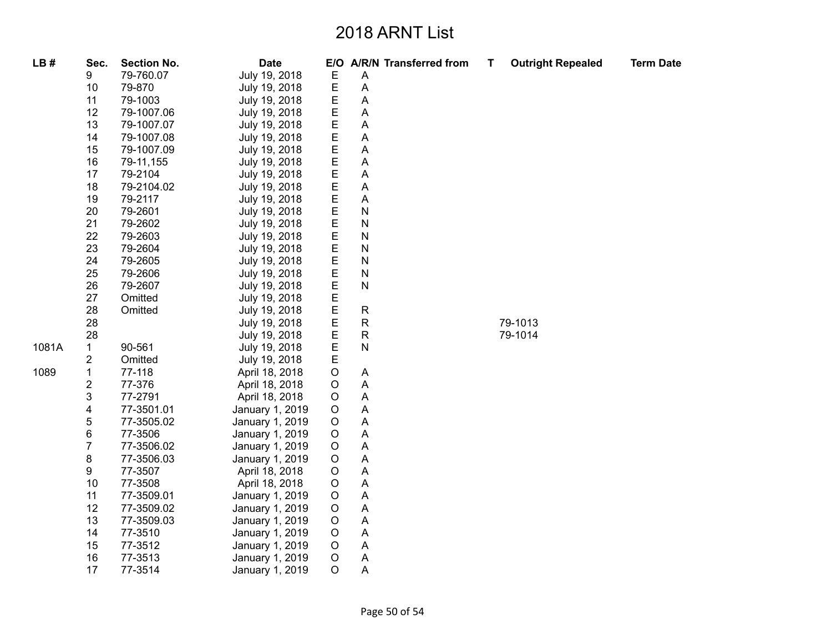| LB#   | Sec.           | <b>Section No.</b> | <b>Date</b>     |             |                    | E/O A/R/N Transferred from | т | <b>Outright Repealed</b> | <b>Term Date</b> |
|-------|----------------|--------------------|-----------------|-------------|--------------------|----------------------------|---|--------------------------|------------------|
|       | 9              | 79-760.07          | July 19, 2018   | E           | A                  |                            |   |                          |                  |
|       | 10             | 79-870             | July 19, 2018   | $\mathsf E$ | A                  |                            |   |                          |                  |
|       | 11             | 79-1003            | July 19, 2018   | E           | A                  |                            |   |                          |                  |
|       | 12             | 79-1007.06         | July 19, 2018   | E           | Α                  |                            |   |                          |                  |
|       | 13             | 79-1007.07         | July 19, 2018   | E           | A                  |                            |   |                          |                  |
|       | 14             | 79-1007.08         | July 19, 2018   | $\mathsf E$ | Α                  |                            |   |                          |                  |
|       | 15             | 79-1007.09         | July 19, 2018   | E           | Α                  |                            |   |                          |                  |
|       | 16             | 79-11,155          | July 19, 2018   | E           | A                  |                            |   |                          |                  |
|       | 17             | 79-2104            | July 19, 2018   | E           | A                  |                            |   |                          |                  |
|       | 18             | 79-2104.02         | July 19, 2018   | $\mathsf E$ | A                  |                            |   |                          |                  |
|       | 19             | 79-2117            | July 19, 2018   | $\mathsf E$ | A                  |                            |   |                          |                  |
|       | 20             | 79-2601            | July 19, 2018   | E           | N                  |                            |   |                          |                  |
|       | 21             | 79-2602            | July 19, 2018   | Е           | N                  |                            |   |                          |                  |
|       | 22             | 79-2603            | July 19, 2018   | $\mathsf E$ | N                  |                            |   |                          |                  |
|       | 23             | 79-2604            | July 19, 2018   | E           | N                  |                            |   |                          |                  |
|       | 24             | 79-2605            | July 19, 2018   | Е           | N                  |                            |   |                          |                  |
|       | 25             | 79-2606            | July 19, 2018   | E           | N                  |                            |   |                          |                  |
|       | 26             | 79-2607            | July 19, 2018   | E           | N                  |                            |   |                          |                  |
|       | 27             | Omitted            | July 19, 2018   | $\mathsf E$ |                    |                            |   |                          |                  |
|       | 28             | Omitted            | July 19, 2018   | E           | R                  |                            |   |                          |                  |
|       | 28             |                    | July 19, 2018   | E           | $\mathsf R$        |                            |   | 79-1013                  |                  |
|       | 28             |                    | July 19, 2018   | E           | $\mathsf{R}% _{T}$ |                            |   | 79-1014                  |                  |
| 1081A | $\mathbf{1}$   | 90-561             | July 19, 2018   | E           | N                  |                            |   |                          |                  |
|       | 2              | Omitted            | July 19, 2018   | E           |                    |                            |   |                          |                  |
| 1089  | 1              | 77-118             | April 18, 2018  | $\mathsf O$ | A                  |                            |   |                          |                  |
|       | 2              | 77-376             | April 18, 2018  | $\circ$     | Α                  |                            |   |                          |                  |
|       | 3              | 77-2791            | April 18, 2018  | $\circ$     | A                  |                            |   |                          |                  |
|       | 4              | 77-3501.01         | January 1, 2019 | $\mathsf O$ | A                  |                            |   |                          |                  |
|       | 5              | 77-3505.02         | January 1, 2019 | $\mathsf O$ | Α                  |                            |   |                          |                  |
|       | 6              | 77-3506            | January 1, 2019 | $\circ$     | A                  |                            |   |                          |                  |
|       | $\overline{7}$ | 77-3506.02         | January 1, 2019 | $\mathsf O$ | A                  |                            |   |                          |                  |
|       | 8              | 77-3506.03         | January 1, 2019 | $\mathsf O$ | A                  |                            |   |                          |                  |
|       | 9              | 77-3507            | April 18, 2018  | $\circ$     | Α                  |                            |   |                          |                  |
|       | 10             | 77-3508            | April 18, 2018  | $\circ$     | A                  |                            |   |                          |                  |
|       | 11             | 77-3509.01         | January 1, 2019 | $\circ$     | A                  |                            |   |                          |                  |
|       | 12             | 77-3509.02         | January 1, 2019 | $\mathsf O$ | A                  |                            |   |                          |                  |
|       | 13             | 77-3509.03         | January 1, 2019 | $\mathsf O$ | Α                  |                            |   |                          |                  |
|       | 14             | 77-3510            | January 1, 2019 | O           | Α                  |                            |   |                          |                  |
|       | 15             | 77-3512            | January 1, 2019 | $\mathsf O$ | Α                  |                            |   |                          |                  |
|       | 16             | 77-3513            | January 1, 2019 | $\mathsf O$ | Α                  |                            |   |                          |                  |
|       | 17             | 77-3514            | January 1, 2019 | $\circ$     | A                  |                            |   |                          |                  |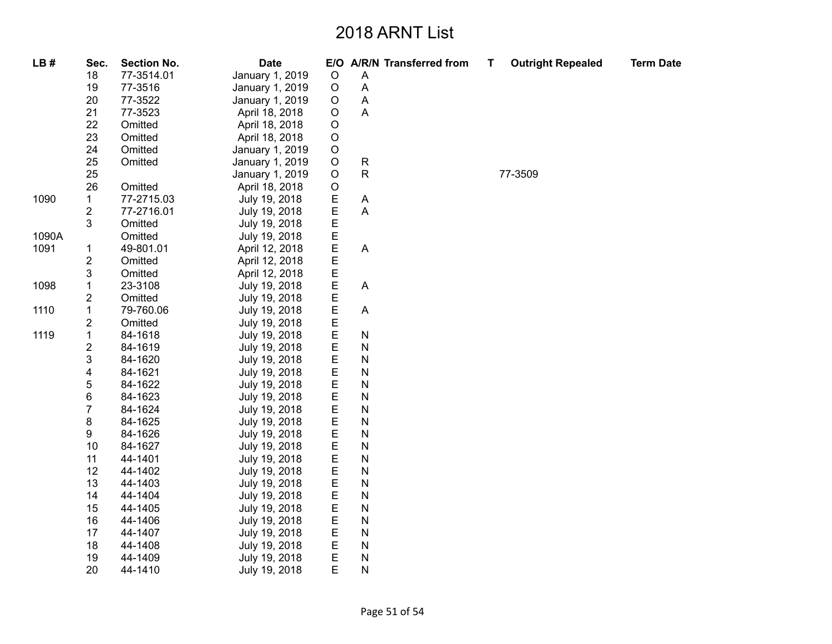| LB#   | Sec.                    | <b>Section No.</b> | <b>Date</b>     |             | E/O A/R/N Transferred from | т | <b>Outright Repealed</b> | <b>Term Date</b> |
|-------|-------------------------|--------------------|-----------------|-------------|----------------------------|---|--------------------------|------------------|
|       | 18                      | 77-3514.01         | January 1, 2019 | $\circ$     | A                          |   |                          |                  |
|       | 19                      | 77-3516            | January 1, 2019 | $\circ$     | $\mathsf{A}$               |   |                          |                  |
|       | 20                      | 77-3522            | January 1, 2019 | $\circ$     | A                          |   |                          |                  |
|       | 21                      | 77-3523            | April 18, 2018  | $\mathsf O$ | $\overline{A}$             |   |                          |                  |
|       | 22                      | Omitted            | April 18, 2018  | $\mathsf O$ |                            |   |                          |                  |
|       | 23                      | Omitted            | April 18, 2018  | $\mathsf O$ |                            |   |                          |                  |
|       | 24                      | Omitted            | January 1, 2019 | $\circ$     |                            |   |                          |                  |
|       | 25                      | Omitted            | January 1, 2019 | $\mathsf O$ | ${\sf R}$                  |   |                          |                  |
|       | 25                      |                    | January 1, 2019 | $\circ$     | $\mathsf{R}$               |   | 77-3509                  |                  |
|       | 26                      | Omitted            | April 18, 2018  | $\mathsf O$ |                            |   |                          |                  |
| 1090  | $\mathbf{1}$            | 77-2715.03         | July 19, 2018   | E<br>E      | $\boldsymbol{\mathsf{A}}$  |   |                          |                  |
|       | 2                       | 77-2716.01         | July 19, 2018   |             | A                          |   |                          |                  |
|       | 3                       | Omitted            | July 19, 2018   | E           |                            |   |                          |                  |
| 1090A |                         | Omitted            | July 19, 2018   | E           |                            |   |                          |                  |
| 1091  | $\mathbf{1}$            | 49-801.01          | April 12, 2018  | E<br>E      | $\boldsymbol{\mathsf{A}}$  |   |                          |                  |
|       | $\mathbf 2$             | Omitted            | April 12, 2018  |             |                            |   |                          |                  |
|       | 3                       | Omitted            | April 12, 2018  |             |                            |   |                          |                  |
| 1098  | $\mathbf 1$             | 23-3108            | July 19, 2018   | E<br>E      | $\mathsf{A}$               |   |                          |                  |
|       | $\overline{\mathbf{c}}$ | Omitted            | July 19, 2018   |             |                            |   |                          |                  |
| 1110  | $\mathbf 1$             | 79-760.06          | July 19, 2018   | E<br>E      | $\boldsymbol{\mathsf{A}}$  |   |                          |                  |
|       | $\overline{\mathbf{c}}$ | Omitted            | July 19, 2018   | E           |                            |   |                          |                  |
| 1119  | $\mathbf{1}$            | 84-1618            | July 19, 2018   | E           | ${\sf N}$                  |   |                          |                  |
|       | $\overline{\mathbf{c}}$ | 84-1619            | July 19, 2018   | E           | $\mathsf{N}$               |   |                          |                  |
|       | 3                       | 84-1620            | July 19, 2018   | E           | $\mathsf{N}$               |   |                          |                  |
|       | 4                       | 84-1621            | July 19, 2018   | E           | $\mathsf{N}$               |   |                          |                  |
|       | 5                       | 84-1622            | July 19, 2018   | E           | $\mathsf{N}$               |   |                          |                  |
|       | 6                       | 84-1623            | July 19, 2018   | E           | $\mathsf{N}$               |   |                          |                  |
|       | $\overline{7}$          | 84-1624            | July 19, 2018   | E           | $\mathsf{N}$               |   |                          |                  |
|       | 8                       | 84-1625            | July 19, 2018   | E           | $\mathsf{N}$               |   |                          |                  |
|       | 9                       | 84-1626            | July 19, 2018   | E           | $\mathsf{N}$               |   |                          |                  |
|       | 10                      | 84-1627            | July 19, 2018   | E           | $\mathsf{N}$               |   |                          |                  |
|       | 11                      | 44-1401            | July 19, 2018   | E           | $\mathsf{N}$               |   |                          |                  |
|       | 12                      | 44-1402            | July 19, 2018   | E           | N                          |   |                          |                  |
|       | 13                      | 44-1403            | July 19, 2018   | E           | $\mathsf{N}$               |   |                          |                  |
|       | 14                      | 44-1404            | July 19, 2018   | E           | ${\sf N}$                  |   |                          |                  |
|       | 15                      | 44-1405            | July 19, 2018   | E           | $\mathsf{N}$               |   |                          |                  |
|       | 16                      | 44-1406            | July 19, 2018   | E           | $\mathsf{N}$               |   |                          |                  |
|       | 17                      | 44-1407            | July 19, 2018   | E           | $\mathsf{N}$               |   |                          |                  |
|       | 18                      | 44-1408            | July 19, 2018   | E           | $\mathsf{N}$               |   |                          |                  |
|       | 19                      | 44-1409            | July 19, 2018   | E           | $\mathsf{N}$               |   |                          |                  |
|       | 20                      | 44-1410            | July 19, 2018   | E           | N                          |   |                          |                  |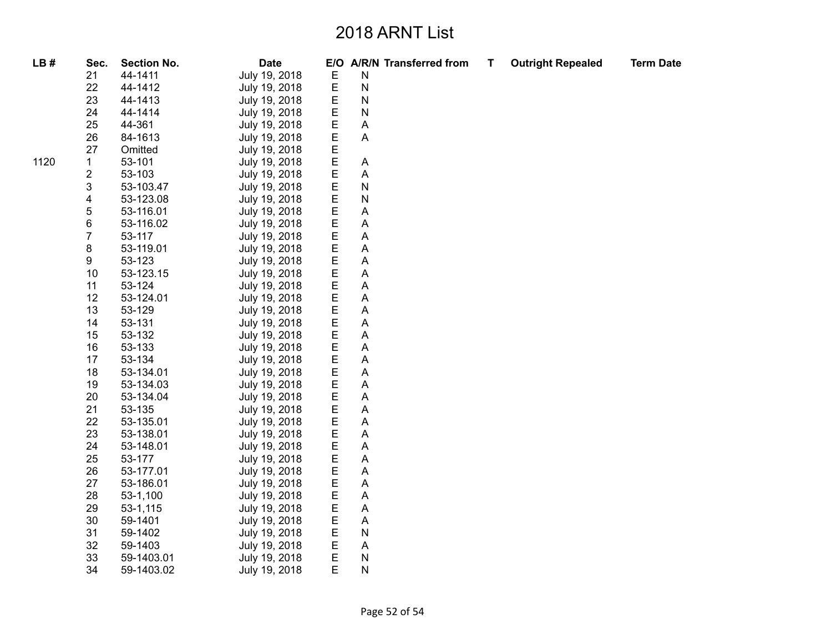| LB#  | Sec.                    | <b>Section No.</b> | <b>Date</b>   |             | E/O A/R/N Transferred from | Т | <b>Outright Repealed</b> | <b>Term Date</b> |
|------|-------------------------|--------------------|---------------|-------------|----------------------------|---|--------------------------|------------------|
|      | 21                      | 44-1411            | July 19, 2018 | Е           | N                          |   |                          |                  |
|      | 22                      | 44-1412            | July 19, 2018 | E           | $\mathsf{N}$               |   |                          |                  |
|      | 23                      | 44-1413            | July 19, 2018 | Е           | $\mathsf{N}$               |   |                          |                  |
|      | 24                      | 44-1414            | July 19, 2018 | Е           | N                          |   |                          |                  |
|      | 25                      | 44-361             | July 19, 2018 | E           | A                          |   |                          |                  |
|      | 26                      | 84-1613            | July 19, 2018 | E           | A                          |   |                          |                  |
|      | 27                      | Omitted            | July 19, 2018 | E           |                            |   |                          |                  |
| 1120 | 1                       | 53-101             | July 19, 2018 | E           | A                          |   |                          |                  |
|      | $\overline{\mathbf{c}}$ | 53-103             | July 19, 2018 | E           | Α                          |   |                          |                  |
|      | 3                       | 53-103.47          | July 19, 2018 | E           | N                          |   |                          |                  |
|      | 4                       | 53-123.08          | July 19, 2018 | E           | N                          |   |                          |                  |
|      | 5                       | 53-116.01          | July 19, 2018 | Е           | Α                          |   |                          |                  |
|      | 6                       | 53-116.02          | July 19, 2018 | E           | Α                          |   |                          |                  |
|      | $\overline{7}$          | 53-117             | July 19, 2018 | $\mathsf E$ | A                          |   |                          |                  |
|      | 8                       | 53-119.01          | July 19, 2018 | E           | A                          |   |                          |                  |
|      | 9                       | 53-123             | July 19, 2018 | Е           | Α                          |   |                          |                  |
|      | 10                      | 53-123.15          | July 19, 2018 | E           | Α                          |   |                          |                  |
|      | 11                      | 53-124             | July 19, 2018 | E           | Α                          |   |                          |                  |
|      | 12                      | 53-124.01          | July 19, 2018 | E           | A                          |   |                          |                  |
|      | 13                      | 53-129             | July 19, 2018 | Ε           | A                          |   |                          |                  |
|      | 14                      | 53-131             | July 19, 2018 | Е           | Α                          |   |                          |                  |
|      | 15                      | 53-132             | July 19, 2018 | E           | A                          |   |                          |                  |
|      | 16                      | 53-133             | July 19, 2018 | E           | Α                          |   |                          |                  |
|      | 17                      | 53-134             | July 19, 2018 | E           | A                          |   |                          |                  |
|      | 18                      | 53-134.01          | July 19, 2018 | E           | Α                          |   |                          |                  |
|      | 19                      | 53-134.03          | July 19, 2018 | E           | $\mathsf{A}$               |   |                          |                  |
|      | 20                      | 53-134.04          | July 19, 2018 | E           | $\mathsf{A}$               |   |                          |                  |
|      | 21                      | 53-135             | July 19, 2018 | E           | A                          |   |                          |                  |
|      | 22                      | 53-135.01          | July 19, 2018 | Е           | Α                          |   |                          |                  |
|      | 23                      | 53-138.01          | July 19, 2018 | $\mathsf E$ | A                          |   |                          |                  |
|      | 24                      | 53-148.01          | July 19, 2018 | E           | A                          |   |                          |                  |
|      | 25                      | 53-177             | July 19, 2018 | E           | A                          |   |                          |                  |
|      | 26                      | 53-177.01          | July 19, 2018 | Е           | Α                          |   |                          |                  |
|      | 27                      | 53-186.01          | July 19, 2018 | E           | Α                          |   |                          |                  |
|      | 28                      | 53-1,100           | July 19, 2018 | E           | A                          |   |                          |                  |
|      | 29                      | 53-1,115           | July 19, 2018 | E           | $\mathsf{A}$               |   |                          |                  |
|      | 30                      | 59-1401            | July 19, 2018 | Ε           | A                          |   |                          |                  |
|      | 31                      | 59-1402            | July 19, 2018 | E           | $\mathsf{N}$               |   |                          |                  |
|      | 32                      | 59-1403            | July 19, 2018 | E           | A                          |   |                          |                  |
|      | 33                      | 59-1403.01         | July 19, 2018 | $\mathsf E$ | N                          |   |                          |                  |
|      | 34                      | 59-1403.02         | July 19, 2018 | E           | N                          |   |                          |                  |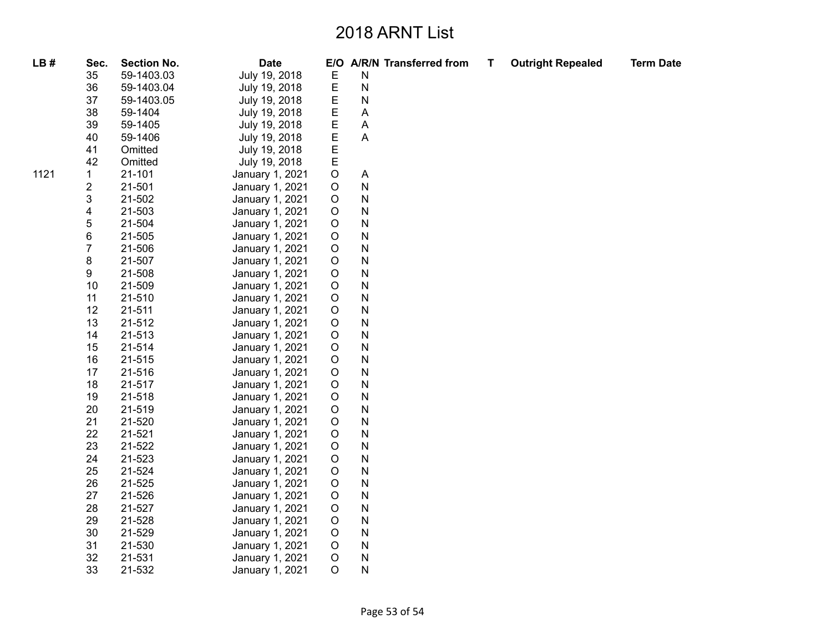| LB#  | Sec.             | <b>Section No.</b> | <b>Date</b>     |             | E/O A/R/N Transferred from | Т | <b>Outright Repealed</b> | <b>Term Date</b> |
|------|------------------|--------------------|-----------------|-------------|----------------------------|---|--------------------------|------------------|
|      | 35               | 59-1403.03         | July 19, 2018   | Е           | Ν                          |   |                          |                  |
|      | 36               | 59-1403.04         | July 19, 2018   | E           | N                          |   |                          |                  |
|      | 37               | 59-1403.05         | July 19, 2018   | Е           | N                          |   |                          |                  |
|      | 38               | 59-1404            | July 19, 2018   | E           | A                          |   |                          |                  |
|      | 39               | 59-1405            | July 19, 2018   | E           | $\mathsf{A}$               |   |                          |                  |
|      | 40               | 59-1406            | July 19, 2018   | E           | A                          |   |                          |                  |
|      | 41               | Omitted            | July 19, 2018   | E           |                            |   |                          |                  |
|      | 42               | Omitted            | July 19, 2018   | E           |                            |   |                          |                  |
| 1121 | $\mathbf 1$      | 21-101             | January 1, 2021 | $\mathsf O$ | A                          |   |                          |                  |
|      | $\boldsymbol{2}$ | 21-501             | January 1, 2021 | $\mathsf O$ | N                          |   |                          |                  |
|      | 3                | 21-502             | January 1, 2021 | $\mathsf O$ | N                          |   |                          |                  |
|      | 4                | 21-503             | January 1, 2021 | $\mathsf O$ | N                          |   |                          |                  |
|      | $\mathbf 5$      | 21-504             | January 1, 2021 | $\mathsf O$ | N                          |   |                          |                  |
|      | $\,6$            | 21-505             | January 1, 2021 | $\mathsf O$ | N                          |   |                          |                  |
|      | $\overline{7}$   | 21-506             | January 1, 2021 | $\mathsf O$ | N                          |   |                          |                  |
|      | 8                | 21-507             | January 1, 2021 | $\mathsf O$ | N                          |   |                          |                  |
|      | 9                | 21-508             | January 1, 2021 | $\mathsf O$ | N                          |   |                          |                  |
|      | 10               | 21-509             | January 1, 2021 | $\mathsf O$ | N                          |   |                          |                  |
|      | 11               | 21-510             | January 1, 2021 | $\circ$     | N                          |   |                          |                  |
|      | 12               | 21-511             | January 1, 2021 | $\mathsf O$ | N                          |   |                          |                  |
|      | 13               | 21-512             | January 1, 2021 | $\mathsf O$ | N                          |   |                          |                  |
|      | 14               | 21-513             | January 1, 2021 | $\mathsf O$ | N                          |   |                          |                  |
|      | 15               | 21-514             | January 1, 2021 | $\mathsf O$ | N                          |   |                          |                  |
|      | 16               | 21-515             | January 1, 2021 | $\mathsf O$ | N                          |   |                          |                  |
|      | 17               | 21-516             | January 1, 2021 | $\mathsf O$ | N                          |   |                          |                  |
|      | 18               | 21-517             | January 1, 2021 | $\mathsf O$ | N                          |   |                          |                  |
|      | 19               | 21-518             | January 1, 2021 | $\mathsf O$ | N                          |   |                          |                  |
|      | 20               | 21-519             | January 1, 2021 | $\mathsf O$ | N                          |   |                          |                  |
|      | 21               | 21-520             | January 1, 2021 | $\mathsf O$ | N                          |   |                          |                  |
|      | 22               | 21-521             | January 1, 2021 | $\mathsf O$ | N                          |   |                          |                  |
|      | 23               | 21-522             | January 1, 2021 | $\mathsf O$ | N                          |   |                          |                  |
|      | 24               | 21-523             | January 1, 2021 | $\circ$     | N                          |   |                          |                  |
|      | 25               | 21-524             | January 1, 2021 | $\mathsf O$ | N                          |   |                          |                  |
|      | 26               | 21-525             | January 1, 2021 | $\mathsf O$ | N                          |   |                          |                  |
|      | 27               | 21-526             | January 1, 2021 | $\mathsf O$ | N                          |   |                          |                  |
|      | 28               | 21-527             | January 1, 2021 | $\mathsf O$ | N                          |   |                          |                  |
|      | 29               | 21-528             | January 1, 2021 | O           | N                          |   |                          |                  |
|      | 30               | 21-529             | January 1, 2021 | $\mathsf O$ | N                          |   |                          |                  |
|      | 31               | 21-530             | January 1, 2021 | $\mathsf O$ | N                          |   |                          |                  |
|      | 32               | 21-531             | January 1, 2021 | $\mathsf O$ | N                          |   |                          |                  |
|      | 33               | 21-532             | January 1, 2021 | $\circ$     | N                          |   |                          |                  |